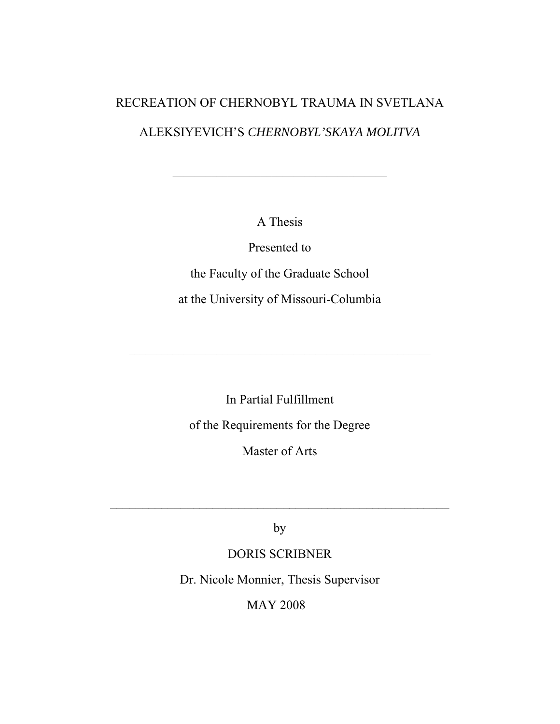# RECREATION OF CHERNOBYL TRAUMA IN SVETLANA

# ALEKSIYEVICH'S *CHERNOBYL'SKAYA MOLITVA*

\_\_\_\_\_\_\_\_\_\_\_\_\_\_\_\_\_\_\_\_\_\_\_\_\_\_\_\_\_\_\_\_\_\_\_\_\_\_\_

A Thesis

Presented to

the Faculty of the Graduate School at the University of Missouri-Columbia

In Partial Fulfillment of the Requirements for the Degree

\_\_\_\_\_\_\_\_\_\_\_\_\_\_\_\_\_\_\_\_\_\_\_\_\_\_\_\_\_\_\_\_\_\_\_\_\_\_\_\_\_\_\_\_\_\_\_\_\_\_\_\_\_\_\_

Master of Arts

by

 $\mathcal{L}_\text{max}$  , and the contract of the contract of the contract of the contract of the contract of the contract of the contract of the contract of the contract of the contract of the contract of the contract of the contr

# DORIS SCRIBNER

Dr. Nicole Monnier, Thesis Supervisor

MAY 2008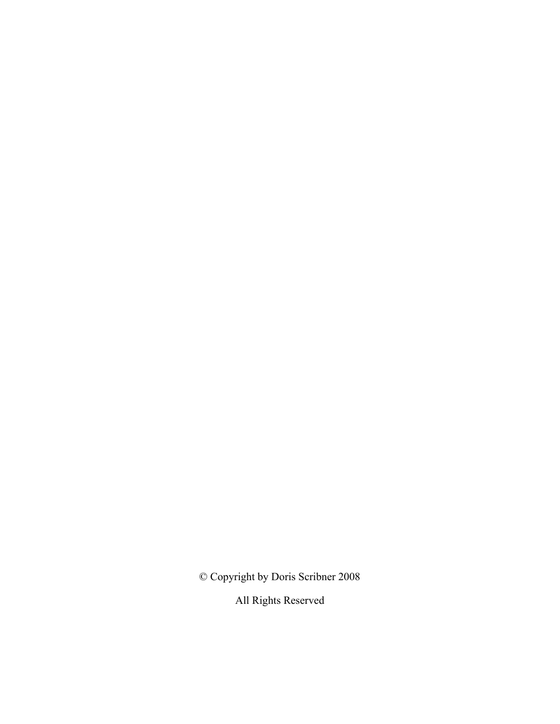© Copyright by Doris Scribner 2008

All Rights Reserved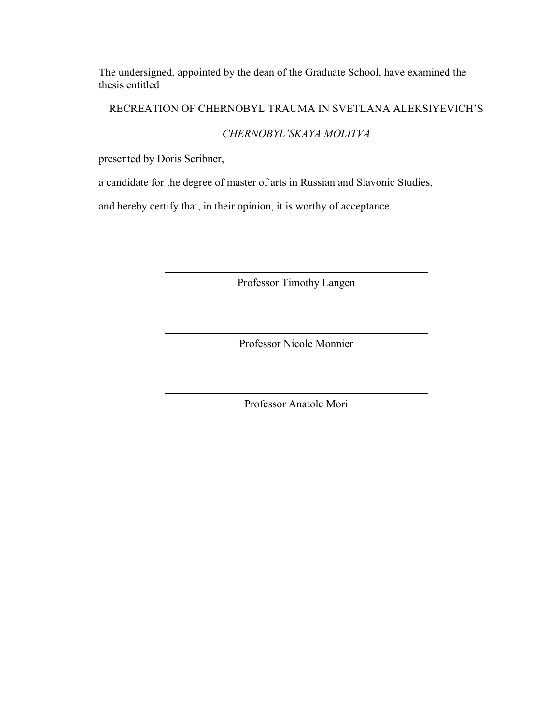The undersigned, appointed by the dean of the Graduate School, have examined the thesis entitled

## RECREATION OF CHERNOBYL TRAUMA IN SVETLANA ALEKSIYEVICH'S

## *CHERNOBYL'SKAYA MOLITVA*

presented by Doris Scribner,

a candidate for the degree of master of arts in Russian and Slavonic Studies,

and hereby certify that, in their opinion, it is worthy of acceptance.

Professor Timothy Langen

Professor Nicole Monnier

Professor Anatole Mori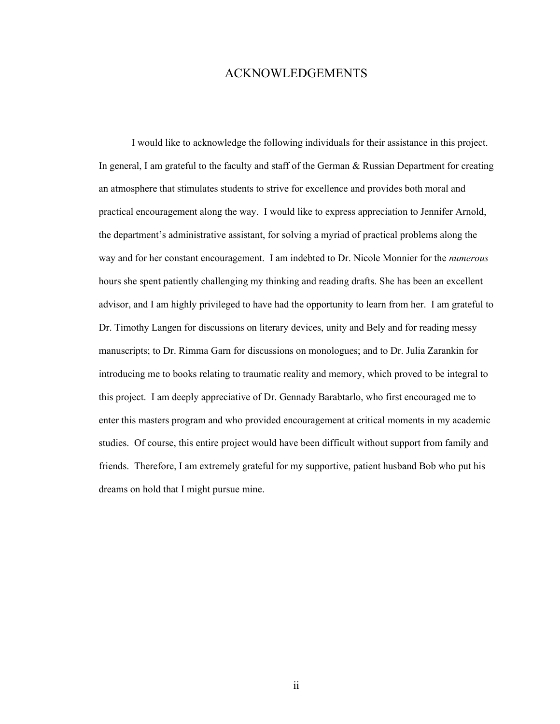## ACKNOWLEDGEMENTS

I would like to acknowledge the following individuals for their assistance in this project. In general, I am grateful to the faculty and staff of the German & Russian Department for creating an atmosphere that stimulates students to strive for excellence and provides both moral and practical encouragement along the way. I would like to express appreciation to Jennifer Arnold, the department's administrative assistant, for solving a myriad of practical problems along the way and for her constant encouragement. I am indebted to Dr. Nicole Monnier for the *numerous*  hours she spent patiently challenging my thinking and reading drafts. She has been an excellent advisor, and I am highly privileged to have had the opportunity to learn from her. I am grateful to Dr. Timothy Langen for discussions on literary devices, unity and Bely and for reading messy manuscripts; to Dr. Rimma Garn for discussions on monologues; and to Dr. Julia Zarankin for introducing me to books relating to traumatic reality and memory, which proved to be integral to this project. I am deeply appreciative of Dr. Gennady Barabtarlo, who first encouraged me to enter this masters program and who provided encouragement at critical moments in my academic studies. Of course, this entire project would have been difficult without support from family and friends. Therefore, I am extremely grateful for my supportive, patient husband Bob who put his dreams on hold that I might pursue mine.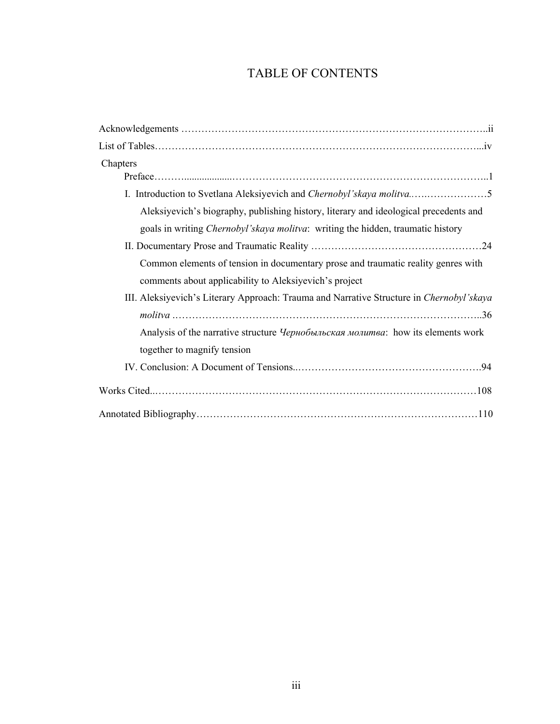# TABLE OF CONTENTS

| Chapters                                                                                 |  |  |
|------------------------------------------------------------------------------------------|--|--|
|                                                                                          |  |  |
| Aleksiyevich's biography, publishing history, literary and ideological precedents and    |  |  |
| goals in writing <i>Chernobyl'skaya molitva</i> : writing the hidden, traumatic history  |  |  |
|                                                                                          |  |  |
| Common elements of tension in documentary prose and traumatic reality genres with        |  |  |
| comments about applicability to Aleksiyevich's project                                   |  |  |
| III. Aleksiyevich's Literary Approach: Trauma and Narrative Structure in Chernobyl'skaya |  |  |
|                                                                                          |  |  |
| Analysis of the narrative structure <i>Чернобыльская молитва</i> : how its elements work |  |  |
| together to magnify tension                                                              |  |  |
|                                                                                          |  |  |
|                                                                                          |  |  |
|                                                                                          |  |  |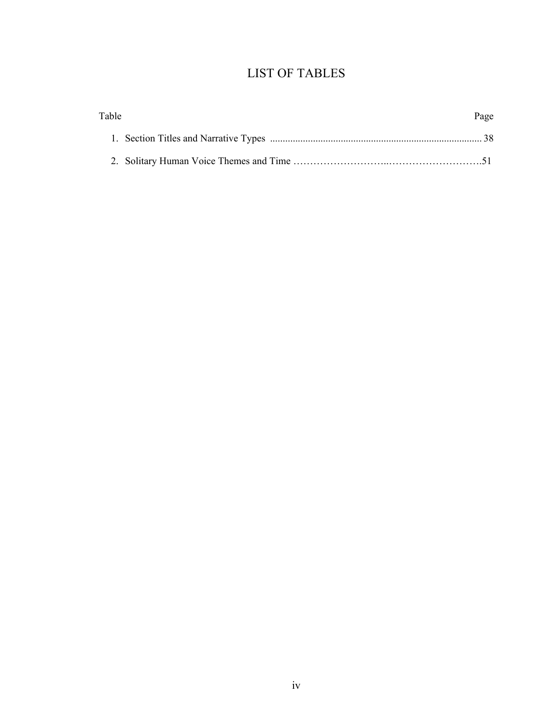# LIST OF TABLES

| Table | Page |
|-------|------|
|       |      |
|       |      |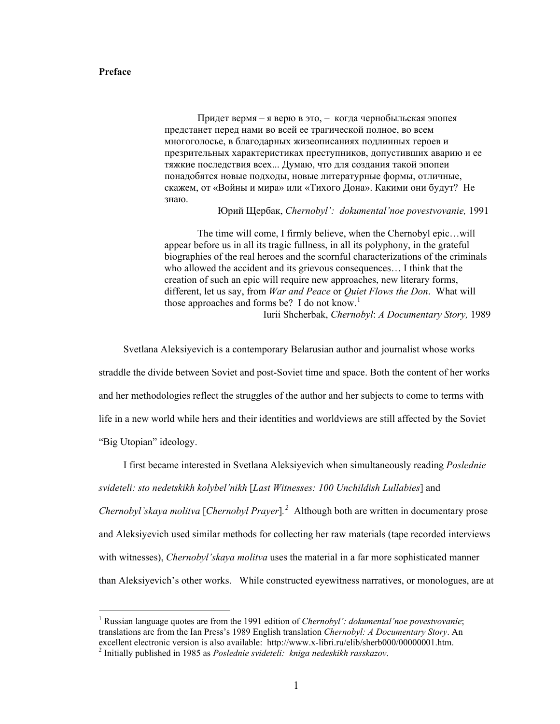### **Preface**

Придет вермя – я верю в это, – когда чернобыльская эпопея предстанет перед нами во всей ее трагической полное, во всем многоголосье, в благодарных жизеописаниях подлинных героев и презрительных характеристиках преступников, допустивших аварию и ее тяжкие последствия всех... Думаю, что для создания такой эпопеи понадобятся новые подходы, новые литературные формы, отличные, скажем, от «Войны и мира» или «Тихого Дона». Какими они будут? Не знаю.

## Юрий Щербак, *Chernobyl': dokumental'noe povestvovanie,* 1991

The time will come, I firmly believe, when the Chernobyl epic…will appear before us in all its tragic fullness, in all its polyphony, in the grateful biographies of the real heroes and the scornful characterizations of the criminals who allowed the accident and its grievous consequences… I think that the creation of such an epic will require new approaches, new literary forms, different, let us say, from *War and Peace* or *Quiet Flows the Don*. What will those approaches and forms be? I do not know.<sup>[1](#page-6-0)</sup>

Iurii Shcherbak, *Chernobyl*: *A Documentary Story,* 1989

Svetlana Aleksiyevich is a contemporary Belarusian author and journalist whose works

straddle the divide between Soviet and post-Soviet time and space. Both the content of her works

and her methodologies reflect the struggles of the author and her subjects to come to terms with

life in a new world while hers and their identities and worldviews are still affected by the Soviet

"Big Utopian" ideology.

 $\overline{a}$ 

I first became interested in Svetlana Aleksiyevich when simultaneously reading *Poslednie svideteli: sto nedetskikh kolybel'nikh* [*Last Witnesses: 100 Unchildish Lullabies*] and *Chernobyl'skaya molitva* [*Chernobyl Prayer*]*. [2](#page-6-1)* Although both are written in documentary prose and Aleksiyevich used similar methods for collecting her raw materials (tape recorded interviews with witnesses), *Chernobyl'skaya molitva* uses the material in a far more sophisticated manner than Aleksiyevich's other works. While constructed eyewitness narratives, or monologues, are at

<span id="page-6-0"></span><sup>&</sup>lt;sup>1</sup> Russian language quotes are from the 1991 edition of *Chernobyl': dokumental'noe povestvovanie*; translations are from the Ian Press's 1989 English translation *Chernobyl: A Documentary Story*. An excellent electronic version is also available: http://www.x-libri.ru/elib/sherb000/00000001.htm.

<span id="page-6-1"></span><sup>2</sup> Initially published in 1985 as *Poslednie svideteli: kniga nedeskikh rasskazov*.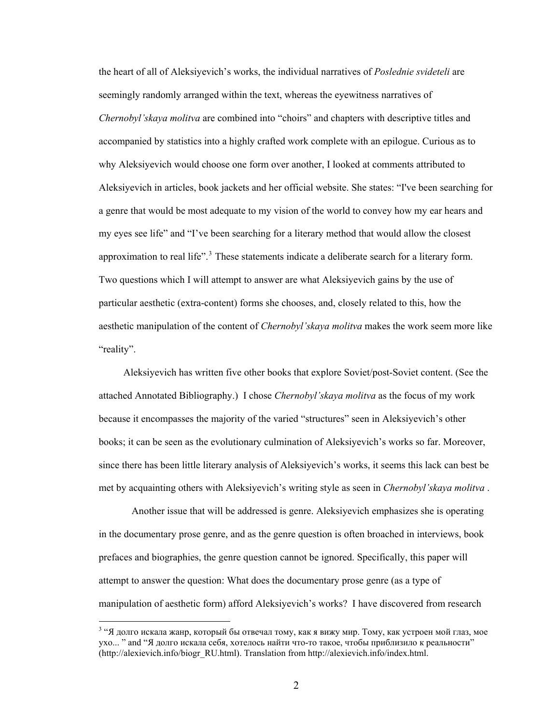the heart of all of Aleksiyevich's works, the individual narratives of *Poslednie svideteli* are seemingly randomly arranged within the text, whereas the eyewitness narratives of *Chernobyl'skaya molitva* are combined into "choirs" and chapters with descriptive titles and accompanied by statistics into a highly crafted work complete with an epilogue. Curious as to why Aleksiyevich would choose one form over another, I looked at comments attributed to Aleksiyevich in articles, book jackets and her official website. She states: "I've been searching for a genre that would be most adequate to my vision of the world to convey how my ear hears and my eyes see life" and "I've been searching for a literary method that would allow the closest approximation to real life".<sup>[3](#page-7-0)</sup> These statements indicate a deliberate search for a literary form. Two questions which I will attempt to answer are what Aleksiyevich gains by the use of particular aesthetic (extra-content) forms she chooses, and, closely related to this, how the aesthetic manipulation of the content of *Chernobyl'skaya molitva* makes the work seem m ore like "reality".

Aleksiyevich has written five other books that explore Soviet/post-Soviet content. (See the attached Annotated Bibliography.) I chose *Chernobyl'skaya molitva* as the focus of my work because it encompasses the majority of the varied "structures" seen in Aleksiyevich's other books; it can be seen as the evolutionary culmination of Aleksiyevich's works so far. Moreover, since there has been little literary analysis of Aleksiyevich's works, it seems this lack can best be met by acquainting others with Aleksiyevich's writing style as seen in *Chernobyl'skaya molitva* .

Another issue that will be addressed is genre. Aleksiyevich emphasizes she is operating in the documentary prose genre, and as the genre question is often broached in interviews, book prefaces and biographies, the genre question cannot be ignored. Specifically, this paper will attempt to answer the question: What does the documentary prose genre (as a type of manipulation of aesthetic form) afford Aleksiyevich's works? I have discovered from research

<span id="page-7-0"></span><sup>&</sup>lt;sup>3</sup> "Я долго искала жанр, который бы отвечал тому, как я вижу мир. Тому, как устроен мой глаз, мое ухо... " and "Я долго искала себя, хотелось найти что-то такое, чтобы приблизило к реальности" (http://alexievich.info/biogr\_RU.html). Translation from http://alexievich.info/index.html.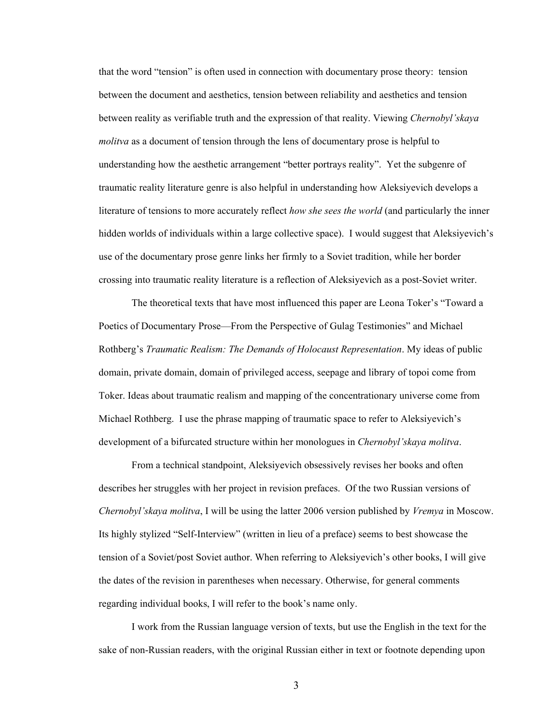that the word "tension" is often used in connection with documentary prose theory: tension between the document and aesthetics, tension between reliability and aesthetics and tension between reality as verifiable truth and the expression of that reality. Viewing *Chernobyl'skaya molitva* as a document of tension through the lens of documentary prose is helpful to understanding how the aesthetic arrangement "better portrays reality". Yet the subgenre of traumatic reality literature genre is also helpful in understanding how Aleksiyevich develops a literature of tensions to more accurately reflect *how she sees the world* (and particularly the inner hidden worlds of individuals within a large collective space). I would suggest that Aleksiyevich's use of the documentary prose genre links her firmly to a Soviet tradition, while her border crossing into traumatic reality literature is a reflection of Aleksiyevich as a post-Soviet writer.

The theoretical texts that have most influenced this paper are Leona Toker's "Toward a Poetics of Documentary Prose—From the Perspective of Gulag Testimonies" and Michael Rothberg's *Traumatic Realism: The Demands of Holocaust Representation*. My ideas of public domain, private domain, domain of privileged access, seepage and library of topoi come from Toker. Ideas about traumatic realism and mapping of the concentrationary universe come from Michael Rothberg. I use the phrase mapping of traumatic space to refer to Aleksiyevich's development of a bifurcated structure within her monologues in *Chernobyl'skaya molitva*.

From a technical standpoint, Aleksiyevich obsessively revises her books and often describes her struggles with her project in revision prefaces. Of the two Russian versions of *Chernobyl'skaya molitva*, I will be using the latter 2006 version published by *Vremya* in Moscow. Its highly stylized "Self-Interview" (written in lieu of a preface) seems to best showcase the tension of a Soviet/post Soviet author. When referring to Aleksiyevich's other books, I will give the dates of the revision in parentheses when necessary. Otherwise, for general comments regarding individual books, I will refer to the book's name only.

I work from the Russian language version of texts, but use the English in the text for the sake of non-Russian readers, with the original Russian either in text or footnote depending upon

3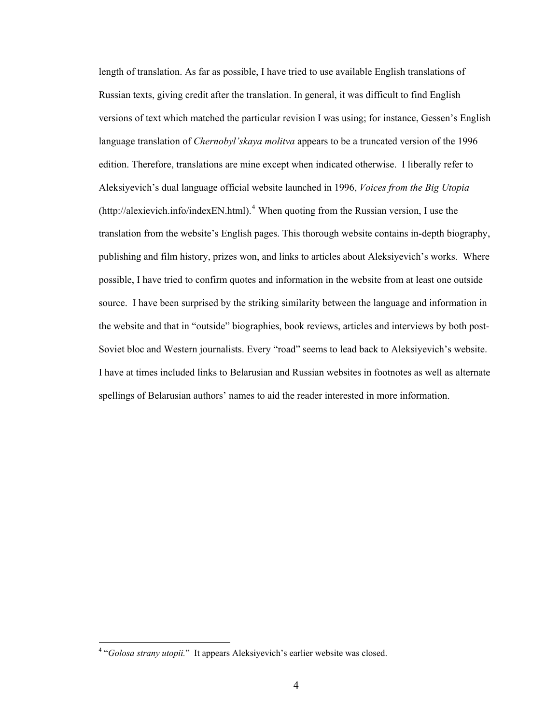length of translation. As far as possible, I have tried to use available English translations of Russian texts, giving credit after the translation. In general, it was difficult to find English versions of text which matched the particular revision I was using; for instance, Gessen's English language translation of *Chernobyl'skaya molitva* appears to be a truncated version of the 1996 edition. Therefore, translations are mine except when indicated otherwise. I liberally refer to Aleksiyevich's dual language official website launched in 1996, *Voices from the Big Utopia*  $(\text{http://alexievich.info/indexEN.html})$ .<sup>[4](#page-9-0)</sup> When quoting from the Russian version, I use the translation from the website's English pages. This thorough website contains in-depth biography, publishing and film history, prizes won, and links to articles about Aleksiyevich's works. Where possible, I have tried to confirm quotes and information in the website from at least one outside source. I have been surprised by the striking similarity between the language and information in the website and that in "outside" biographies, book reviews, articles and interviews by both post-Soviet bloc and Western journalists. Every "road" seems to lead back to Aleksiyevich's website. I have at times included links to Belarusian and Russian websites in footnotes as well as alternate spellings of Belarusian authors' names to aid the reader interested in more information.

<span id="page-9-0"></span><sup>&</sup>lt;sup>4</sup> "*Golosa strany utopii.*" It appears Aleksiyevich's earlier website was closed.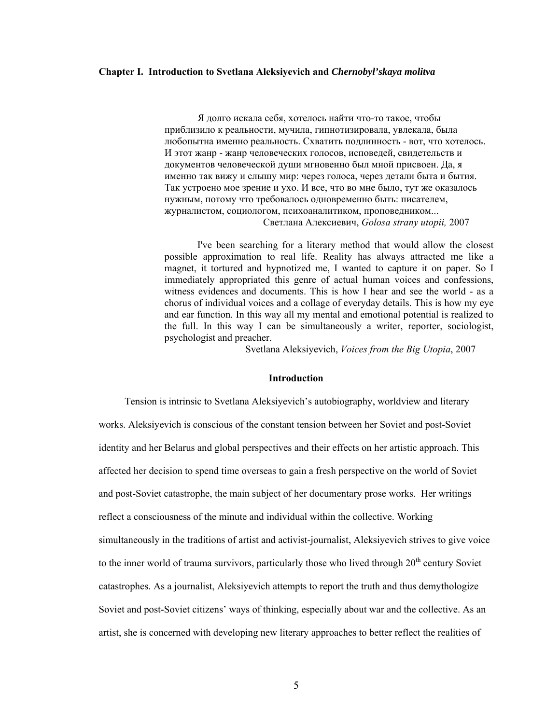## **Chapter I. Introduction to Svetlana Aleksiyevich and** *Chernobyl'skaya molitva*

Я долго искала себя, хотелось найти что-то такое, чтобы приблизило к реальности, мучила, гипнотизировала, увлекала, была любопытна именно реальность. Схватить подлинность - вот, что хотелось. И этот жанр - жанр человеческих голосов, исповедей, свидетельств и документов человеческой души мгновенно был мной присвоен. Да, я именно так вижу и слышу мир: через голоса, через детали быта и бытия. Так устроено мое зрение и ухо. И все, что во мне было, тут же оказалось нужным, потому что требовалось одновременно быть: писателем, журналистом, социологом, психоаналитиком, проповедником... Светлана Алексиевич, *Golosa strany utopii,* 2007

 I've been searching for a literary method that would allow the closest possible approximation to real life. Reality has always attracted me like a magnet, it tortured and hypnotized me, I wanted to capture it on paper. So I immediately appropriated this genre of actual human voices and confessions, witness evidences and documents. This is how I hear and see the world - as a chorus of individual voices and a collage of everyday details. This is how my eye and ear function. In this way all my mental and emotional potential is realized to the full. In this way I can be simultaneously a writer, reporter, sociologist, psychologist and preacher.

Svetlana Aleksiyevich, *Voices from the Big Utopia*, 2007

## **Introduction**

 Tension is intrinsic to Svetlana Aleksiyevich's autobiography, worldview and literary works. Aleksiyevich is conscious of the constant tension between her Soviet and post-Soviet identity and her Belarus and global perspectives and their effects on her artistic approach. This affected her decision to spend time overseas to gain a fresh perspective on the world of Soviet and post-Soviet catastrophe, the main subject of her documentary prose works. Her writings reflect a consciousness of the minute and individual within the collective. Working simultaneously in the traditions of artist and activist-journalist, Aleksiyevich strives to give voice to the inner world of trauma survivors, particularly those who lived through  $20^{\text{th}}$  century Soviet catastrophes. As a journalist, Aleksiyevich attempts to report the truth and thus demythologize Soviet and post-Soviet citizens' ways of thinking, especially about war and the collective. As an artist, she is concerned with developing new literary approaches to better reflect the realities of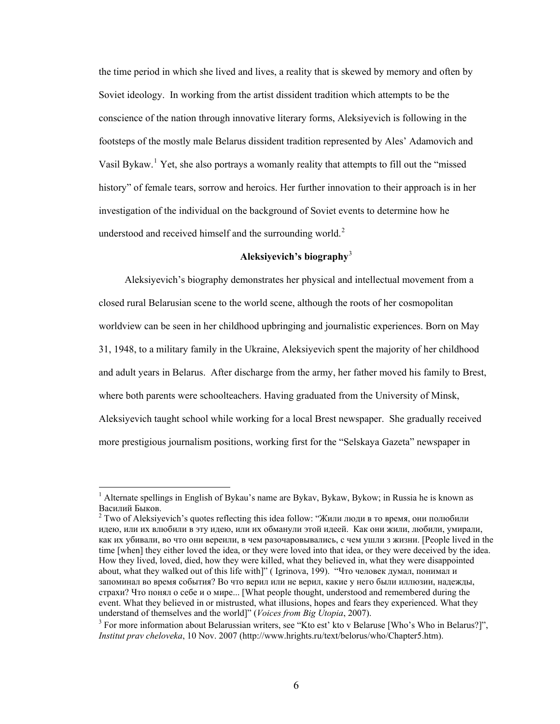the time period in which she lived and lives, a reality that is skewed by memory and often by Soviet ideology. In working from the artist dissident tradition which attempts to be the conscience of the nation through innovative literary forms, Aleksiyevich is following in the footsteps of the mostly male Belarus dissident tradition represented by Ales' Adamovich and Vasil Bykaw.<sup>[1](#page-11-0)</sup> Yet, she also portrays a womanly reality that attempts to fill out the "missed" history" of female tears, sorrow and heroics. Her further innovation to their approach is in her investigation of the individual on the background of Soviet events to determine how he understood and received himself and the surrounding world.<sup>[2](#page-11-1)</sup>

## **Aleksiyevich's biography**[3](#page-11-2)

 Aleksiyevich's biography demonstrates her physical and intellectual movement from a closed rural Belarusian scene to the world scene, although the roots of her cosmopolitan worldview can be seen in her childhood upbringing and journalistic experiences. Born on May 31, 1948, to a military family in the Ukraine, Aleksiyevich spent the majority of her childhood and adult years in Belarus. After discharge from the army, her father moved his family to Brest, where both parents were schoolteachers. Having graduated from the University of Minsk, Aleksiyevich taught school while working for a local Brest newspaper. She gradually received more prestigious journalism positions, working first for the "Selskaya Gazeta" newspaper in

<span id="page-11-0"></span><sup>&</sup>lt;sup>1</sup> Alternate spellings in English of Bykau's name are Bykav, Bykaw, Bykow; in Russia he is known as Василий Быков. 2

<span id="page-11-1"></span><sup>&</sup>lt;sup>2</sup> Two of Aleksiyevich's quotes reflecting this idea follow: "Жили люди в то время, они полюбили идею, или их влюбили в эту идею, или их обманули этой идеей. Как они жили, любили, умирали, как их убивали, во что они вереили, в чем разочаровывались, с чем ушли з жизни. [People lived in the time [when] they either loved the idea, or they were loved into that idea, or they were deceived by the idea. How they lived, loved, died, how they were killed, what they believed in, what they were disappointed about, what they walked out of this life with]" ( Igrinova, 199). "Что человек думал, понимал и запоминал во время события? Во что верил или не верил, какие у него были иллюзии, надежды, страхи? Что понял о себе и о мире... [What people thought, understood and remembered during the event. What they believed in or mistrusted, what illusions, hopes and fears they experienced. What they understand of themselves and the world]" (*Voices from Big Utopia*, 2007).

<span id="page-11-2"></span><sup>&</sup>lt;sup>3</sup> For more information about Belarussian writers, see "Kto est' kto v Belaruse [Who's Who in Belarus?]". *Institut prav cheloveka*, 10 Nov. 2007 (http://www.hrights.ru/text/belorus/who/Chapter5.htm).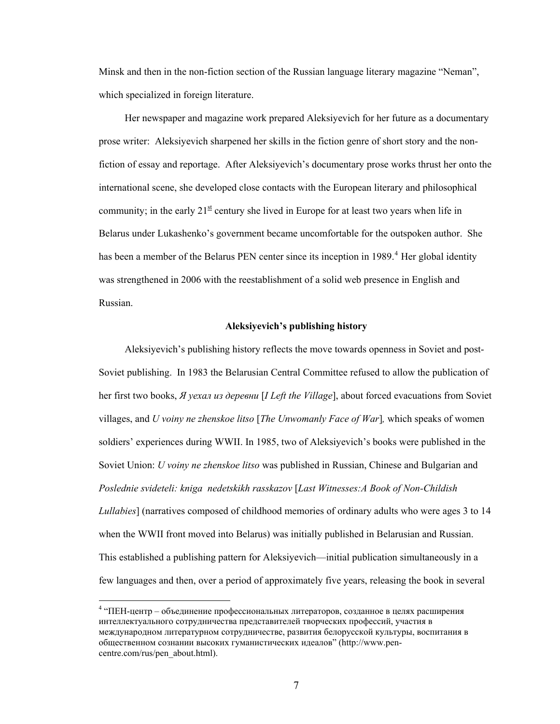Minsk and then in the non-fiction section of the Russian language literary magazine "Neman", which specialized in foreign literature.

 Her newspaper and magazine work prepared Aleksiyevich for her future as a documentary prose writer: Aleksiyevich sharpened her skills in the fiction genre of short story and the nonfiction of essay and reportage. After Aleksiyevich's documentary prose works thrust her onto the international scene, she developed close contacts with the European literary and philosophical community; in the early  $21<sup>st</sup>$  century she lived in Europe for at least two years when life in Belarus under Lukashenko's government became uncomfortable for the outspoken author. She has been a member of the Belarus PEN center since its inception in 1989.<sup>[4](#page-12-0)</sup> Her global identity was strengthened in 2006 with the reestablishment of a solid web presence in English and Russian.

## **Aleksiyevich's publishing history**

 Aleksiyevich's publishing history reflects the move towards openness in Soviet and post-Soviet publishing. In 1983 the Belarusian Central Committee refused to allow the publication of her first two books, *Я уехал из деревни* [*I Left the Village*], about forced evacuations from Soviet villages, and *U voiny ne zhenskoe litso* [*The Unwomanly Face of War*]*,* which speaks of women soldiers' experiences during WWII. In 1985, two of Aleksiyevich's books were published in the Soviet Union: *U voiny ne zhenskoe litso* was published in Russian, Chinese and Bulgarian and *Poslednie svideteli: kniga nedetskikh rasskazov* [*Last Witnesses:A Book of Non-Childish Lullabies*] (narratives composed of childhood memories of ordinary adults who were ages 3 to 14 when the WWII front moved into Belarus) was initially published in Belarusian and Russian. This established a publishing pattern for Aleksiyevich—initial publication simultaneously in a few languages and then, over a period of approximately five years, releasing the book in several

<span id="page-12-0"></span><sup>&</sup>lt;sup>4</sup> "ПЕН-центр – объединение профессиональных литераторов, созданное в целях расширения интеллектуального сотрудничества представителей творческих профессий, участия в международном литературном сотрудничестве, развития белорусской культуры, воспитания в общественном сознании высоких гуманистических идеалов" ([http://www.pen](http://www.pen-centre.com/rus/pen_about.html)[centre.com/rus/pen\\_about.html](http://www.pen-centre.com/rus/pen_about.html)).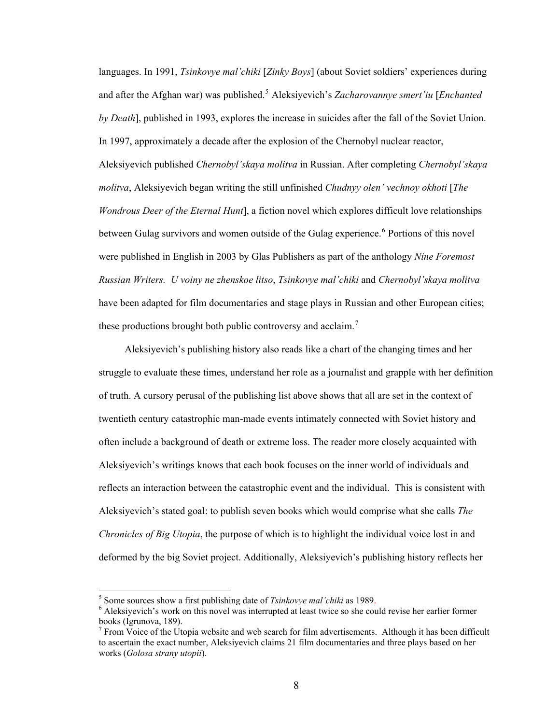languages. In 1991, *Tsinkovye mal'chiki* [*Zinky Boys*] (about Soviet soldiers' experiences during and after the Afghan war) was published.<sup>[5](#page-13-0)</sup> Aleksiyevich's *Zacharovannye smert'iu* [*Enchanted*] *by Death*], published in 1993, explores the increase in suicides after the fall of the Soviet Union. In 1997, approximately a decade after the explosion of the Chernobyl nuclear reactor, Aleksiyevich published *Chernobyl'skaya molitva* in Russian. After completing *Chernobyl'sk aya molitva*, Aleksiyevich began writing the still unfinished *Chudnyy olen' vechnoy okhoti* [*The Wondrous Deer of the Eternal Hunt*], a fiction novel which explores difficult love relationships between Gulag survivors and women outside of the Gulag experience.<sup>[6](#page-13-1)</sup> Portions of this novel have been adapted for film documentaries and stage plays in Russian and other European cities; these productions brought both public controversy and acclaim.<sup>7</sup> were published in English in 2003 by Glas Publishers as part of the anthology *Nine Foremost Russian Writers. U voiny ne zhenskoe litso*, *Tsinkovye mal'chiki* and *Chernobyl'skaya molitva*

 Aleksiyevich's publishing history also reads like a chart of the changing times and her struggle to evaluate these times, understand her role as a journalist and grapple with her definition of truth. A cursory perusal of the publishing list above shows that all are set in the context of twentieth century catastrophic man-made events intimately connected with Soviet history and often include a background of death or extreme loss. The reader more closely acquainted with Aleksiyevich's writings knows that each book focuses on the inner world of individuals and reflects an interaction between the catastrophic event and the individual. This is consistent with Aleksiyevich's stated goal: to publish seven books which would comprise what she calls *The Chronicles of Big Utopia*, the purpose of which is to highlight the individual voice lost in and deformed by the big Soviet project. Additionally, Aleksiyevich's publishing history reflects her

<sup>&</sup>lt;sup>5</sup> Some sources show a first publishing date of *Tsinkovye mal'chiki* as 1989.

<span id="page-13-1"></span><span id="page-13-0"></span><sup>&</sup>lt;sup>6</sup> Aleksiyevich's work on this novel was interrupted at least twice so she could revise her earlier former books (Igrunova, 189).

 $7$  From Voice of the Utopia website and web search for film advertisements. Although it has been difficult to ascertain the exact number, Aleksiyevich claims 21 film documentaries and three plays based on her works (*Golosa strany utopii*).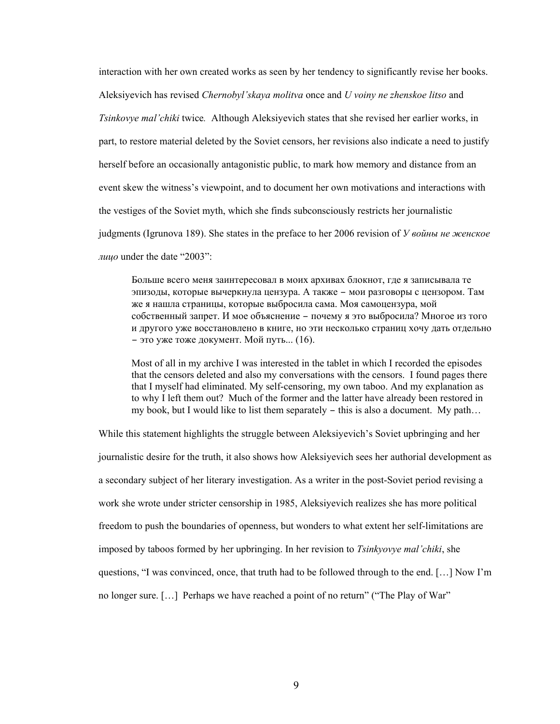interaction with her own created works as seen by her tendency to significantly revise her books. Aleksiyevich has revised *Chernobyl'skaya molitva* once and *U voiny ne zhenskoe litso* and *Tsinkovye mal'chiki* twice*.* Although Aleksiyevich states that she revised her earlier works, in part, to restore material deleted by the Soviet censors, her revisions also indicate a need to justify herself before an occasionally antagonistic public, to mark how memory and distance from an event skew the witness's viewpoint, and to document her own motivations and interactions with the vestiges of the Soviet myth, which she finds subconsciously restricts her journalistic judgments (Igrunova 189). She states in the preface to her 2006 revision of *У войны не женское лицo* under the date "2003":

Больше всего меня заинтересовал в моих архивах блокнот, где я записывала те эпизоды, которые вычеркнула цензура. А также – мои разговоры с цензором. Там же я нашла страницы, которые выбросила сама. Моя самоцензура, мой собственный запрет. И мое объяснение – почему я это выбросила? Многое из того и другого уже восстановлено в книге, но эти несколько страниц хочу дать отдельно – это уже тоже документ. Мой путь... (16).

Most of all in my archive I was interested in the tablet in which I recorded the episodes that the censors deleted and also my conversations with the censors. I found pages there that I myself had eliminated. My self-censoring, my own taboo. And my explanation as to why I left them out? Much of the former and the latter have already been restored in my book, but I would like to list them separately – this is also a document. My path…

While this statement highlights the struggle between Aleksiyevich's Soviet upbringing and her journalistic desire for the truth, it also shows how Aleksiyevich sees her authorial development as a secondary subject of her literary investigation. As a writer in the post-Soviet period revising a work she wrote under stricter censorship in 1985, Aleksiyevich realizes she has more political freedom to push the boundaries of openness, but wonders to what extent her self-limitations are imposed by taboos formed by her upbringing. In her revision to *Tsinkyovye mal'chiki*, she questions, "I was convinced, once, that truth had to be followed through to the end. […] Now I'm no longer sure. […] Perhaps we have reached a point of no return" ("The Play of War"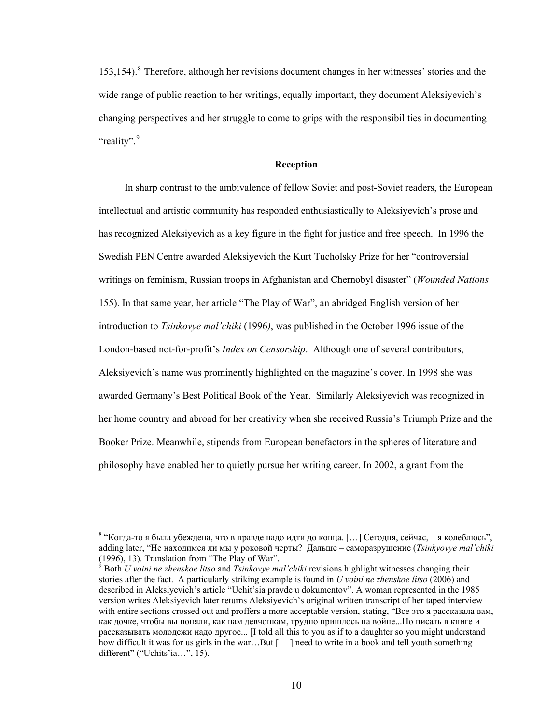153,154).<sup>[8](#page-15-0)</sup> Therefore, although her revisions document changes in her witnesses' stories and the wide range of public reaction to her writings, equally important, they document Aleksiyevich's changing perspectives and her struggle to come to grips with the responsibilities in documenting "reality".<sup>[9](#page-15-1)</sup>

#### **Reception**

 In sharp contrast to the ambivalence of fellow Soviet and post-Soviet readers, the European intellectual and artistic community has responded enthusiastically to Aleksiyevich's prose and has recognized Aleksiyevich as a key figure in the fight for justice and free speech. In 1996 the Swedish PEN Centre awarded Aleksiyevich the Kurt Tucholsky Prize for her "controversial writings on feminism, Russian troops in Afghanistan and Chernobyl disaster" (*Wounded Nations* 155). In that same year, her article "The Play of War", an abridged English version of her introduction to *Tsinkovye mal'chiki* (1996*)*, was published in the October 1996 issue of the London-based not-for-profit's *Index on Censorship*. Although one of several contributors, Aleksiyevich's name was prominently highlighted on the magazine's cover. In 1998 she was awarded Germany's Best Political Book of the Year. Similarly Aleksiyevich was recognized in her home country and abroad for her creativity when she received Russia's Triumph Prize and the Booker Prize. Meanwhile, stipends from European benefactors in the spheres of literature and philosophy have enabled her to quietly pursue her writing career. In 2002, a grant from the

<span id="page-15-0"></span> $^8$  "Когда-то я была убеждена, что в правде надо идти до конца. [...] Сегодня, сейчас, – я колеблюсь", adding later, "Не находимся ли мы у роковой черты? Дальше – саморазрушение (*Tsinkyovye mal'chiki*  (1996), 13). Translation from "The Play of War".

<span id="page-15-1"></span><sup>9</sup> Both *U voini ne zhenskoe litso* and *Tsinkovye mal'chiki* revisions highlight witnesses changing their stories after the fact. A particularly striking example is found in *U voini ne zhenskoe litso* (2006) and described in Aleksiyevich's article "Uchit'sia pravde u dokumentov". A woman represented in the 1985 version writes Aleksiyevich later returns Aleksiyevich's original written transcript of her taped interview with entire sections crossed out and proffers a more acceptable version, stating, "Все это я рассказала вам, как дочке, чтобы вы поняли, как нам девчонкам, трудно пришлось на войне...Но писать в книге и рассказывать молодежи надо другое... [I told all this to you as if to a daughter so you might understand how difficult it was for us girls in the war...But  $\lceil \cdot \rceil$  need to write in a book and tell youth something different" ("Uchits'ia...", 15).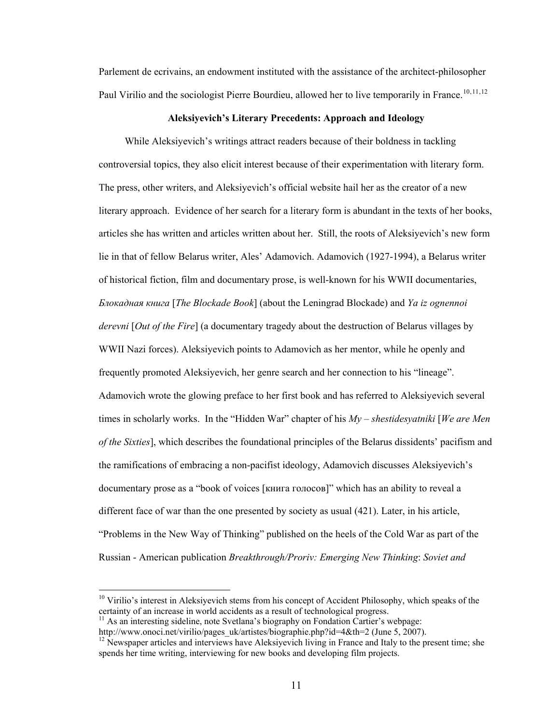Parlement de ecrivains, an endowment instituted with the assistance of the architect-philosopher Paul Virilio and the sociologist Pierre Bourdieu, allowed her to live temporarily in France.<sup>[10](#page-16-0),[11](#page-16-1),[12](#page-16-2)</sup>

## **Aleksiyevich's Literary Precedents: Approach and Ideology**

 While Aleksiyevich's writings attract readers because of their boldness in tackling controversial topics, they also elicit interest because of their experimentation with literary form. The press, other writers, and Aleksiyevich's official website hail her as the creator of a new literary approach. Evidence of her search for a literary form is abundant in the texts of her books, articles she has written and articles written about her. Still, the roots of Aleksiyevich's new form lie in that of fellow Belarus writer, Ales' Adamovich. Adamovich (1927-1994), a Belarus writer of historical fiction, film and documentary prose, is well-known for his WWII documentaries, *Блокадная книга* [*The Blockade Book*] (about the Leningrad Blockade) and *Ya iz ognennoi derevni* [*Out of the Fire*] (a documentary tragedy about the destruction of Belarus villages by WWII Nazi forces). Aleksiyevich points to Adamovich as her mentor, while he openly and frequently promoted Aleksiyevich, her genre search and her connection to his "lineage". Adamovich wrote the glowing preface to her first book and has referred to Aleksiyevich several times in scholarly works. In the "Hidden War" chapter of his *Мy* – *shestidesyatniki* [*We are Men of the Sixties*], which describes the foundational principles of the Belarus dissidents' pacifism and the ramifications of embracing a non-pacifist ideology, Adamovich discusses Aleksiyevich's documentary prose as a "book of voices [книга голосов]" which has an ability to reveal a different face of war than the one presented by society as usual (421). Later, in his article, "Problems in the New Way of Thinking" published on the heels of the Cold War as part of the Russian - American publication *Breakthrough/Proriv: Emerging New Thinking*: *Soviet and* 

<span id="page-16-0"></span> $10$  Virilio's interest in Aleksiyevich stems from his concept of Accident Philosophy, which speaks of the certainty of an increase in world accidents as a result of technological progress.<br><sup>11</sup> As an interesting sideline, note Svetlana's biography on Fondation Cartier's webpage:<br>http://www.onoci.net/virilio/pages uk/artistes/

<span id="page-16-1"></span>

<span id="page-16-2"></span><sup>&</sup>lt;sup>12</sup> Newspaper articles and interviews have Aleksiyevich living in France and Italy to the present time; she spends her time writing, interviewing for new books and developing film projects.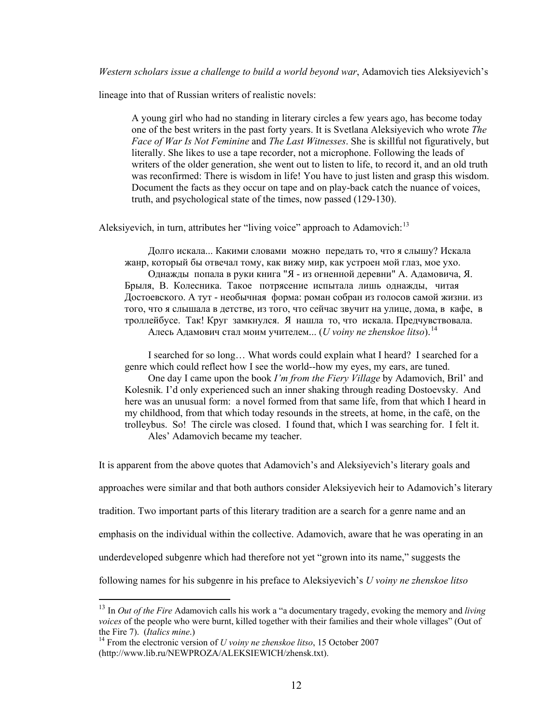*Western scholars issue a challenge to build a world beyond war*, Adamovich ties Aleksiyevich's

lineage into that of Russian writers of realistic novels:

A young girl who had no standing in literary circles a few years ago, has become today one of the best writers in the past forty years. It is Svetlana Aleksiyevich who wrote *The Face of War Is Not Feminine* and *The Last Witnesses*. She is skillful not figuratively, but literally. She likes to use a tape recorder, not a microphone. Following the leads of writers of the older generation, she went out to listen to life, to record it, and an old truth was reconfirmed: There is wisdom in life! You have to just listen and grasp this wisdom. Document the facts as they occur on tape and on play-back catch the nuance of voices, truth, and psychological state of the times, now passed (129-130).

Aleksiyevich, in turn, attributes her "living voice" approach to Adamovich:<sup>[13](#page-17-0)</sup>

Долго искала... Какими словами можно передать то, что я слышу? Искала жанр, который бы отвечал тому, как вижу мир, как устроен мой глаз, мое ухо. Однажды попала в руки книга "Я - из огненной деревни" А. Адамовича, Я. Брыля, В. Колесника. Такое потрясение испытала лишь однажды, читая Достоевского. А тут - необычная форма: роман собран из голосов самой жизни. из того, что я слышала в детстве, из того, что сейчас звучит на улице, дома, в кафе, в троллейбусе. Так! Круг замкнулся. Я нашла то, что искала. Предчувствовала. Алесь Адамович стал моим учителем... (*U voiny ne zhenskoe litso*).[14](#page-17-1)

 I searched for so long… What words could explain what I heard? I searched for a genre which could reflect how I see the world--how my eyes, my ears, are tuned. One day I came upon the book *I'm from the Fiery Village* by Adamovich, Bril' and Kolesnik*.* I'd only experienced such an inner shaking through reading Dostoevsky. And here was an unusual form: a novel formed from that same life, from that which I heard in my childhood, from that which today resounds in the streets, at home, in the café, on the trolleybus. So! The circle was closed. I found that, which I was searching for. I felt it.

Ales' Adamovich became my teacher.

It is apparent from the above quotes that Adamovich's and Aleksiyevich's literary goals and

approaches were similar and that both authors consider Aleksiyevich heir to Adamovich's literary

tradition. Two important parts of this literary tradition are a search for a genre name and an

emphasis on the individual within the collective. Adamovich, aware that he was operating in an

underdeveloped subgenre which had therefore not yet "grown into its name," suggests the

following names for his subgenre in his preface to Aleksiyevich's *U voiny ne zhenskoe litso*

<span id="page-17-0"></span><sup>13</sup> In *Out of the Fire* Adamovich calls his work a "a documentary tragedy, evoking the memory and *living voices* of the people who were burnt, killed together with their families and their whole villages" (Out of the Fire 7). (*Italics mine*.)<br><sup>14</sup> From the electronic version of *U voiny ne zhenskoe litso*, 15 October 2007

<span id="page-17-1"></span><sup>(</sup>http://www.lib.ru/NEWPROZA/ALEKSIEWICH/zhensk.txt).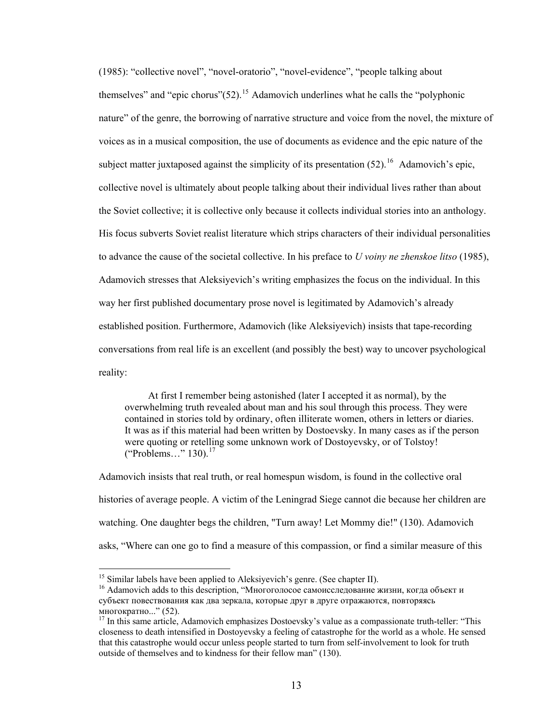(1985): "collective novel", "novel-oratorio", "novel-evidence", "people talking about themselves" and "epic chorus" $(52)$ <sup>[15](#page-18-0)</sup> Adamovich underlines what he calls the "polyphonic nature" of the genre, the borrowing of narrative structure and voice from the novel, the mixture of voices as in a musical composition, the use of documents as evidence and the epic nature of the subject matter juxtaposed against the simplicity of its presentation  $(52)^{16}$  $(52)^{16}$  $(52)^{16}$  Adamovich's epic. collective novel is ultimately about people talking about their individual lives rather than about the Soviet collective; it is collective only because it collects individual stories into an anthology. His focus subverts Soviet realist literature which strips characters of their individual personalities to advance the cause of the societal collective. In his preface to *U voiny ne zhenskoe litso* (1985), Adamovich stresses that Aleksiyevich's writing emphasizes the focus on the individual. In this way her first published documentary prose novel is legitimated by Adamovich's already established position. Furthermore, Adamovich (like Aleksiyevich) insists that tape-recording conversations from real life is an excellent (and possibly the best) way to uncover psychological reality:

 At first I remember being astonished (later I accepted it as normal), by the overwhelming truth revealed about man and his soul through this process. They were contained in stories told by ordinary, often illiterate women, others in letters or diaries. It was as if this material had been written by Dostoevsky. In many cases as if the person were quoting or retelling some unknown work of Dostoyevsky, or of Tolstoy! ("Problems…" 130).[17](#page-18-2)

Adamovich insists that real truth, or real homespun wisdom, is found in the collective oral histories of average people. A victim of the Leningrad Siege cannot die because her children are watching. One daughter begs the children, "Turn away! Let Mommy die!" (130). Adamovich asks, "Where can one go to find a measure of this compassion, or find a similar measure of this

<span id="page-18-0"></span><sup>&</sup>lt;sup>15</sup> Similar labels have been applied to Aleksiyevich's genre. (See chapter II).

<span id="page-18-1"></span><sup>&</sup>lt;sup>16</sup> Adamovich adds to this description, "Многоголосое самоисследование жизни, когда объект и субъект повествования как два зеркала, которые друг в друге отражаются, повторяясь многократно..." (52).<br><sup>17</sup> In this same article, Adamovich emphasizes Dostoevsky's value as a compassionate truth-teller: "This

<span id="page-18-2"></span>closeness to death intensified in Dostoyevsky a feeling of catastrophe for the world as a whole. He sensed that this catastrophe would occur unless people started to turn from self-involvement to look for truth outside of themselves and to kindness for their fellow man" (130).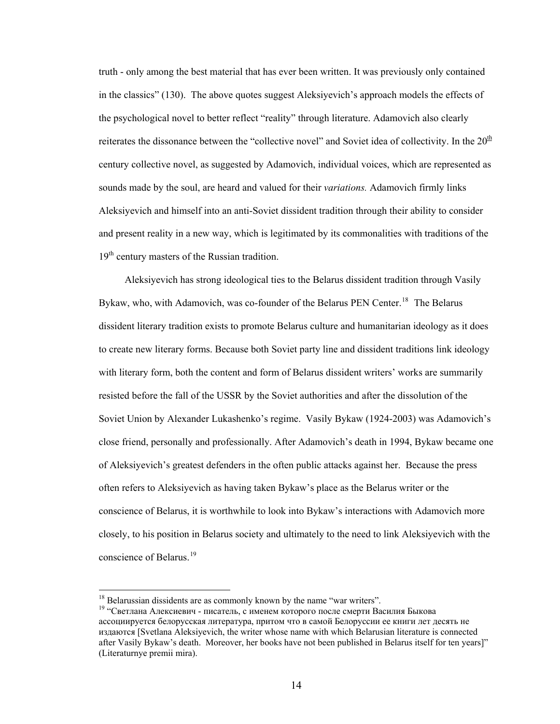truth - only among the best material that has ever been written. It was previously only contained in the classics" (130). The above quotes suggest Aleksiyevich's approach models the effects of the psychological novel to better reflect "reality" through literature. Adamovich also clearly reiterates the dissonance between the "collective novel" and Soviet idea of collectivity. In the  $20<sup>th</sup>$ century collective novel, as suggested by Adamovich, individual voices, which are represented as sounds made by the soul, are heard and valued for their *variations.* Adamovich firmly links Aleksiyevich and himself into an anti-Soviet dissident tradition through their ability to consider and present reality in a new way, which is legitimated by its commonalities with traditions of the  $19<sup>th</sup>$  century masters of the Russian tradition.

 Aleksiyevich has strong ideological ties to the Belarus dissident tradition through Vasily Bykaw, who, with Adamovich, was co-founder of the Belarus PEN Center.<sup>[18](#page-19-0)</sup> The Belarus dissident literary tradition exists to promote Belarus culture and humanitarian ideology as it does to create new literary forms. Because both Soviet party line and dissident traditions link ideology with literary form, both the content and form of Belarus dissident writers' works are summarily resisted before the fall of the USSR by the Soviet authorities and after the dissolution of the Soviet Union by Alexander Lukashenko's regime. Vasily Bykaw (1924-2003) was Adamovich's close friend, personally and professionally. After Adamovich's death in 1994, Bykaw became one of Aleksiyevich's greatest defenders in the often public attacks against her. Because the press often refers to Aleksiyevich as having taken Bykaw's place as the Belarus writer or the conscience of Belarus, it is worthwhile to look into Bykaw's interactions with Adamovich more closely, to his position in Belarus society and ultimately to the need to link Aleksiyevich with the conscience of Belarus.<sup>[19](#page-19-1)</sup>

<span id="page-19-0"></span><sup>&</sup>lt;sup>18</sup> Belarussian dissidents are as commonly known by the name "war writers".

<span id="page-19-1"></span><sup>19 &</sup>quot;Светлана Алексиевич - писатель, с именем которого после смерти Василия Быкова ассоциируется белорусская литература, притом что в самой Белоруссии ее книги лет десять не издаются [Svetlana Aleksiyevich, the writer whose name with which Belarusian literature is connected after Vasily Bykaw's death. Moreover, her books have not been published in Belarus itself for ten years]" (Literaturnye premii mira).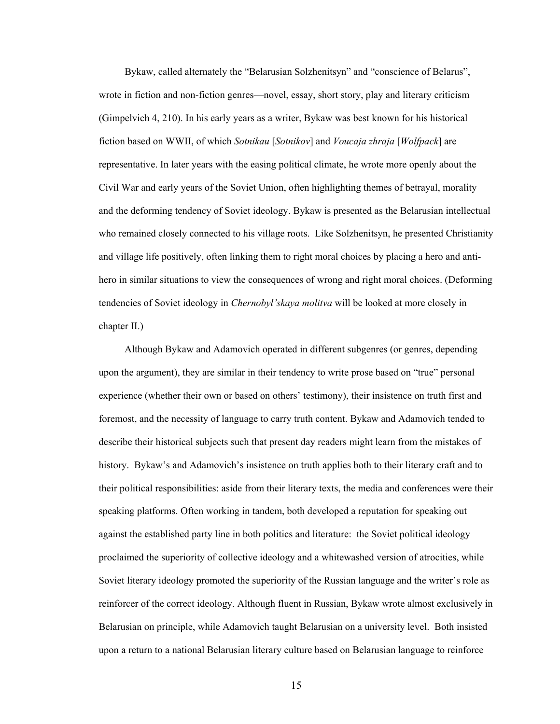Bykaw, called alternately the "Belarusian Solzhenitsyn" and "conscience of Belarus", wrote in fiction and non-fiction genres—novel, essay, short story, play and literary criticism (Gimpelvich 4, 210). In his early years as a writer, Bykaw was best known for his historical fiction based on WWII, of which *Sotnikau* [*Sotnikov*] and *Voucaja zhraja* [*Wolfpack*] are representative. In later years with the easing political climate, he wrote more openly about the Civil War and early years of the Soviet Union, often highlighting themes of betrayal, morality and the deforming tendency of Soviet ideology. Bykaw is presented as the Belarusian intellectual who remained closely connected to his village roots. Like Solzhenitsyn, he presented Christianity and village life positively, often linking them to right moral choices by placing a hero and antihero in similar situations to view the consequences of wrong and right moral choices. (Deforming tendencies of Soviet ideology in *Chernobyl'skaya molitva* will be looked at more closely in chapter II.)

 Although Bykaw and Adamovich operated in different subgenres (or genres, depending upon the argument), they are similar in their tendency to write prose based on "true" personal experience (whether their own or based on others' testimony), their insistence on truth first and foremost, and the necessity of language to carry truth content. Bykaw and Adamovich tended to describe their historical subjects such that present day readers might learn from the mistakes of history. Bykaw's and Adamovich's insistence on truth applies both to their literary craft and to their political responsibilities: aside from their literary texts, the media and conferences were their speaking platforms. Often working in tandem, both developed a reputation for speaking out against the established party line in both politics and literature: the Soviet political ideology proclaimed the superiority of collective ideology and a whitewashed version of atrocities, while Soviet literary ideology promoted the superiority of the Russian language and the writer's role as reinforcer of the correct ideology. Although fluent in Russian, Bykaw wrote almost exclusively in Belarusian on principle, while Adamovich taught Belarusian on a university level. Both insisted upon a return to a national Belarusian literary culture based on Belarusian language to reinforce

15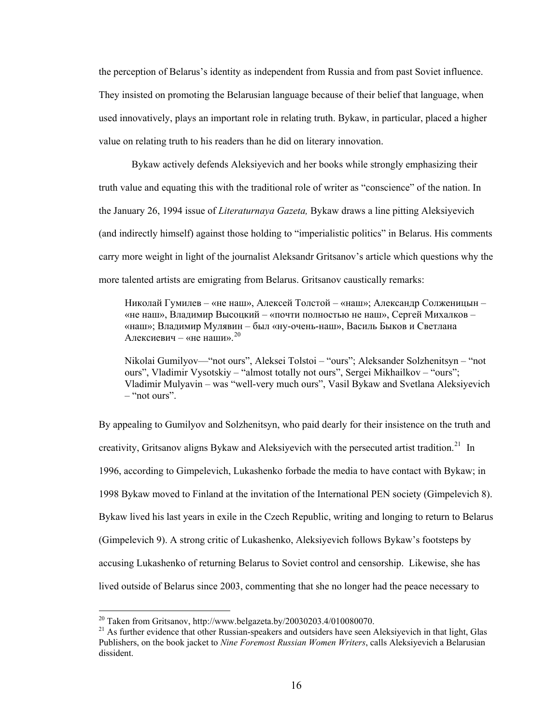the perception of Belarus's identity as independent from Russia and from past Soviet influence. They insisted on promoting the Belarusian language because of their belief that language, when used innovatively, plays an important role in relating truth. Bykaw, in particular, placed a higher value on relating truth to his readers than he did on literary innovation.

Bykaw actively defends Aleksiyevich and her books while strongly emphasizing their truth value and equating this with the traditional role of writer as "conscience" of the nation. In the January 26, 1994 issue of *Literaturnaya Gazeta,* Bykaw draws a line pitting Aleksiyevich (and indirectly himself) against those holding to "imperialistic politics" in Belarus. His comments carry more weight in light of the journalist Aleksandr Gritsanov's article which questions why the more talented artists are emigrating from Belarus. Gritsanov caustically remarks:

Николай Гумилев – «не наш», Алексей Толстой – «наш»; Александр Солженицын – «не наш», Владимир Высоцкий – «почти полностью не наш», Сергей Михалков – «наш»; Владимир Мулявин – был «ну-очень-наш», Василь Быков и Светлана Алексиевич – «не наши».<sup>[20](#page-21-0)</sup>

Nikolai Gumilyov—"not ours", Aleksei Tolstoi – "ours"; Aleksander Solzhenitsyn – "not ours", Vladimir Vysotskiy – "almost totally not ours", Sergei Mikhailkov – "ours"; Vladimir Mulyavin – was "well-very much ours", Vasil Bykaw and Svetlana Aleksiyevich – "not ours".

By appealing to Gumilyov and Solzhenitsyn, who paid dearly for their insistence on the truth and creativity, Gritsanov aligns Bykaw and Aleksiyevich with the persecuted artist tradition.<sup>[21](#page-21-1)</sup> In 1996, according to Gimpelevich, Lukashenko forbade the media to have contact with Bykaw; in 1998 Bykaw moved to Finland at the invitation of the International PEN society (Gimpelevich 8). Bykaw lived his last years in exile in the Czech Republic, writing and longing to return to Belarus (Gimpelevich 9). A strong critic of Lukashenko, Aleksiyevich follows Bykaw's footsteps by accusing Lukashenko of returning Belarus to Soviet control and censorship. Likewise, she has lived outside of Belarus since 2003, commenting that she no longer had the peace necessary to

<span id="page-21-1"></span><span id="page-21-0"></span><sup>&</sup>lt;sup>20</sup> Taken from Gritsanov, http://www.belgazeta.by/20030203.4/010080070.<br><sup>21</sup> As further evidence that other Russian-speakers and outsiders have seen Aleksiyevich in that light, Glas Publishers, on the book jacket to *Nine Foremost Russian Women Writers*, calls Aleksiyevich a Belarusian dissident.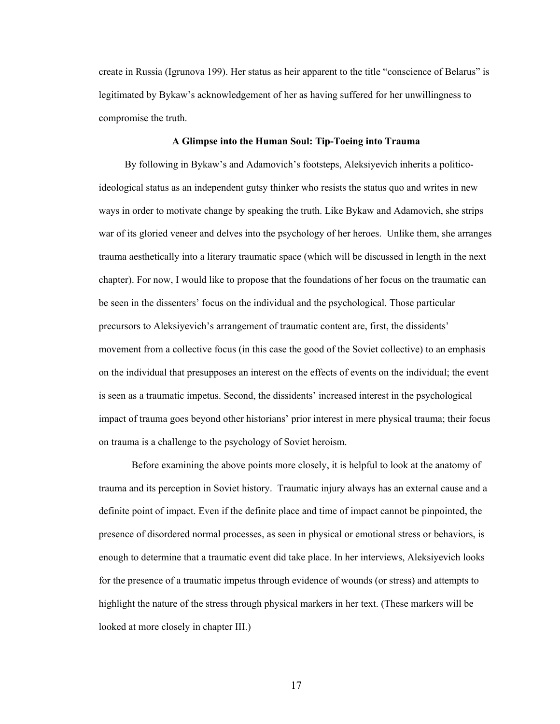create in Russia (Igrunova 199). Her status as heir apparent to the title "conscience of Belarus" is legitimated by Bykaw's acknowledgement of her as having suffered for her unwillingness to compromise the truth.

## **A Glimpse into the Human Soul: Tip-Toeing into Trauma**

 By following in Bykaw's and Adamovich's footsteps, Aleksiyevich inherits a politicoideological status as an independent gutsy thinker who resists the status quo and writes in new ways in order to motivate change by speaking the truth. Like Bykaw and Adamovich, she strips war of its gloried veneer and delves into the psychology of her heroes. Unlike them, she arranges trauma aesthetically into a literary traumatic space (which will be discussed in length in the next chapter). For now, I would like to propose that the foundations of her focus on the traumatic can be seen in the dissenters' focus on the individual and the psychological. Those particular precursors to Aleksiyevich's arrangement of traumatic content are, first, the dissidents' movement from a collective focus (in this case the good of the Soviet collective) to an emphasis on the individual that presupposes an interest on the effects of events on the individual; the event is seen as a traumatic impetus. Second, the dissidents' increased interest in the psychological impact of trauma goes beyond other historians' prior interest in mere physical trauma; their focus on trauma is a challenge to the psychology of Soviet heroism.

Before examining the above points more closely, it is helpful to look at the anatomy of trauma and its perception in Soviet history. Traumatic injury always has an external cause and a definite point of impact. Even if the definite place and time of impact cannot be pinpointed, the presence of disordered normal processes, as seen in physical or emotional stress or behaviors, is enough to determine that a traumatic event did take place. In her interviews, Aleksiyevich looks for the presence of a traumatic impetus through evidence of wounds (or stress) and attempts to highlight the nature of the stress through physical markers in her text. (These markers will be looked at more closely in chapter III.)

17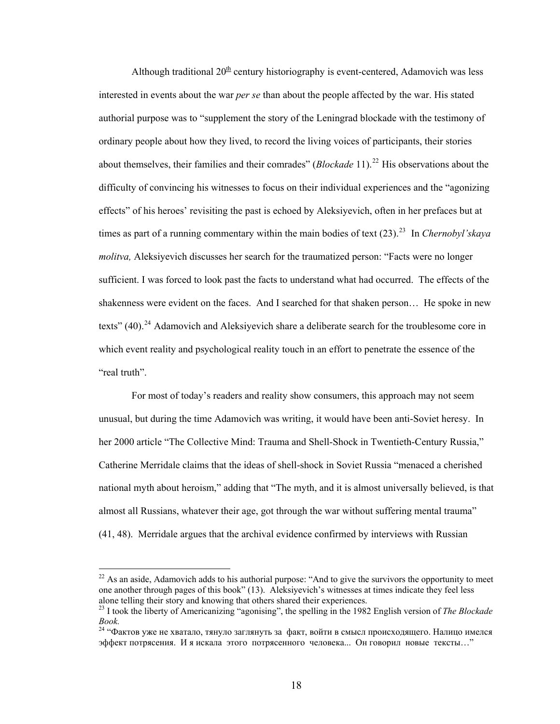Although traditional  $20^{\text{th}}$  century historiography is event-centered, Adamovich was less interested in events about the war *per se* than about the people affected by the war. His stated authorial purpose was to "supplement the story of the Leningrad blockade with the testimony of ordinary people about how they lived, to record the living voices of participants, their stories about themselves, their families and their comrades" (*Blockade* 11).<sup>[22](#page-23-0)</sup> His observations about the difficulty of convincing his witnesses to focus on their individual experiences and the "agonizing effects" of his heroes' revisiting the past is echoed by Aleksiyevich, often in her prefaces but at times as part of a running commentary within the main bodies of text ([23](#page-23-1)).<sup>23</sup> In *Chernobyl'skaya molitva,* Aleksiyevich discusses her search for the traumatized person: "Facts were no longer sufficient. I was forced to look past the facts to understand what had occurred. The effects of the shakenness were evident on the faces. And I searched for that shaken person… He spoke in new texts"  $(40)$ .<sup>[24](#page-23-2)</sup> Adamovich and Aleksiyevich share a deliberate search for the troublesome core in which event reality and psychological reality touch in an effort to penetrate the essence of the "real truth".

 For most of today's readers and reality show consumers, this approach may not seem unusual, but during the time Adamovich was writing, it would have been anti-Soviet heresy. In her 2000 article "The Collective Mind: Trauma and Shell-Shock in Twentieth-Century Russia," Catherine Merridale claims that the ideas of shell-shock in Soviet Russia "menaced a cherished national myth about heroism," adding that "The myth, and it is almost universally believed, is that almost all Russians, whatever their age, got through the war without suffering mental trauma" (41, 48). Merridale argues that the archival evidence confirmed by interviews with Russian

<span id="page-23-0"></span> $22$  As an aside, Adamovich adds to his authorial purpose: "And to give the survivors the opportunity to meet one another through pages of this book" (13). Aleksiyevich's witnesses at times indicate they feel less alone telling their story and knowing that others shared their experiences.

<span id="page-23-1"></span><sup>23</sup> I took the liberty of Americanizing "agonising", the spelling in the 1982 English version of *The Blockade Book.*

<span id="page-23-2"></span><sup>24 &</sup>quot;Фактов уже не хватало, тянуло заглянуть за факт, войти в смысл происходящего. Налицо имелся эффект потрясения. И я искала этого потрясенного человека... Он говорил новые тексты…"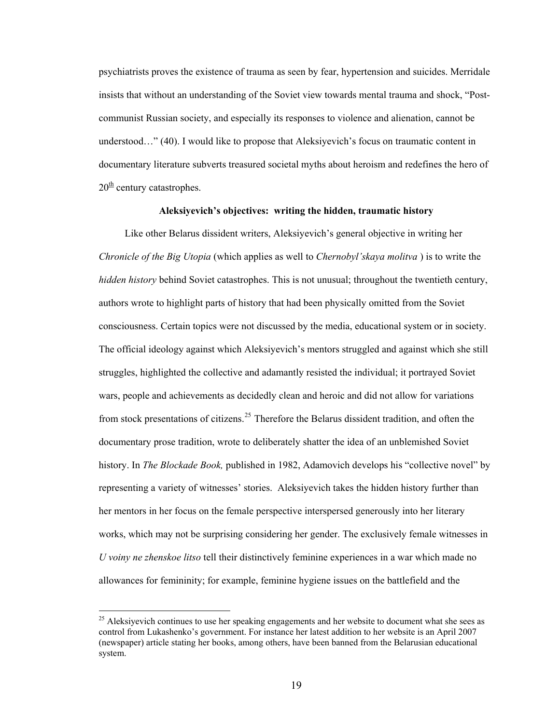psychiatrists proves the existence of trauma as seen by fear, hypertension and suicides. Merridale insists that without an understanding of the Soviet view towards mental trauma and shock, "Postcommunist Russian society, and especially its responses to violence and alienation, cannot be understood…" (40). I would like to propose that Aleksiyevich's focus on traumatic content in documentary literature subverts treasured societal myths about heroism and redefines the hero of  $20<sup>th</sup>$  century catastrophes.

## **Aleksiyevich's objectives: writing the hidden, traumatic history**

Like other Belarus dissident writers, Aleksiyevich's general objective in writing her *Chronicle of the Big Utopia* (which applies as well to *Chernobyl'skaya molitva* ) is to write the *hidden history* behind Soviet catastrophes. This is not unusual; throughout the twentieth century, authors wrote to highlight parts of history that had been physically omitted from the Soviet consciousness. Certain topics were not discussed by the media, educational system or in society. The official ideology against which Aleksiyevich's mentors struggled and against which she still struggles, highlighted the collective and adamantly resisted the individual; it portrayed Soviet wars, people and achievements as decidedly clean and heroic and did not allow for variations from stock presentations of citizens.<sup>[25](#page-24-0)</sup> Therefore the Belarus dissident tradition, and often the documentary prose tradition, wrote to deliberately shatter the idea of an unblemished Soviet history. In *The Blockade Book,* published in 1982, Adamovich develops his "collective novel" by representing a variety of witnesses' stories. Aleksiyevich takes the hidden history further than her mentors in her focus on the female perspective interspersed generously into her literary works, which may not be surprising considering her gender. The exclusively female witnesses in *U voiny ne zhenskoe litso* tell their distinctively feminine experiences in a war which made no allowances for femininity; for example, feminine hygiene issues on the battlefield and the

<span id="page-24-0"></span><sup>&</sup>lt;sup>25</sup> Aleksiyevich continues to use her speaking engagements and her website to document what she sees as control from Lukashenko's government. For instance her latest addition to her website is an April 2007 (newspaper) article stating her books, among others, have been banned from the Belarusian educational system.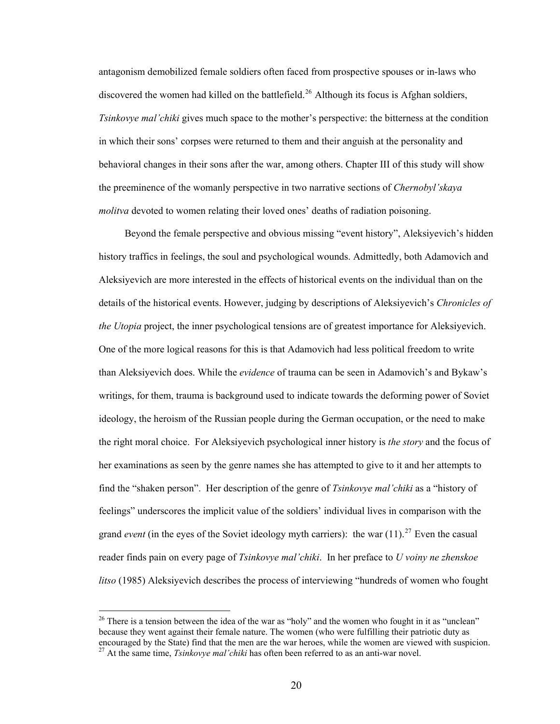antagonism demobilized female soldiers often faced from prospective spouses or in-laws who discovered the women had killed on the battlefield.<sup>[26](#page-25-0)</sup> Although its focus is Afghan soldiers, *Tsinkovye mal'chiki* gives much space to the mother's perspective: the bitterness at the condition in which their sons' corpses were returned to them and their anguish at the personality and behavioral changes in their sons after the war, among others. Chapter III of this study will show the preeminence of the womanly perspective in two narrative sections of *Chernobyl'skaya molitva* devoted to women relating their loved ones' deaths of radiation poisoning.

Beyond the female perspective and obvious missing "event history", Aleksiyevich's hidden history traffics in feelings, the soul and psychological wounds. Admittedly, both Adamovich and Aleksiyevich are more interested in the effects of historical events on the individual than on the details of the historical events. However, judging by descriptions of Aleksiyevich's *Chronicles of the Utopia* project, the inner psychological tensions are of greatest importance for Aleksiyevich. One of the more logical reasons for this is that Adamovich had less political freedom to write than Aleksiyevich does. While the *evidence* of trauma can be seen in Adamovich's and Bykaw's writings, for them, trauma is background used to indicate towards the deforming power of Soviet ideology, the heroism of the Russian people during the German occupation, or the need to make the right moral choice. For Aleksiyevich psychological inner history is *the story* and the focus of her examinations as seen by the genre names she has attempted to give to it and her attempts to find the "shaken person". Her description of the genre of *Tsinkovye mal'chiki* as a "history of feelings" underscores the implicit value of the soldiers' individual lives in comparison with the grand *event* (in the eyes of the Soviet ideology myth carriers): the war  $(11)^{27}$  $(11)^{27}$  $(11)^{27}$  Even the casual reader finds pain on every page of *Tsinkovye mal'chiki*. In her preface to *U voiny ne zhenskoe litso* (1985) Aleksiyevich describes the process of interviewing "hundreds of women who fought

<span id="page-25-1"></span><span id="page-25-0"></span> $26$  There is a tension between the idea of the war as "holy" and the women who fought in it as "unclean" because they went against their female nature. The women (who were fulfilling their patriotic duty as encouraged by the State) find that the men are the war heroes, while the women are viewed with suspicion. 27 At the same time, *Tsinkovye mal'chiki* has often been referred to as an anti-war novel.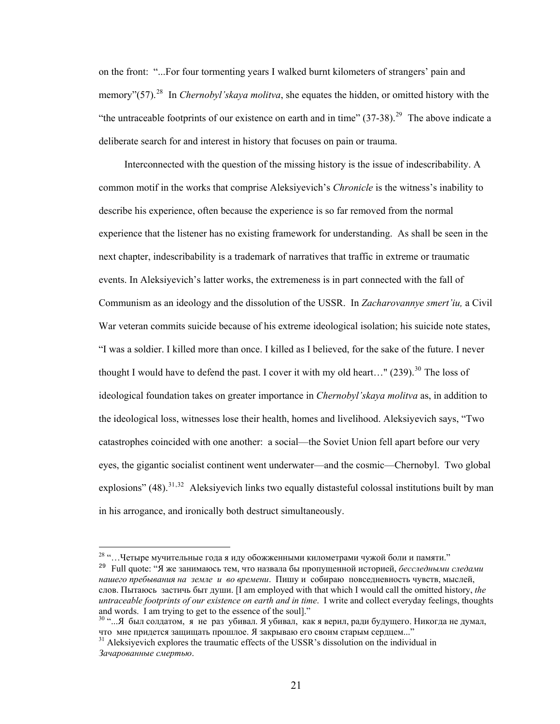on the front: "...For four tormenting years I walked burnt kilometers of strangers' pain and memory"(57).<sup>[28](#page-26-0)</sup> In *Chernobyl'skaya molitva*, she equates the hidden, or omitted history with the "the untraceable footprints of our existence on earth and in time"  $(37-38)$ <sup>[29](#page-26-1)</sup> The above indicate a deliberate search for and interest in history that focuses on pain or trauma.

Interconnected with the question of the missing history is the issue of indescribability. A common motif in the works that comprise Aleksiyevich's *Chronicle* is the witness's inability to describe his experience, often because the experience is so far removed from the normal experience that the listener has no existing framework for understanding. As shall be seen in the next chapter, indescribability is a trademark of narratives that traffic in extreme or traumatic events. In Aleksiyevich's latter works, the extremeness is in part connected with the fall of Communism as an ideology and the dissolution of the USSR. In *Zacharovannye smert'iu,* a Civil War veteran commits suicide because of his extreme ideological isolation; his suicide note states, "I was a soldier. I killed more than once. I killed as I believed, for the sake of the future. I never thought I would have to defend the past. I cover it with my old heart..."  $(239)$ <sup>[30](#page-26-2)</sup>. The loss of ideological foundation takes on greater importance in *Chernobyl'skaya molitva* as, in addition to the ideological loss, witnesses lose their health, homes and livelihood. Aleksiyevich says, "Two catastrophes coincided with one another: a social—the Soviet Union fell apart before our very eyes, the gigantic socialist continent went underwater—and the cosmic—Chernobyl. Two global explosions"  $(48)$ <sup>[31](#page-26-3),[32](#page-26-2)</sup> Aleksiyevich links two equally distasteful colossal institutions built by man in his arrogance, and ironically both destruct simultaneously.

 $^{28}$  "... Четыре мучительные года я иду обожженными километрами чужой боли и памяти."

<span id="page-26-1"></span><span id="page-26-0"></span><sup>29</sup> Full quote: "Я же занимаюсь тем, что назвала бы пропущенной историей, *бесследными следами нашего пребывания на земле и во времени*. Пишу и собираю повседневность чувств, мыслей, слов. Пытаюсь застичь быт души. [I am employed with that which I would call the omitted history, *the untraceable footprints of our existence on earth and in time*. I write and collect everyday feelings, thoughts and words. I am trying to get to the essence of the soul]."

<span id="page-26-2"></span><sup>&</sup>lt;sup>30</sup> "...Я был солдатом, я не раз убивал. Я убивал, как я верил, ради будущего. Никогда не думал, что мне придется защищать прошлое. <sup>Я</sup> закрываю его своим старым сердцем..." 31 Aleksiyevich explores the traumatic effects of the USSR's dissolution on the individual in

<span id="page-26-3"></span>*Зачарованные смертью*.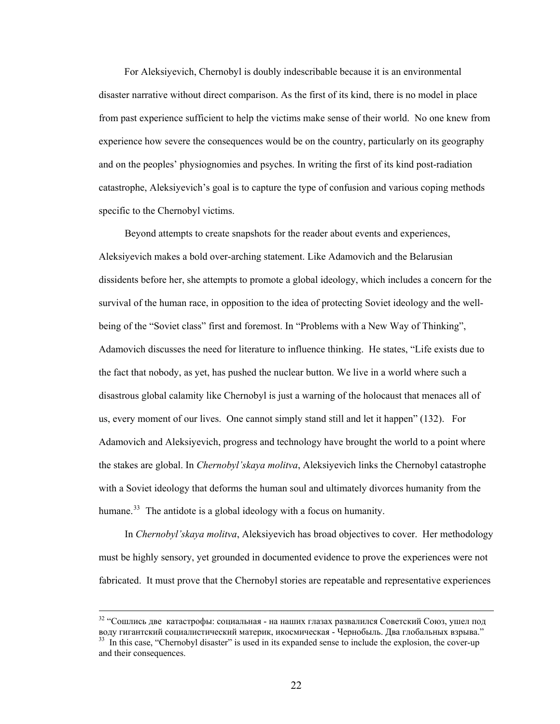For Aleksiyevich, Chernobyl is doubly indescribable because it is an environmental disaster narrative without direct comparison. As the first of its kind, there is no model in place from past experience sufficient to help the victims make sense of their world. No one knew from experience how severe the consequences would be on the country, particularly on its geography and on the peoples' physiognomies and psyches. In writing the first of its kind post-radiation catastrophe, Aleksiyevich's goal is to capture the type of confusion and various coping methods specific to the Chernobyl victims.

 Beyond attempts to create snapshots for the reader about events and experiences, Aleksiyevich makes a bold over-arching statement. Like Adamovich and the Belarusian dissidents before her, she attempts to promote a global ideology, which includes a concern for the survival of the human race, in opposition to the idea of protecting Soviet ideology and the wellbeing of the "Soviet class" first and foremost. In "Problems with a New Way of Thinking", Adamovich discusses the need for literature to influence thinking. He states, "Life exists due to the fact that nobody, as yet, has pushed the nuclear button. We live in a world where such a disastrous global calamity like Chernobyl is just a warning of the holocaust that menaces all of us, every moment of our lives. One cannot simply stand still and let it happen" (132). For Adamovich and Aleksiyevich, progress and technology have brought the world to a point where the stakes are global. In *Chernobyl'skaya molitva*, Aleksiyevich links the Chernobyl catastrophe with a Soviet ideology that deforms the human soul and ultimately divorces humanity from the humane.<sup>[33](#page-27-0)</sup> The antidote is a global ideology with a focus on humanity.

In *Chernobyl'skaya molitva*, Aleksiyevich has broad objectives to cover. Her methodology must be highly sensory, yet grounded in documented evidence to prove the experiences were not fabricated. It must prove that the Chernobyl stories are repeatable and representative experiences

<span id="page-27-0"></span><sup>&</sup>lt;sup>32</sup> "Сошлись две катастрофы: социальная - на наших глазах развалился Советский Союз, ушел под<br>воду гигантский социалистический материк, икосмическая - Чернобыль. Два глобальных взрыва."  $33$  In this case, "Chernobyl disaster" is used in its expanded sense to include the explosion, the cover-up and their consequences.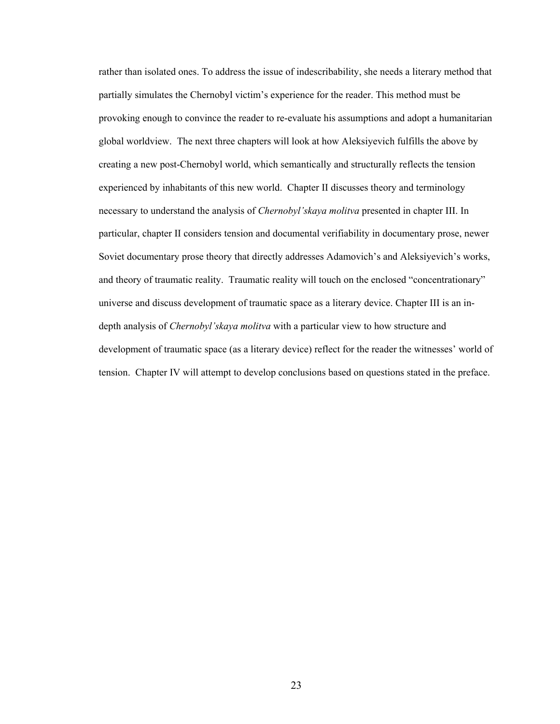rather than isolated ones. To address the issue of indescribability, she needs a literary method that partially simulates the Chernobyl victim's experience for the reader. This method must be provoking enough to convince the reader to re-evaluate his assumptions and adopt a humanitarian global worldview. The next three chapters will look at how Aleksiyevich fulfills the above by creating a new post-Chernobyl world, which semantically and structurally reflects the tension experienced by inhabitants of this new world. Chapter II discusses theory and terminology necessary to understand the analysis of *Chernobyl'skaya molitva* presented in chapter III. In particular, chapter II considers tension and documental verifiability in documentary prose, newer Soviet documentary prose theory that directly addresses Adamovich's and Aleksiyevich's works, and theory of traumatic reality. Traumatic reality will touch on the enclosed "concentrationary" universe and discuss development of traumatic space as a literary device. Chapter III is an indepth analysis of *Chernobyl'skaya molitva* with a particular view to how structure and development of traumatic space (as a literary device) reflect for the reader the witnesses' world of tension. Chapter IV will attempt to develop conclusions based on questions stated in the preface.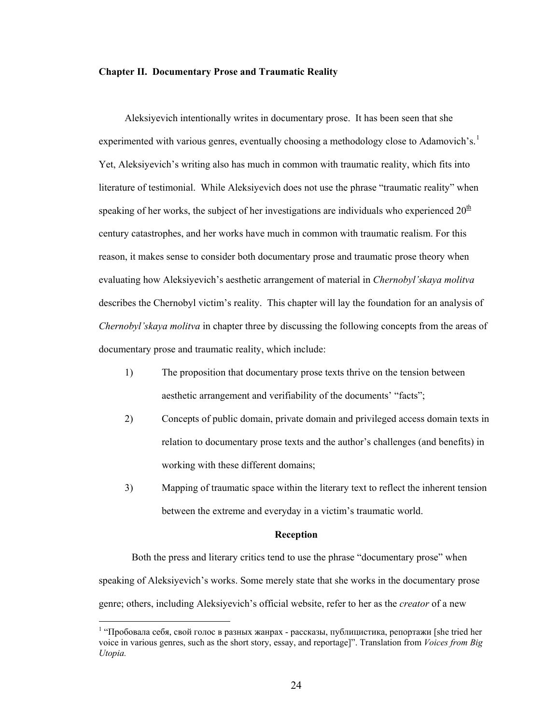## **Chapter II. Documentary Prose and Traumatic Reality**

Aleksiyevich intentionally writes in documentary prose. It has been seen that she experimented with various genres, eventually choosing a methodology close to Adamovich's.<sup>[1](#page-29-0)</sup> Yet, Aleksiyevich's writing also has much in common with traumatic reality, which fits into literature of testimonial. While Aleksiyevich does not use the phrase "traumatic reality" when speaking of her works, the subject of her investigations are individuals who experienced  $20<sup>th</sup>$ century catastrophes, and her works have much in common with traumatic realism. For this reason, it makes sense to consider both documentary prose and traumatic prose theory when evaluating how Aleksiyevich's aesthetic arrangement of material in *Chernobyl'skaya molitva*  describes the Chernobyl victim's reality. This chapter will lay the foundation for an analysis of *Chernobyl'skaya molitva* in chapter three by discussing the following concepts from the areas of documentary prose and traumatic reality, which include:

- 1) The proposition that documentary prose texts thrive on the tension between aesthetic arrangement and verifiability of the documents' "facts";
- 2) Concepts of public domain, private domain and privileged access domain texts in relation to documentary prose texts and the author's challenges (and benefits) in working with these different domains;
- 3) Mapping of traumatic space within the literary text to reflect the inherent tension between the extreme and everyday in a victim's traumatic world.

## **Reception**

Both the press and literary critics tend to use the phrase "documentary prose" when speaking of Aleksiyevich's works. Some merely state that she works in the documentary prose genre; others, including Aleksiyevich's official website, refer to her as the *creator* of a new

<span id="page-29-0"></span><sup>&</sup>lt;sup>1</sup> "Пробовала себя, свой голос в разных жанрах - рассказы, публицистика, репортажи [she tried her voice in various genres, such as the short story, essay, and reportage]". Translation from *Voices from Big Utopia.*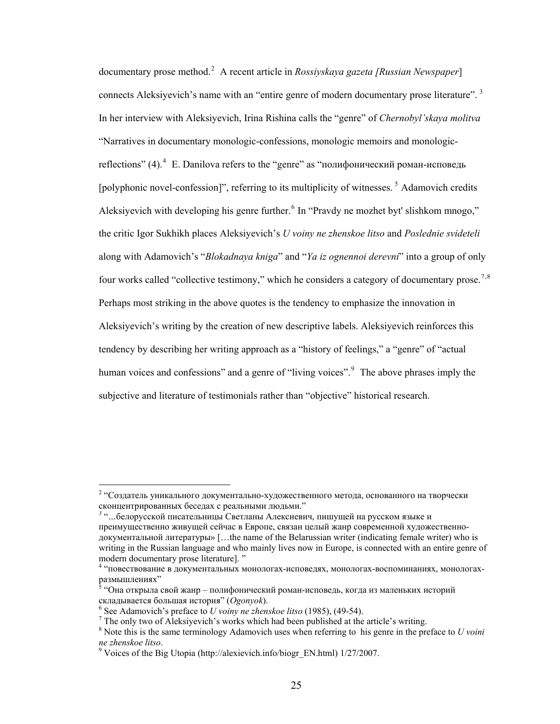documentary prose method.[2](#page-30-0) A recent article in *Rossiyskaya gazeta [Russian Newspaper*] connects Aleksiyevich's name with an "entire genre of modern documentary prose literature".<sup>[3](#page-30-1)</sup> In her interview with Aleksiyevich, Irina Rishina calls the "genre" of *Chernobyl'skaya molitva* "Narratives in documentary monologic-confessions, monologic memoirs and monologic-reflections" ([4](#page-30-2)).  $4$  E. Danilova refers to the "genre" as "полифонический роман-исповедь [polyphonic novel-confession]", referring to its multiplicity of witnesses.<sup>[5](#page-30-3)</sup> Adamovich credits Aleksiyevich with developing his genre further.<sup>[6](#page-30-4)</sup> In "Pravdy ne mozhet byt' slishkom mnogo," the critic Igor Sukhikh places Aleksiyevich's *U voiny ne zhenskoe litso* and *Poslednie svideteli* along with Adamovich's "*Blokadnaya kniga*" and "*Ya iz ognennoi derevni*" into a group of only four works called "collective testimony," which he considers a category of documentary prose.<sup>[7](#page-30-5),[8](#page-30-6)</sup> Perhaps most striking in the above quotes is the tendency to emphasize the innovation in Aleksiyevich's writing by the creation of new descriptive labels. Aleksiyevich reinforces this tendency by describing her writing approach as a "history of feelings," a "genre" of "actual human voices and confessions" and a genre of "living voices".<sup>[9](#page-30-7)</sup> The above phrases imply the subjective and literature of testimonials rather than "objective" historical research.

<span id="page-30-0"></span><sup>&</sup>lt;sup>2</sup> "Создатель уникального документально-художественного метода, основанного на творчески сконцентрированных беседах <sup>с</sup> реальными людьми." *<sup>3</sup>* "*…*белорусской писательницы Светланы Алексиевич, пишущей на русском языке <sup>и</sup>

<span id="page-30-1"></span>преимущественно живущей сейчас в Европе, связан целый жанр современной художественнодокументальной литературы» […the name of the Belarussian writer (indicating female writer) who is writing in the Russian language and who mainly lives now in Europe, is connected with an entire genre of modern documentary prose literature]. "

<span id="page-30-2"></span><sup>4</sup> "повествование в документальных монологах-исповедях, монологах-воспоминаниях, монологахразмышлениях"

<span id="page-30-3"></span> <sup>&</sup>quot;Она открыла свой жанр – полифонический роман-исповедь, когда из маленьких историй складывается большая история" (*Оgonyok*). 6

<span id="page-30-4"></span>See Adamovich's preface to *U voiny ne zhenskoe litso* (1985), (49-54). 7

<span id="page-30-5"></span> $7$  The only two of Aleksiyevich's works which had been published at the article's writing.

<span id="page-30-6"></span><sup>8</sup> Note this is the same terminology Adamovich uses when referring to his genre in the preface to *U voini ne zhenskoe litso*. 9

<span id="page-30-7"></span><sup>&</sup>lt;sup>9</sup> Voices of the Big Utopia (http://alexievich.info/biogr\_EN.html)  $1/27/2007$ .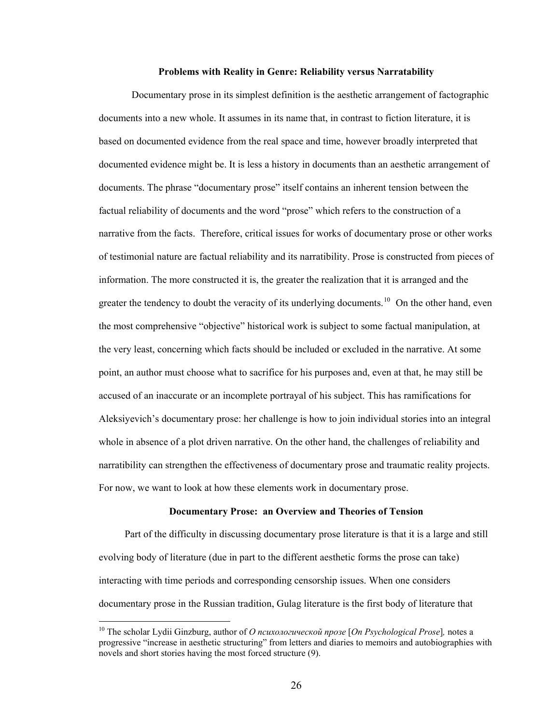### **Problems with Reality in Genre: Reliability versus Narratability**

Documentary prose in its simplest definition is the aesthetic arrangement of factographic documents into a new whole. It assumes in its name that, in contrast to fiction literature, it is based on documented evidence from the real space and time, however broadly interpreted that documented evidence might be. It is less a history in documents than an aesthetic arrangement of documents. The phrase "documentary prose" itself contains an inherent tension between the factual reliability of documents and the word "prose" which refers to the construction of a narrative from the facts. Therefore, critical issues for works of documentary prose or other works of testimonial nature are factual reliability and its narratibility. Prose is constructed from pieces of information. The more constructed it is, the greater the realization that it is arranged and the greater the tendency to doubt the veracity of its underlying documents.<sup>[10](#page-31-0)</sup> On the other hand, even the most comprehensive "objective" historical work is subject to some factual manipulation, at the very least, concerning which facts should be included or excluded in the narrative. At some point, an author must choose what to sacrifice for his purposes and, even at that, he may still be accused of an inaccurate or an incomplete portrayal of his subject. This has ramifications for Aleksiyevich's documentary prose: her challenge is how to join individual stories into an integral whole in absence of a plot driven narrative. On the other hand, the challenges of reliability and narratibility can strengthen the effectiveness of documentary prose and traumatic reality projects. For now, we want to look at how these elements work in documentary prose.

## **Documentary Prose: an Overview and Theories of Tension**

 Part of the difficulty in discussing documentary prose literature is that it is a large and still evolving body of literature (due in part to the different aesthetic forms the prose can take) interacting with time periods and corresponding censorship issues. When one considers documentary prose in the Russian tradition, Gulag literature is the first body of literature that

<span id="page-31-0"></span><sup>10</sup> The scholar Lydii Ginzburg, author of *О психологической прозе* [*On Psychological Prose*]*,* notes a progressive "increase in aesthetic structuring" from letters and diaries to memoirs and autobiographies with novels and short stories having the most forced structure (9).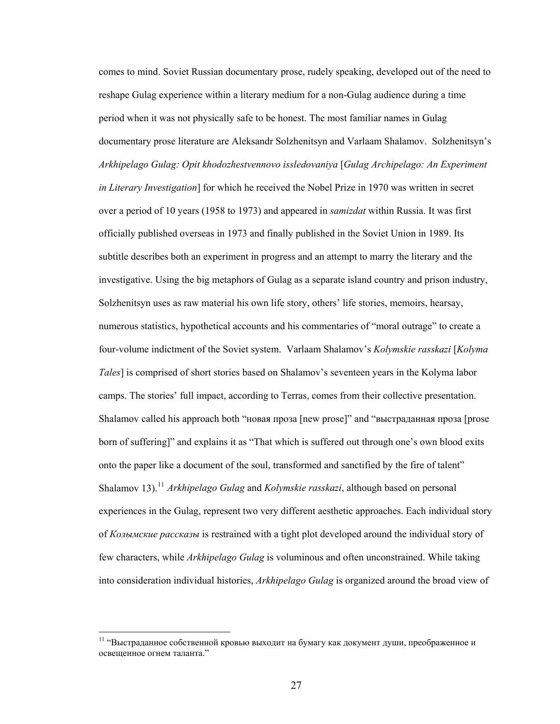comes to mind. Soviet Russian documentary prose, rudely speaking, developed out of the need to reshape Gulag experience within a literary medium for a non-Gulag audience during a time period when it was not physically safe to be honest. The most familiar names in Gulag documentary prose literature are Aleksandr Solzhenitsyn and Varlaam Shalamov. Solzhenitsyn's *Arkhipelago Gulag: Opit khodozhestvennovo issledovaniya* [*Gulag Archipelago: An Experiment in Literary Investigation*] for which he received the Nobel Prize in 1970 was written in secret over a period of 10 years (1958 to 1973) and appeared in *samizdat* within Russia. It was first officially published overseas in 1973 and finally published in the Soviet Union in 1989. Its subtitle describes both an experiment in progress and an attempt to marry the literary and the investigative. Using the big metaphors of Gulag as a separate island country and prison industry, Solzhenitsyn uses as raw material his own life story, others' life stories, memoirs, hearsay, numerous statistics, hypothetical accounts and his commentaries of "moral outrage" to create a four-volume indictment of the Soviet system. Varlaam Shalamov's *Kolymskie rasskazi* [*Kolyma Tales*] is comprised of short stories based on Shalamov's seventeen years in the Kolyma labor camps. The stories' full impact, according to Terras, comes from their collective presentation. Shalamov called his approach both "новая проза [new prose]" and "выстраданная проза [prose born of suffering]" and explains it as "That which is suffered out through one's own blood exits onto the paper like a document of the soul, transformed and sanctified by the fire of talent" Shalamov 13).<sup>[11](#page-32-0)</sup> *Arkhipelago Gulag and Kolymskie rasskazi*, although based on personal experiences in the Gulag, represent two very different aesthetic approaches. Each individual story of *Колымские рассказы* is restrained with a tight plot developed around the individual story of few characters, while *Arkhipelago Gulag* is voluminous and often unconstrained. While taking into consideration individual histories, *Arkhipelago Gulag* is organized around the broad view of

<span id="page-32-0"></span> $11$  "Выстраданное собственной кровью выходит на бумагу как документ души, преображенное и освещенное огнем таланта."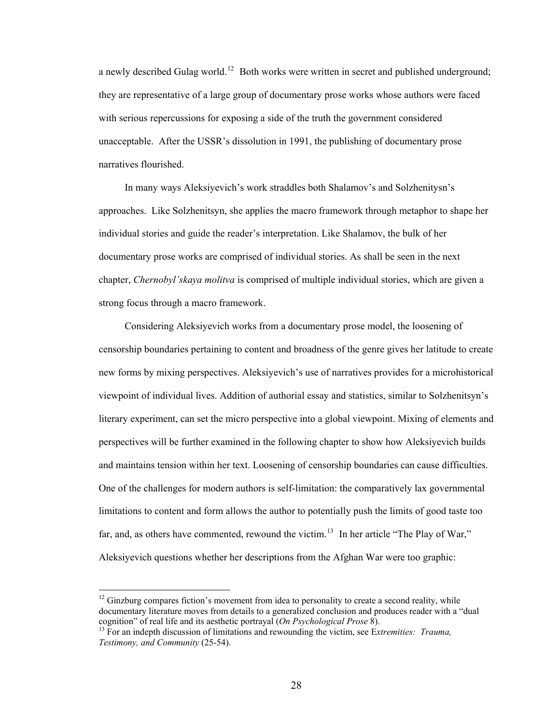a newly described Gulag world.<sup>[12](#page-33-0)</sup> Both works were written in secret and published underground; they are representative of a large group of documentary prose works whose authors were faced with serious repercussions for exposing a side of the truth the government considered unacceptable. After the USSR's dissolution in 1991, the publishing of documentary prose narratives flourished.

 In many ways Aleksiyevich's work straddles both Shalamov's and Solzhenitysn's approaches. Like Solzhenitsyn, she applies the macro framework through metaphor to shape her individual stories and guide the reader's interpretation. Like Shalamov, the bulk of her documentary prose works are comprised of individual stories. As shall be seen in the next chapter, *Chernobyl'skaya molitva* is comprised of multiple individual stories, which are given a strong focus through a macro framework.

Considering Aleksiyevich works from a documentary prose model, the loosening of censorship boundaries pertaining to content and broadness of the genre gives her latitude to create new forms by mixing perspectives. Aleksiyevich's use of narratives provides for a microhistorical viewpoint of individual lives. Addition of authorial essay and statistics, similar to Solzhenitsyn's literary experiment, can set the micro perspective into a global viewpoint. Mixing of elements and perspectives will be further examined in the following chapter to show how Aleksiyevich builds and maintains tension within her text. Loosening of censorship boundaries can cause difficulties. One of the challenges for modern authors is self-limitation: the comparatively lax governmental limitations to content and form allows the author to potentially push the limits of good taste too far, and, as others have commented, rewound the victim.<sup>[13](#page-33-1)</sup> In her article "The Play of War," Aleksiyevich questions whether her descriptions from the Afghan War were too graphic:

<span id="page-33-0"></span> $12$  Ginzburg compares fiction's movement from idea to personality to create a second reality, while documentary literature moves from details to a generalized conclusion and produces reader with a "dual cognition" of real life and its aesthetic portrayal  $(On \text{Psychological \text{ } Prose 8})$ .

<span id="page-33-1"></span><sup>&</sup>lt;sup>13</sup> For an indepth discussion of limitations and rewounding the victim, see Extremities: *Trauma*, *Testimony, and Community* (25-54).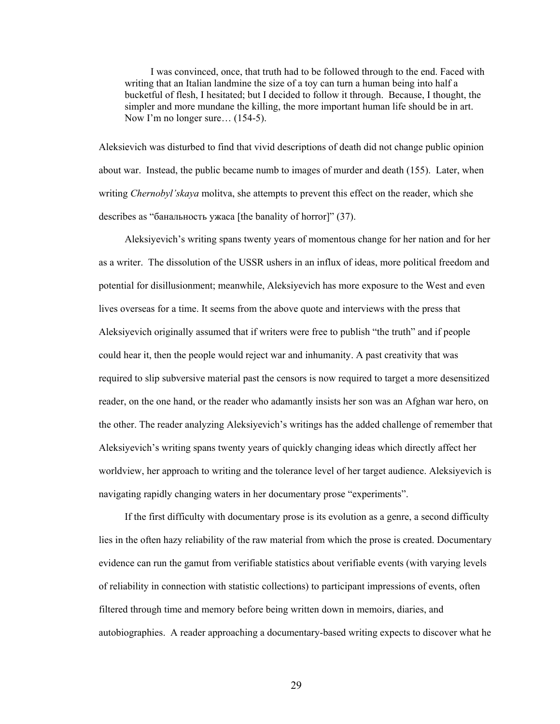I was convinced, once, that truth had to be followed through to the end. Faced with writing that an Italian landmine the size of a toy can turn a human being into half a bucketful of flesh, I hesitated; but I decided to follow it through. Because, I thought, the simpler and more mundane the killing, the more important human life should be in art. Now I'm no longer sure...  $(154-5)$ .

Aleksievich was disturbed to find that vivid descriptions of death did not change public opinion about war. Instead, the public became numb to images of murder and death (155). Later, when writing *Chernobyl'skaya* molitva, she attempts to prevent this effect on the reader, which she describes as "банальность ужаса [the banality of horror]" (37).

Aleksiyevich's writing spans twenty years of momentous change for her nation and for her as a writer. The dissolution of the USSR ushers in an influx of ideas, more political freedom and potential for disillusionment; meanwhile, Aleksiyevich has more exposure to the West and even lives overseas for a time. It seems from the above quote and interviews with the press that Aleksiyevich originally assumed that if writers were free to publish "the truth" and if people could hear it, then the people would reject war and inhumanity. A past creativity that was required to slip subversive material past the censors is now required to target a more desensitized reader, on the one hand, or the reader who adamantly insists her son was an Afghan war hero, on the other. The reader analyzing Aleksiyevich's writings has the added challenge of remember that Aleksiyevich's writing spans twenty years of quickly changing ideas which directly affect her worldview, her approach to writing and the tolerance level of her target audience. Aleksiyevich is navigating rapidly changing waters in her documentary prose "experiments".

If the first difficulty with documentary prose is its evolution as a genre, a second difficulty lies in the often hazy reliability of the raw material from which the prose is created. Documentary evidence can run the gamut from verifiable statistics about verifiable events (with varying levels of reliability in connection with statistic collections) to participant impressions of events, often filtered through time and memory before being written down in memoirs, diaries, and autobiographies. A reader approaching a documentary-based writing expects to discover what he

29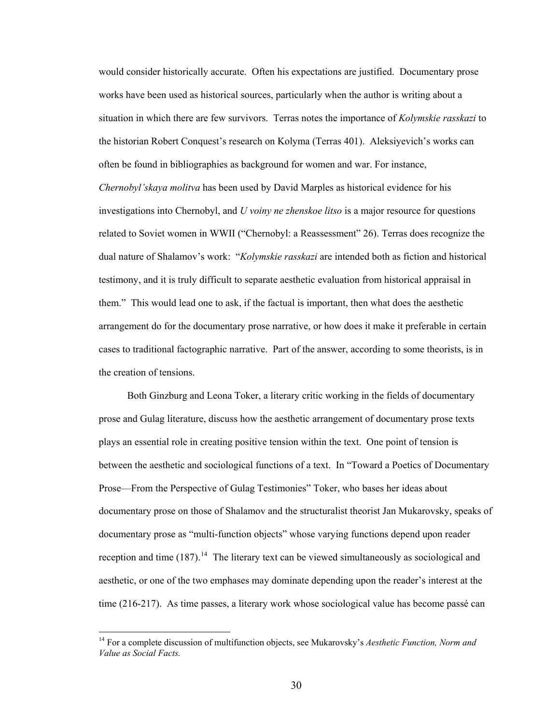would consider historically accurate. Often his expectations are justified. Documentary prose works have been used as historical sources, particularly when the author is writing about a situation in which there are few survivors. Terras notes the importance of *Kolymskie rasskazi* to the historian Robert Conquest's research on Kolyma (Terras 401). Aleksiyevich's works can often be found in bibliographies as background for women and war. For instance, *Chernobyl'skaya molitva* has been used by David Marples as historical evidence for his investigations into Chernobyl, and *U voiny ne zhenskoe litso* is a major resource for questions related to Soviet women in WWII ("Chernobyl: a Reassessment" 26). Terras does recognize the dual nature of Shalamov's work: "*Kolymskie rasskazi* are intended both as fiction and historical testimony, and it is truly difficult to separate aesthetic evaluation from historical appraisal in them." This would lead one to ask, if the factual is important, then what does the aesthetic arrangement do for the documentary prose narrative, or how does it make it preferable in certain cases to traditional factographic narrative. Part of the answer, according to some theorists, is in the creation of tensions.

 Both Ginzburg and Leona Toker, a literary critic working in the fields of documentary prose and Gulag literature, discuss how the aesthetic arrangement of documentary prose texts plays an essential role in creating positive tension within the text. One point of tension is between the aesthetic and sociological functions of a text. In "Toward a Poetics of Documentary Prose—From the Perspective of Gulag Testimonies" Toker, who bases her ideas about documentary prose on those of Shalamov and the structuralist theorist Jan Mukarovsky, speaks of documentary prose as "multi-function objects" whose varying functions depend upon reader reception and time  $(187)$ .<sup>[14](#page-35-0)</sup> The literary text can be viewed simultaneously as sociological and aesthetic, or one of the two emphases may dominate depending upon the reader's interest at the time (216-217). As time passes, a literary work whose sociological value has become passé can

<span id="page-35-0"></span><sup>14</sup> For a complete discussion of multifunction objects, see Mukarovsky's *Aesthetic Function, Norm and Value as Social Facts.*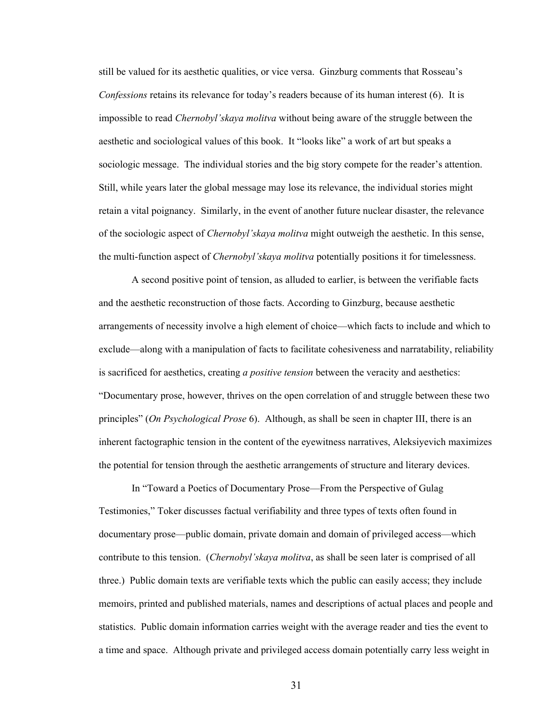still be valued for its aesthetic qualities, or vice versa. Ginzburg comments that Rosseau's *Confessions* retains its relevance for today's readers because of its human interest (6). It is impossible to read *Chernobyl'skaya molitva* without being aware of the struggle between the aesthetic and sociological values of this book. It "looks like" a work of art but speaks a sociologic message. The individual stories and the big story compete for the reader's attention. Still, while years later the global message may lose its relevance, the individual stories might retain a vital poignancy. Similarly, in the event of another future nuclear disaster, the relevance of the sociologic aspect of *Chernobyl'skaya molitva* might outweigh the aesthetic. In this sense, the multi-function aspect of *Chernobyl'skaya molitva* potentially positions it for timelessness.

A second positive point of tension, as alluded to earlier, is between the verifiable facts and the aesthetic reconstruction of those facts. According to Ginzburg, because aesthetic arrangements of necessity involve a high element of choice—which facts to include and which to exclude—along with a manipulation of facts to facilitate cohesiveness and narratability, reliability is sacrificed for aesthetics, creating *a positive tension* between the veracity and aesthetics: "Documentary prose, however, thrives on the open correlation of and struggle between these two principles" (*On Psychological Prose* 6). Although, as shall be seen in chapter III, there is an inherent factographic tension in the content of the eyewitness narratives, Aleksiyevich maximizes the potential for tension through the aesthetic arrangements of structure and literary devices.

In "Toward a Poetics of Documentary Prose—From the Perspective of Gulag Testimonies," Toker discusses factual verifiability and three types of texts often found in documentary prose—public domain, private domain and domain of privileged access—which contribute to this tension. (*Chernobyl'skaya molitva*, as shall be seen later is comprised of all three.) Public domain texts are verifiable texts which the public can easily access; they include memoirs, printed and published materials, names and descriptions of actual places and people and statistics. Public domain information carries weight with the average reader and ties the event to a time and space. Although private and privileged access domain potentially carry less weight in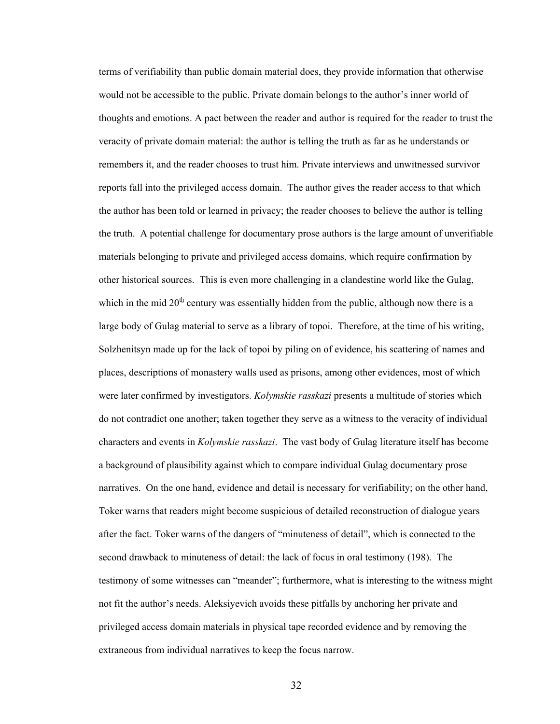terms of verifiability than public domain material does, they provide information that otherwise would not be accessible to the public. Private domain belongs to the author's inner world of thoughts and emotions. A pact between the reader and author is required for the reader to trust the veracity of private domain material: the author is telling the truth as far as he understands or remembers it, and the reader chooses to trust him. Private interviews and unwitnessed survivor reports fall into the privileged access domain. The author gives the reader access to that which the author has been told or learned in privacy; the reader chooses to believe the author is telling the truth. A potential challenge for documentary prose authors is the large amount of unverifiable materials belonging to private and privileged access domains, which require confirmation by other historical sources. This is even more challenging in a clandestine world like the Gulag, which in the mid  $20<sup>th</sup>$  century was essentially hidden from the public, although now there is a large body of Gulag material to serve as a library of topoi. Therefore, at the time of his writing, Solzhenitsyn made up for the lack of topoi by piling on of evidence, his scattering of names and places, descriptions of monastery walls used as prisons, among other evidences, most of which were later confirmed by investigators. *Kolymskie rasskazi* presents a multitude of stories which do not contradict one another; taken together they serve as a witness to the veracity of individual characters and events in *Kolymskie rasskazi*. The vast body of Gulag literature itself has become a background of plausibility against which to compare individual Gulag documentary prose narratives. On the one hand, evidence and detail is necessary for verifiability; on the other hand, Toker warns that readers might become suspicious of detailed reconstruction of dialogue years after the fact. Toker warns of the dangers of "minuteness of detail", which is connected to the second drawback to minuteness of detail: the lack of focus in oral testimony (198). The testimony of some witnesses can "meander"; furthermore, what is interesting to the witness might not fit the author's needs. Aleksiyevich avoids these pitfalls by anchoring her private and privileged access domain materials in physical tape recorded evidence and by removing the extraneous from individual narratives to keep the focus narrow.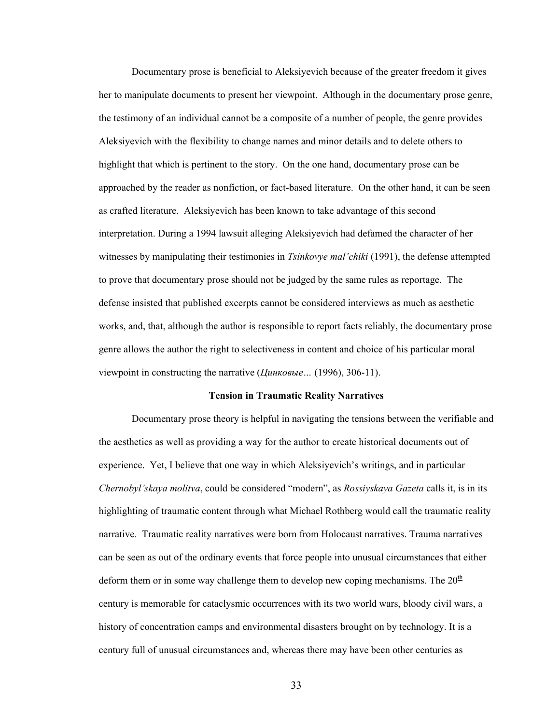Documentary prose is beneficial to Aleksiyevich because of the greater freedom it gives her to manipulate documents to present her viewpoint. Although in the documentary prose genre, the testimony of an individual cannot be a composite of a number of people, the genre provides Aleksiyevich with the flexibility to change names and minor details and to delete others to highlight that which is pertinent to the story. On the one hand, documentary prose can be approached by the reader as nonfiction, or fact-based literature. On the other hand, it can be seen as crafted literature. Aleksiyevich has been known to take advantage of this second interpretation. During a 1994 lawsuit alleging Aleksiyevich had defamed the character of her witnesses by manipulating their testimonies in *Tsinkovye mal'chiki* (1991), the defense attempted to prove that documentary prose should not be judged by the same rules as reportage. The defense insisted that published excerpts cannot be considered interviews as much as aesthetic works, and, that, although the author is responsible to report facts reliably, the documentary prose genre allows the author the right to selectiveness in content and choice of his particular moral viewpoint in constructing the narrative (*Цинковые…* (1996), 306-11).

#### **Tension in Traumatic Reality Narratives**

Documentary prose theory is helpful in navigating the tensions between the verifiable and the aesthetics as well as providing a way for the author to create historical documents out of experience. Yet, I believe that one way in which Aleksiyevich's writings, and in particular *Chernobyl'skaya molitva*, could be considered "modern", as *Rossiyskaya Gazeta* calls it, is in its highlighting of traumatic content through what Michael Rothberg would call the traumatic reality narrative. Traumatic reality narratives were born from Holocaust narratives. Trauma narratives can be seen as out of the ordinary events that force people into unusual circumstances that either deform them or in some way challenge them to develop new coping mechanisms. The  $20<sup>th</sup>$ century is memorable for cataclysmic occurrences with its two world wars, bloody civil wars, a history of concentration camps and environmental disasters brought on by technology. It is a century full of unusual circumstances and, whereas there may have been other centuries as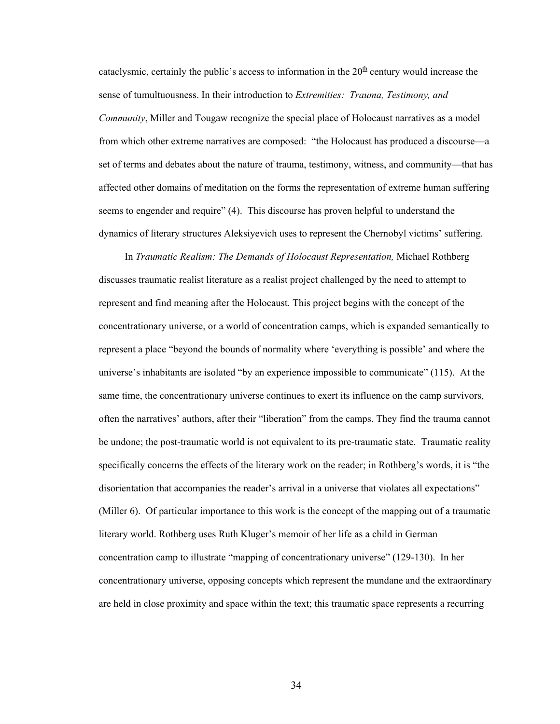cataclysmic, certainly the public's access to information in the  $20<sup>th</sup>$  century would increase the sense of tumultuousness. In their introduction to *Extremities: Trauma, Testimony, and Community*, Miller and Tougaw recognize the special place of Holocaust narratives as a model from which other extreme narratives are composed: "the Holocaust has produced a discourse—a set of terms and debates about the nature of trauma, testimony, witness, and community—that has affected other domains of meditation on the forms the representation of extreme human suffering seems to engender and require" (4). This discourse has proven helpful to understand the dynamics of literary structures Aleksiyevich uses to represent the Chernobyl victims' suffering.

In *Traumatic Realism: The Demands of Holocaust Representation,* Michael Rothberg discusses traumatic realist literature as a realist project challenged by the need to attempt to represent and find meaning after the Holocaust. This project begins with the concept of the concentrationary universe, or a world of concentration camps, which is expanded semantically to represent a place "beyond the bounds of normality where 'everything is possible' and where the universe's inhabitants are isolated "by an experience impossible to communicate" (115). At the same time, the concentrationary universe continues to exert its influence on the camp survivors, often the narratives' authors, after their "liberation" from the camps. They find the trauma cannot be undone; the post-traumatic world is not equivalent to its pre-traumatic state. Traumatic reality specifically concerns the effects of the literary work on the reader; in Rothberg's words, it is "the disorientation that accompanies the reader's arrival in a universe that violates all expectations" (Miller 6). Of particular importance to this work is the concept of the mapping out of a traumatic literary world. Rothberg uses Ruth Kluger's memoir of her life as a child in German concentration camp to illustrate "mapping of concentrationary universe" (129-130). In her concentrationary universe, opposing concepts which represent the mundane and the extraordinary are held in close proximity and space within the text; this traumatic space represents a recurring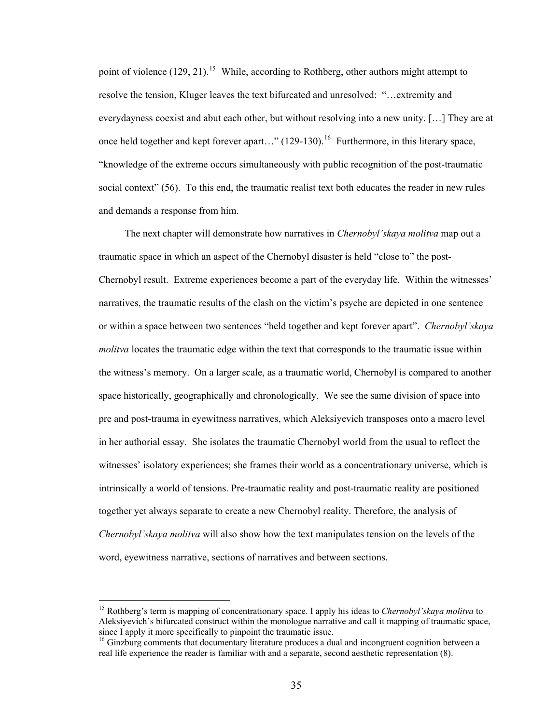point of violence  $(129, 21)$ .<sup>[15](#page-40-0)</sup> While, according to Rothberg, other authors might attempt to resolve the tension, Kluger leaves the text bifurcated and unresolved: "…extremity and everydayness coexist and abut each other, but without resolving into a new unity. […] They are at once held together and kept forever apart..." (129-130).<sup>[16](#page-40-1)</sup> Furthermore, in this literary space, "knowledge of the extreme occurs simultaneously with public recognition of the post-traumatic social context" (56). To this end, the traumatic realist text both educates the reader in new rules and demands a response from him.

The next chapter will demonstrate how narratives in *Chernobyl'skaya molitva* map out a traumatic space in which an aspect of the Chernobyl disaster is held "close to" the post-Chernobyl result. Extreme experiences become a part of the everyday life. Within the witnesses' narratives, the traumatic results of the clash on the victim's psyche are depicted in one sentence or within a space between two sentences "held together and kept forever apart". *Chernobyl'skaya molitva* locates the traumatic edge within the text that corresponds to the traumatic issue within the witness's memory. On a larger scale, as a traumatic world, Chernobyl is compared to another space historically, geographically and chronologically. We see the same division of space into pre and post-trauma in eyewitness narratives, which Aleksiyevich transposes onto a macro level in her authorial essay. She isolates the traumatic Chernobyl world from the usual to reflect the witnesses' isolatory experiences; she frames their world as a concentrationary universe, which is intrinsically a world of tensions. Pre-traumatic reality and post-traumatic reality are positioned together yet always separate to create a new Chernobyl reality. Therefore, the analysis of *Chernobyl'skaya molitva* will also show how the text manipulates tension on the levels of the word, eyewitness narrative, sections of narratives and between sections.

<span id="page-40-0"></span><sup>15</sup> Rothberg's term is mapping of concentrationary space. I apply his ideas to *Chernobyl'skaya molitva* to Aleksiyevich's bifurcated construct within the monologue narrative and call it mapping of traumatic space, since I apply it more specifically to pinpoint the traumatic issue.<br><sup>16</sup> Ginzburg comments that documentary literature produces a dual and incongruent cognition between a

<span id="page-40-1"></span>real life experience the reader is familiar with and a separate, second aesthetic representation (8).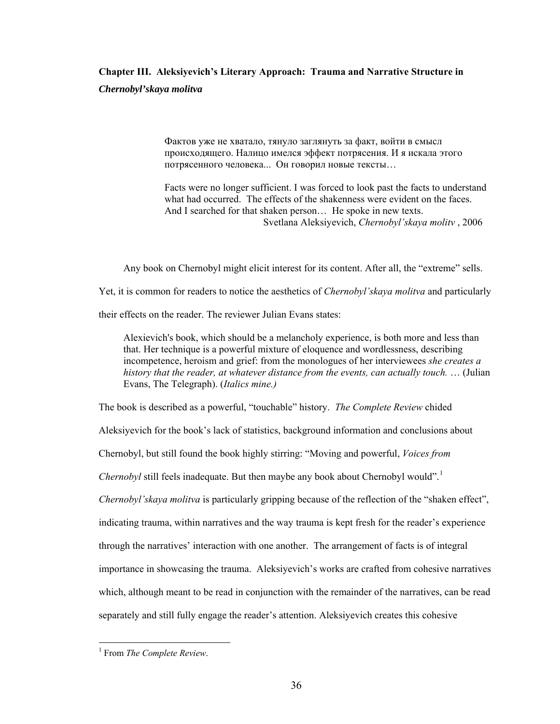# **Chapter III. Aleksiyevich's Literary Approach: Trauma and Narrative Structure in**  *Chernobyl'skaya molitva*

Фактов уже не хватало, тянуло заглянуть за факт, войти в смысл происходящего. Налицо имелся эффект потрясения. И я искала этого потрясенного человека... Он говорил новые тексты…

Facts were no longer sufficient. I was forced to look past the facts to understand what had occurred. The effects of the shakenness were evident on the faces. And I searched for that shaken person… He spoke in new texts. Svetlana Aleksiyevich, *Chernobyl'skaya molitv* , 2006

Any book on Chernobyl might elicit interest for its content. After all, the "extreme" sells.

Yet, it is common for readers to notice the aesthetics of *Chernobyl'skaya molitva* and particularly

their effects on the reader. The reviewer Julian Evans states:

Alexievich's book, which should be a melancholy experience, is both more and less than that. Her technique is a powerful mixture of eloquence and wordlessness, describing incompetence, heroism and grief: from the monologues of her interviewees *she creates a history that the reader, at whatever distance from the events, can actually touch.* … (Julian Evans, The Telegraph). (*Italics mine.)* 

The book is described as a powerful, "touchable" history. *The Complete Review* chided

Aleksiyevich for the book's lack of statistics, background information and conclusions about

Chernobyl, but still found the book highly stirring: "Moving and powerful, *Voices from* 

*Chernobyl* still feels inadequate. But then maybe any book about Chernobyl would".<sup>[1](#page-41-0)</sup>

*Chernobyl'skaya molitva* is particularly gripping because of the reflection of the "shaken effect",

indicating trauma, within narratives and the way trauma is kept fresh for the reader's experience

through the narratives' interaction with one another. The arrangement of facts is of integral

importance in showcasing the trauma. Aleksiyevich's works are crafted from cohesive narratives

which, although meant to be read in conjunction with the remainder of the narratives, can be read

separately and still fully engage the reader's attention. Aleksiyevich creates this cohesive

<span id="page-41-0"></span><sup>1</sup> From *The Complete Review*.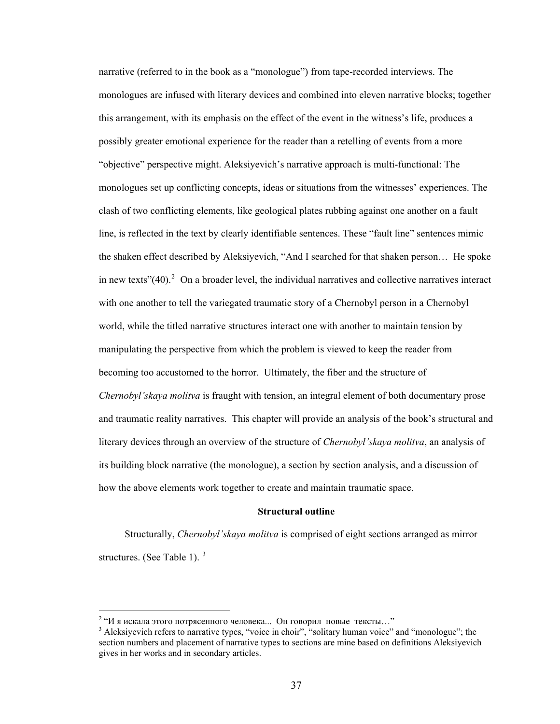narrative (referred to in the book as a "monologue") from tape-recorded interviews. The monologues are infused with literary devices and combined into eleven narrative blocks; together this arrangement, with its emphasis on the effect of the event in the witness's life, produces a possibly greater emotional experience for the reader than a retelling of events from a more "objective" perspective might. Aleksiyevich's narrative approach is multi-functional: The monologues set up conflicting concepts, ideas or situations from the witnesses' experiences. The clash of two conflicting elements, like geological plates rubbing against one another on a fault line, is reflected in the text by clearly identifiable sentences. These "fault line" sentences mimic the shaken effect described by Aleksiyevich, "And I searched for that shaken person… He spoke in new texts" $(40)$ .<sup>[2](#page-42-0)</sup> On a broader level, the individual narratives and collective narratives interact with one another to tell the variegated traumatic story of a Chernobyl person in a Chernobyl world, while the titled narrative structures interact one with another to maintain tension by manipulating the perspective from which the problem is viewed to keep the reader from becoming too accustomed to the horror. Ultimately, the fiber and the structure of *Chernobyl'skaya molitva* is fraught with tension, an integral element of both documentary prose and traumatic reality narratives. This chapter will provide an analysis of the book's structural and literary devices through an overview of the structure of *Chernobyl'skaya molitva*, an analysis of its building block narrative (the monologue), a section by section analysis, and a discussion of how the above elements work together to create and maintain traumatic space.

#### **Structural outline**

Structurally, *Chernobyl'skaya molitva* is comprised of eight sections arranged as mirror structures. (See Table 1).  $3\overline{ }$  $3\overline{ }$ 

<sup>&</sup>lt;sup>2</sup> "И я искала этого потрясенного человека... Он говорил новые тексты..."<br><sup>3</sup> Aleksivariek refers to permaine times "veice in choir" "colitary human veice"

<span id="page-42-1"></span><span id="page-42-0"></span><sup>&</sup>lt;sup>3</sup> Aleksiyevich refers to narrative types, "voice in choir", "solitary human voice" and "monologue"; the section numbers and placement of narrative types to sections are mine based on definitions Aleksiyevich gives in her works and in secondary articles.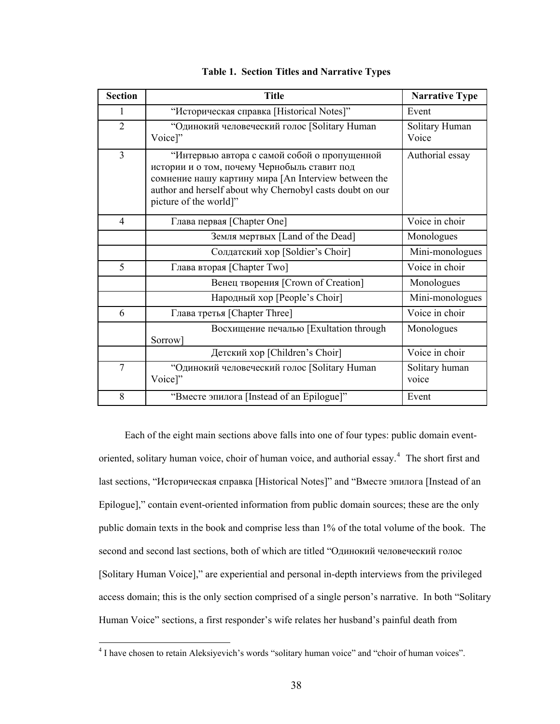| <b>Section</b> | <b>Title</b>                                                                                                                                                                                                                                | <b>Narrative Type</b>   |
|----------------|---------------------------------------------------------------------------------------------------------------------------------------------------------------------------------------------------------------------------------------------|-------------------------|
| 1              | "Историческая справка [Historical Notes]"                                                                                                                                                                                                   | Event                   |
| $\overline{2}$ | "Одинокий человеческий голос [Solitary Human<br>Voice]"                                                                                                                                                                                     | Solitary Human<br>Voice |
| $\overline{3}$ | "Интервью автора с самой собой о пропущенной<br>истории и о том, почему Чернобыль ставит под<br>сомнение нашу картину мира [An Interview between the<br>author and herself about why Chernobyl casts doubt on our<br>picture of the world]" | Authorial essay         |
| 4              | Глава первая [Chapter One]                                                                                                                                                                                                                  | Voice in choir          |
|                | Земля мертвых [Land of the Dead]                                                                                                                                                                                                            | Monologues              |
|                | Солдатский хор [Soldier's Choir]                                                                                                                                                                                                            | Mini-monologues         |
| 5              | Глава вторая [Chapter Two]                                                                                                                                                                                                                  | Voice in choir          |
|                | Венец творения [Crown of Creation]                                                                                                                                                                                                          | Monologues              |
|                | Народный хор [People's Choir]                                                                                                                                                                                                               | Mini-monologues         |
| 6              | Глава третья [Chapter Three]                                                                                                                                                                                                                | Voice in choir          |
|                | Восхищение печалью [Exultation through<br>Sorrow]                                                                                                                                                                                           | Monologues              |
|                | Детский хор [Children's Choir]                                                                                                                                                                                                              | Voice in choir          |
| $\tau$         | "Одинокий человеческий голос [Solitary Human<br>Voice]"                                                                                                                                                                                     | Solitary human<br>voice |
| 8              | "Вместе эпилога [Instead of an Epilogue]"                                                                                                                                                                                                   | Event                   |

|  |  |  |  | <b>Table 1. Section Titles and Narrative Types</b> |  |
|--|--|--|--|----------------------------------------------------|--|
|--|--|--|--|----------------------------------------------------|--|

Each of the eight main sections above falls into one of four types: public domain event-oriented, solitary human voice, choir of human voice, and authorial essay.<sup>[4](#page-43-0)</sup> The short first and last sections, "Историческая справка [Historical Notes]" and "Вместе эпилога [Instead of an Epilogue]," contain event-oriented information from public domain sources; these are the only public domain texts in the book and comprise less than 1% of the total volume of the book. The second and second last sections, both of which are titled "Одинокий человеческий голос [Solitary Human Voice]," are experiential and personal in-depth interviews from the privileged access domain; this is the only section comprised of a single person's narrative. In both "Solitary Human Voice" sections, a first responder's wife relates her husband's painful death from

<span id="page-43-0"></span> 4 I have chosen to retain Aleksiyevich's words "solitary human voice" and "choir of human voices".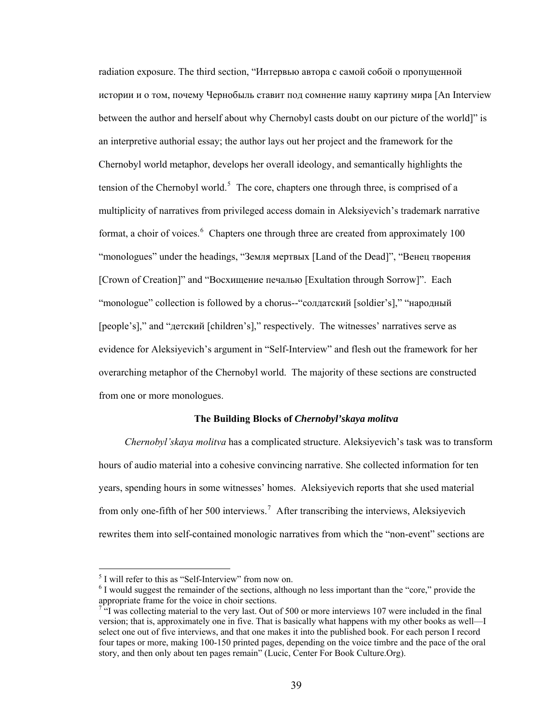radiation exposure. The third section, "Интервью автора с самой собой о пропущенной истории и о том, почему Чернобыль ставит под сомнение нашу картину мира [An Interview between the author and herself about why Chernobyl casts doubt on our picture of the world]" is an interpretive authorial essay; the author lays out her project and the framework for the Chernobyl world metaphor, develops her overall ideology, and semantically highlights the tension of the Chernobyl world.<sup>[5](#page-44-0)</sup> The core, chapters one through three, is comprised of a multiplicity of narratives from privileged access domain in Aleksiyevich's trademark narrative format, a choir of voices.<sup>[6](#page-44-1)</sup> Chapters one through three are created from approximately 100 "monologues" under the headings, "Земля мертвых [Land of the Dead]", "Венец творения [Crown of Creation]" and "Восхищение печалью [Exultation through Sorrow]". Each "monologue" collection is followed by a chorus--"cолдатский [soldier's]," "народный [people's]," and "детский [children's]," respectively. The witnesses' narratives serve as evidence for Aleksiyevich's argument in "Self-Interview" and flesh out the framework for her overarching metaphor of the Chernobyl world. The majority of these sections are constructed from one or more monologues.

## **The Building Blocks of** *Chernobyl'skaya molitva*

*Chernobyl'skaya molitva* has a complicated structure. Aleksiyevich's task was to transform hours of audio material into a cohesive convincing narrative. She collected information for ten years, spending hours in some witnesses' homes. Aleksiyevich reports that she used material from only one-fifth of her 500 interviews.<sup>[7](#page-44-2)</sup> After transcribing the interviews, Aleksiyevich rewrites them into self-contained monologic narratives from which the "non-event" sections are

<span id="page-44-0"></span><sup>&</sup>lt;sup>5</sup> I will refer to this as "Self-Interview" from now on.

<span id="page-44-1"></span> $6$  I would suggest the remainder of the sections, although no less important than the "core," provide the appropriate frame for the voice in choir sections.

<span id="page-44-2"></span> $7\degree$ I was collecting material to the very last. Out of 500 or more interviews 107 were included in the final version; that is, approximately one in five. That is basically what happens with my other books as well—I select one out of five interviews, and that one makes it into the published book. For each person I record four tapes or more, making 100-150 printed pages, depending on the voice timbre and the pace of the oral story, and then only about ten pages remain" (Lucic, Center For Book Culture.Org).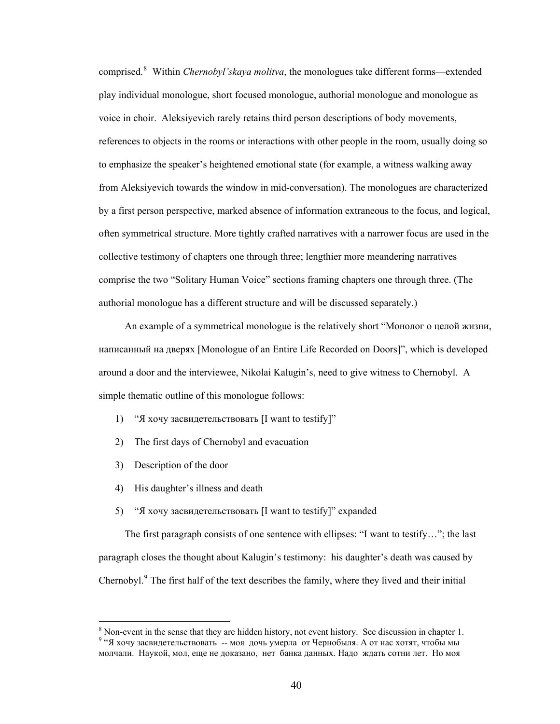comprised.[8](#page-45-0) Within *Chernobyl'skaya molitva*, the monologues take different forms—extended play individual monologue, short focused monologue, authorial monologue and monologue as voice in choir. Aleksiyevich rarely retains third person descriptions of body movements, references to objects in the rooms or interactions with other people in the room, usually doing so to emphasize the speaker's heightened emotional state (for example, a witness walking away from Aleksiyevich towards the window in mid-conversation). The monologues are characterized by a first person perspective, marked absence of information extraneous to the focus, and logical, often symmetrical structure. More tightly crafted narratives with a narrower focus are used in the collective testimony of chapters one through three; lengthier more meandering narratives comprise the two "Solitary Human Voice" sections framing chapters one through three. (The authorial monologue has a different structure and will be discussed separately.)

An example of a symmetrical monologue is the relatively short "Монолог о целой жизни, написанный на дверях [Monologue of an Entire Life Recorded on Doors]", which is developed around a door and the interviewee, Nikolai Kalugin's, need to give witness to Chernobyl. A simple thematic outline of this monologue follows:

- 1) "Я хочу засвидетельствовать [I want to testify]"
- 2) The first days of Chernobyl and evacuation
- 3) Description of the door

 $\overline{a}$ 

- 4) His daughter's illness and death
- 5) "Я хочу засвидетельствовать [I want to testify]" expanded

The first paragraph consists of one sentence with ellipses: "I want to testify…"; the last paragraph closes the thought about Kalugin's testimony: his daughter's death was caused by Chernobyl.<sup>[9](#page-45-1)</sup> The first half of the text describes the family, where they lived and their initial

<span id="page-45-1"></span><span id="page-45-0"></span> $\frac{8}{9}$  Non-event in the sense that they are hidden history, not event history. See discussion in chapter 1.<br> $\frac{9}{9}$   $\frac{9}{9}$  You assumed the sense of the set of the second the second theory. <sup>9</sup> "Я хочу засвидетельствовать -- моя дочь умерла от Чернобыля. А от нас хотят, чтобы мы молчали. Наукой, мол, еще не доказано, нет банка данных. Надо ждать сотни лет. Но моя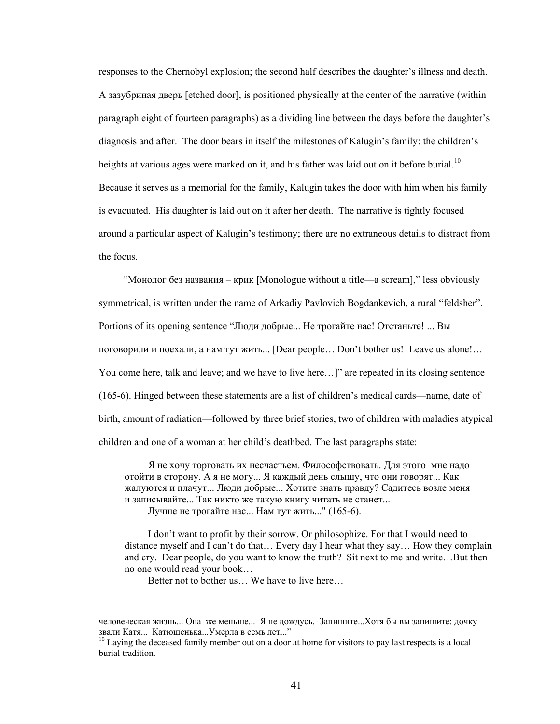responses to the Chernobyl explosion; the second half describes the daughter's illness and death. A зазубриная дверь [etched door], is positioned physically at the center of the narrative (within paragraph eight of fourteen paragraphs) as a dividing line between the days before the daughter's diagnosis and after. The door bears in itself the milestones of Kalugin's family: the children's heights at various ages were marked on it, and his father was laid out on it before burial.<sup>[10](#page-46-0)</sup> Because it serves as a memorial for the family, Kalugin takes the door with him when his family is evacuated. His daughter is laid out on it after her death. The narrative is tightly focused around a particular aspect of Kalugin's testimony; there are no extraneous details to distract from the focus.

 "Монолог без названия – крик [Monologue without a title—a scream]," less obviously symmetrical, is written under the name of Arkadiy Pavlovich Bogdankevich, a rural "feldsher". Portions of its opening sentence "Люди добрые... Не трогайте нас! Отстаньте! ... Вы поговорили и поехали, а нам тут жить... [Dear people… Don't bother us! Leave us alone!… You come here, talk and leave; and we have to live here...]" are repeated in its closing sentence (165-6). Hinged between these statements are a list of children's medical cards—name, date of birth, amount of radiation—followed by three brief stories, two of children with maladies atypical children and one of a woman at her child's deathbed. The last paragraphs state:

Я не хочу торговать их несчастьем. Философствовать. Для этого мне надо отойти в сторону. А я не могу... Я каждый день слышу, что они говорят... Как жалуются и плачут... Люди добрые... Хотите знать правду? Садитесь возле меня и записывайте... Так никто же такую книгу читать не станет... Лучше не трогайте нас... Нам тут жить..." (165-6).

 I don't want to profit by their sorrow. Or philosophize. For that I would need to distance myself and I can't do that… Every day I hear what they say… How they complain and cry. Dear people, do you want to know the truth? Sit next to me and write…But then no one would read your book…

Better not to bother us… We have to live here…

человеческая жизнь... Она же меньше... Я не дождусь. Запишите...Хотя бы вы запишите: дочку звали Катя... Катюшенька...Умерла <sup>в</sup> семь лет..." 10 Laying the deceased family member out on a door at home for visitors to pay last respects is a local

<span id="page-46-0"></span>burial tradition.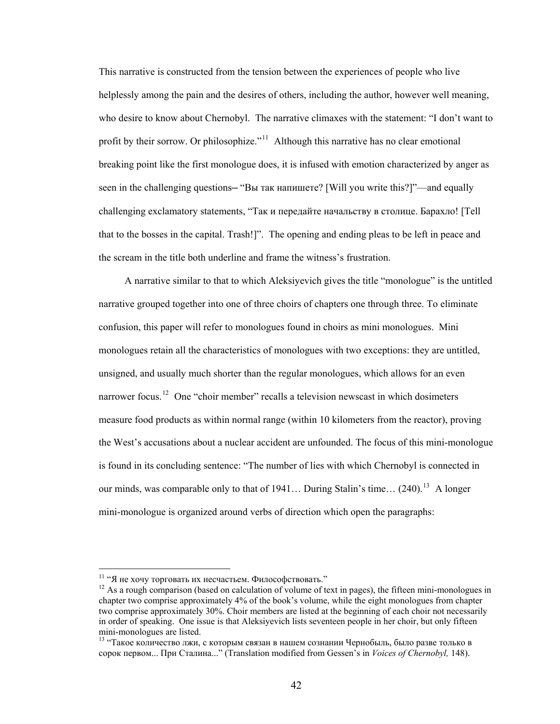This narrative is constructed from the tension between the experiences of people who live helplessly among the pain and the desires of others, including the author, however well meaning, who desire to know about Chernobyl. The narrative climaxes with the statement: "I don't want to profit by their sorrow. Or philosophize."<sup>[11](#page-47-0)</sup> Although this narrative has no clear emotional breaking point like the first monologue does, it is infused with emotion characterized by anger as seen in the challenging questions— "Вы так напишете? [Will you write this?]"—and equally challenging exclamatory statements, "Так и передайте начальству в столице. Барахло! [Tell that to the bosses in the capital. Trash!]". The opening and ending pleas to be left in peace and the scream in the title both underline and frame the witness's frustration.

A narrative similar to that to which Aleksiyevich gives the title "monologue" is the untitled narrative grouped together into one of three choirs of chapters one through three. To eliminate confusion, this paper will refer to monologues found in choirs as mini monologues. Mini monologues retain all the characteristics of monologues with two exceptions: they are untitled, unsigned, and usually much shorter than the regular monologues, which allows for an even narrower focus.<sup>[12](#page-47-1)</sup> One "choir member" recalls a television newscast in which dosimeters measure food products as within normal range (within 10 kilometers from the reactor), proving the West's accusations about a nuclear accident are unfounded. The focus of this mini-monologue is found in its concluding sentence: "The number of lies with which Chernobyl is connected in our minds, was comparable only to that of 1941... During Stalin's time...  $(240)^{13}$  $(240)^{13}$  $(240)^{13}$  A longer mini-monologue is organized around verbs of direction which open the paragraphs:

<span id="page-47-1"></span><span id="page-47-0"></span>

<sup>&</sup>lt;sup>11</sup> "Я не хочу торговать их несчастьем. Философствовать."  $\frac{12}{12}$  As a rough comparison (based on calculation of volume of text in pages), the fifteen mini-monologues in chapter two comprise approximately 4% of the book's volume, while the eight monologues from chapter two comprise approximately 30%. Choir members are listed at the beginning of each choir not necessarily in order of speaking. One issue is that Aleksiyevich lists seventeen people in her choir, but only fifteen mini-monologues are listed.

<span id="page-47-2"></span><sup>13 &</sup>quot;Такое количество лжи, с которым связан в нашем сознании Чернобыль, было разве только в сорок первом... При Сталина..." (Translation modified from Gessen's in *Voices of Chernobyl,* 148).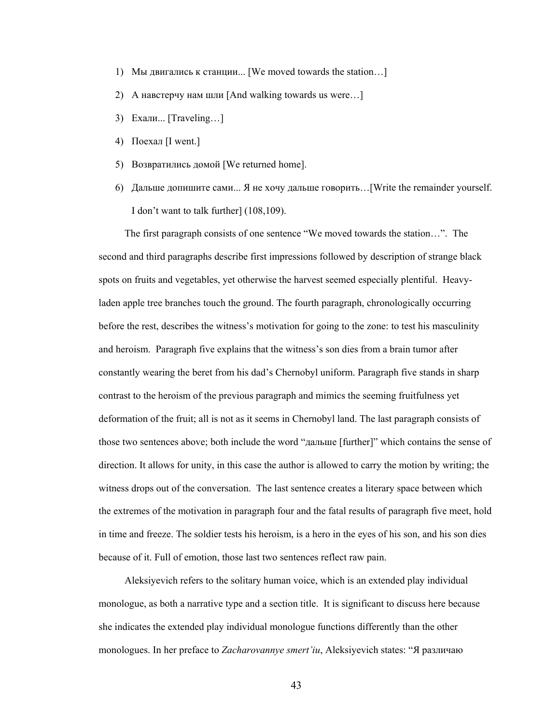- 1) Mы двигались к станции... [We moved towards the station…]
- 2) А навстерчу нам шли [And walking towards us were…]
- 3) Ехали... [Traveling…]
- 4) Поехал [I went.]
- 5) Возвратились домой [We returned home].
- 6) Дальше допишите сами... Я не хочу дальше говорить…[Write the remainder yourself. I don't want to talk further] (108,109).

The first paragraph consists of one sentence "We moved towards the station…". The second and third paragraphs describe first impressions followed by description of strange black spots on fruits and vegetables, yet otherwise the harvest seemed especially plentiful. Heavyladen apple tree branches touch the ground. The fourth paragraph, chronologically occurring before the rest, describes the witness's motivation for going to the zone: to test his masculinity and heroism. Paragraph five explains that the witness's son dies from a brain tumor after constantly wearing the beret from his dad's Chernobyl uniform. Paragraph five stands in sharp contrast to the heroism of the previous paragraph and mimics the seeming fruitfulness yet deformation of the fruit; all is not as it seems in Chernobyl land. The last paragraph consists of those two sentences above; both include the word "дальше [further]" which contains the sense of direction. It allows for unity, in this case the author is allowed to carry the motion by writing; the witness drops out of the conversation. The last sentence creates a literary space between which the extremes of the motivation in paragraph four and the fatal results of paragraph five meet, hold in time and freeze. The soldier tests his heroism, is a hero in the eyes of his son, and his son dies because of it. Full of emotion, those last two sentences reflect raw pain.

Aleksiyevich refers to the solitary human voice, which is an extended play individual monologue, as both a narrative type and a section title. It is significant to discuss here because she indicates the extended play individual monologue functions differently than the other monologues. In her preface to *Zacharovannye smert'iu*, Aleksiyevich states: "Я различаю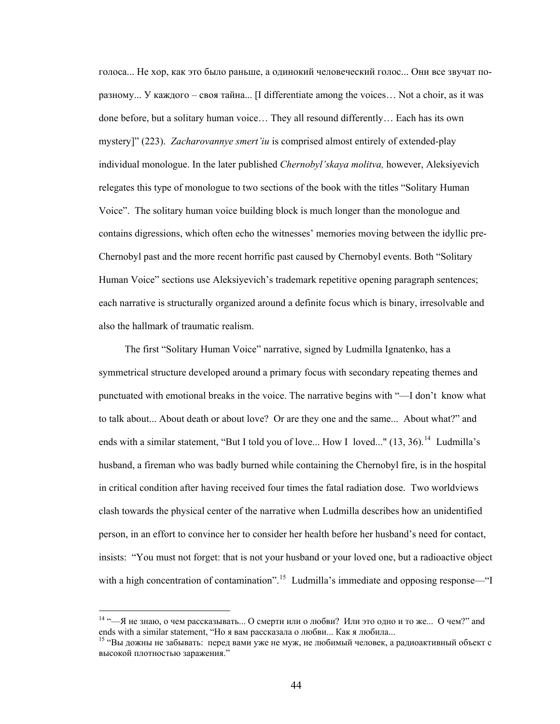голоса... Не хор, как это было раньше, а одинокий человеческий голос... Они все звучат поразному... У каждого – своя тайна... [I differentiate among the voices… Not a choir, as it was done before, but a solitary human voice… They all resound differently… Each has its own mystery]" (223). *Zacharovannye smert'iu* is comprised almost entirely of extended-play individual monologue. In the later published *Chernobyl'skaya molitva,* however, Aleksiyevich relegates this type of monologue to two sections of the book with the titles "Solitary Human Voice". The solitary human voice building block is much longer than the monologue and contains digressions, which often echo the witnesses' memories moving between the idyllic pre-Chernobyl past and the more recent horrific past caused by Chernobyl events. Both "Solitary Human Voice" sections use Aleksiyevich's trademark repetitive opening paragraph sentences; each narrative is structurally organized around a definite focus which is binary, irresolvable and also the hallmark of traumatic realism.

The first "Solitary Human Voice" narrative, signed by Ludmilla Ignatenko, has a symmetrical structure developed around a primary focus with secondary repeating themes and punctuated with emotional breaks in the voice. The narrative begins with "—I don't know what to talk about... About death or about love? Or are they one and the same... About what?" and ends with a similar statement, "But I told you of love... How I loved..."  $(13, 36)$ .<sup>[14](#page-49-0)</sup> Ludmilla's husband, a fireman who was badly burned while containing the Chernobyl fire, is in the hospital in critical condition after having received four times the fatal radiation dose. Two worldviews clash towards the physical center of the narrative when Ludmilla describes how an unidentified person, in an effort to convince her to consider her health before her husband's need for contact, insists: "You must not forget: that is not your husband or your loved one, but a radioactive object with a high concentration of contamination".<sup>[15](#page-49-1)</sup> Ludmilla's immediate and opposing response—"I

<span id="page-49-0"></span> $14$  "-Я не знаю, о чем рассказывать... О смерти или о любви? Или это одно и то же... О чем?" and ends with a similar statement, "Но я вам рассказала о любви... Как я любила...<br><sup>15</sup> "Вы дожны не забывать: перед вами уже не муж, не любимый человек, а радиоактивный объект с

<span id="page-49-1"></span>высокой плотностью заражения."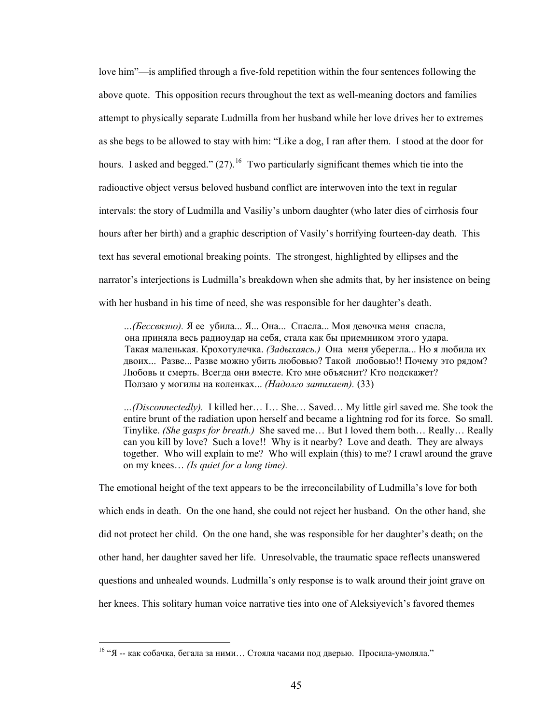love him"—is amplified through a five-fold repetition within the four sentences following the above quote. This opposition recurs throughout the text as well-meaning doctors and families attempt to physically separate Ludmilla from her husband while her love drives her to extremes as she begs to be allowed to stay with him: "Like a dog, I ran after them. I stood at the door for hours. I asked and begged."  $(27)$ .<sup>[16](#page-50-0)</sup> Two particularly significant themes which tie into the radioactive object versus beloved husband conflict are interwoven into the text in regular intervals: the story of Ludmilla and Vasiliy's unborn daughter (who later dies of cirrhosis four hours after her birth) and a graphic description of Vasily's horrifying fourteen-day death. This text has several emotional breaking points. The strongest, highlighted by ellipses and the narrator's interjections is Ludmilla's breakdown when she admits that, by her insistence on being with her husband in his time of need, she was responsible for her daughter's death.

 *…(Бессвязно).* Я ее убила... Я... Она... Спасла... Моя девочка меня спасла, она приняла весь радиоудар на себя, стала как бы приемником этого удара. Такая маленькая. Крохотулечка. *(Задыхаясь.)* Она меня уберегла... Но я любила их двоих... Разве... Разве можно убить любовью? Такой любовью!! Почему это рядом? Любовь и смерть. Всегда они вместе. Кто мне объяснит? Кто подскажет? Ползаю у могилы на коленках... *(Надолго затихает).* (33)

*…(Disconnectedly).* I killed her… I… She… Saved… My little girl saved me. She took the entire brunt of the radiation upon herself and became a lightning rod for its force. So small. Tinylike. *(She gasps for breath.)* She saved me… But I loved them both… Really… Really can you kill by love? Such a love!! Why is it nearby? Love and death. They are always together. Who will explain to me? Who will explain (this) to me? I crawl around the grave on my knees… *(Is quiet for a long time).*

The emotional height of the text appears to be the irreconcilability of Ludmilla's love for both which ends in death. On the one hand, she could not reject her husband. On the other hand, she did not protect her child. On the one hand, she was responsible for her daughter's death; on the other hand, her daughter saved her life. Unresolvable, the traumatic space reflects unanswered questions and unhealed wounds. Ludmilla's only response is to walk around their joint grave on her knees. This solitary human voice narrative ties into one of Aleksiyevich's favored themes

<span id="page-50-0"></span> $16$  "Я -- как собачка, бегала за ними... Стояла часами под дверью. Просила-умоляла."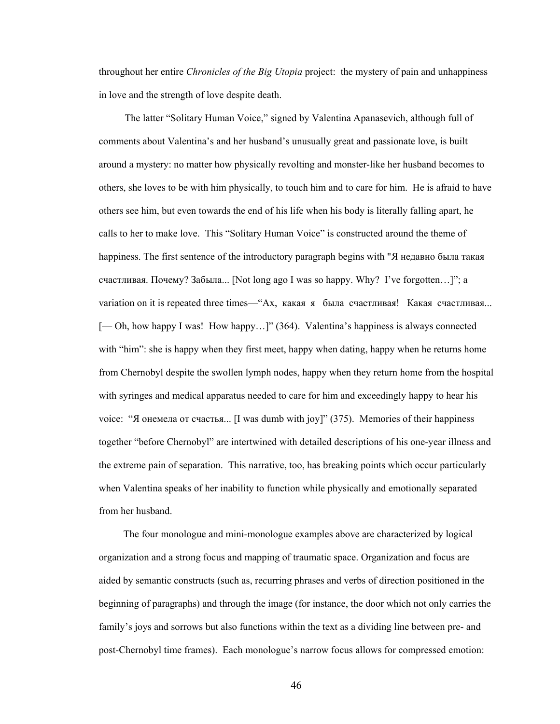throughout her entire *Chronicles of the Big Utopia* project: the mystery of pain and unhappiness in love and the strength of love despite death.

The latter "Solitary Human Voice," signed by Valentina Apanasevich, although full of comments about Valentina's and her husband's unusually great and passionate love, is built around a mystery: no matter how physically revolting and monster-like her husband becomes to others, she loves to be with him physically, to touch him and to care for him. He is afraid to have others see him, but even towards the end of his life when his body is literally falling apart, he calls to her to make love. This "Solitary Human Voice" is constructed around the theme of happiness. The first sentence of the introductory paragraph begins with "Я недавно была такая счастливая. Почему? Забыла... [Not long ago I was so happy. Why? I've forgotten…]"; a variation on it is repeated three times—"Ах, какая я была счастливая! Какая счастливая... [— Oh, how happy I was! How happy...]" (364). Valentina's happiness is always connected with "him": she is happy when they first meet, happy when dating, happy when he returns home from Chernobyl despite the swollen lymph nodes, happy when they return home from the hospital with syringes and medical apparatus needed to care for him and exceedingly happy to hear his voice: "Я онемела от счастья... [I was dumb with joy]" (375). Memories of their happiness together "before Chernobyl" are intertwined with detailed descriptions of his one-year illness and the extreme pain of separation. This narrative, too, has breaking points which occur particularly when Valentina speaks of her inability to function while physically and emotionally separated from her husband.

 The four monologue and mini-monologue examples above are characterized by logical organization and a strong focus and mapping of traumatic space. Organization and focus are aided by semantic constructs (such as, recurring phrases and verbs of direction positioned in the beginning of paragraphs) and through the image (for instance, the door which not only carries the family's joys and sorrows but also functions within the text as a dividing line between pre- and post-Chernobyl time frames). Each monologue's narrow focus allows for compressed emotion: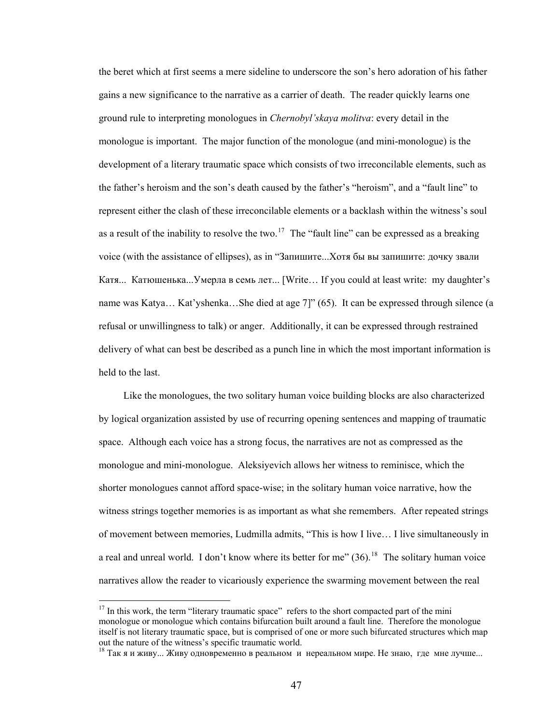the beret which at first seems a mere sideline to underscore the son's hero adoration of his father gains a new significance to the narrative as a carrier of death. The reader quickly learns one ground rule to interpreting monologues in *Chernobyl'skaya molitva*: every detail in the monologue is important. The major function of the monologue (and mini-monologue) is the development of a literary traumatic space which consists of two irreconcilable elements, such as the father's heroism and the son's death caused by the father's "heroism", and a "fault line" to represent either the clash of these irreconcilable elements or a backlash within the witness's soul as a result of the inability to resolve the two.<sup>[17](#page-52-0)</sup> The "fault line" can be expressed as a breaking voice (with the assistance of ellipses), as in "Запишите...Хотя бы вы запишите: дочку звали Катя... Катюшенька...Умерла в семь лет... [Write… If you could at least write: my daughter's name was Katya… Kat'yshenka…She died at age 7]" (65). It can be expressed through silence (a refusal or unwillingness to talk) or anger. Additionally, it can be expressed through restrained delivery of what can best be described as a punch line in which the most important information is held to the last.

 Like the monologues, the two solitary human voice building blocks are also characterized by logical organization assisted by use of recurring opening sentences and mapping of traumatic space. Although each voice has a strong focus, the narratives are not as compressed as the monologue and mini-monologue. Aleksiyevich allows her witness to reminisce, which the shorter monologues cannot afford space-wise; in the solitary human voice narrative, how the witness strings together memories is as important as what she remembers. After repeated strings of movement between memories, Ludmilla admits, "This is how I live… I live simultaneously in a real and unreal world. I don't know where its better for me"  $(36)$ .<sup>[18](#page-52-1)</sup> The solitary human voice narratives allow the reader to vicariously experience the swarming movement between the real

<span id="page-52-0"></span> $17$  In this work, the term "literary traumatic space" refers to the short compacted part of the mini monologue or monologue which contains bifurcation built around a fault line. Therefore the monologue itself is not literary traumatic space, but is comprised of one or more such bifurcated structures which map out the nature of the witness's specific traumatic world.

<span id="page-52-1"></span><sup>&</sup>lt;sup>18</sup> Так я и живу... Живу одновременно в реальном и нереальном мире. Не знаю, где мне лучше...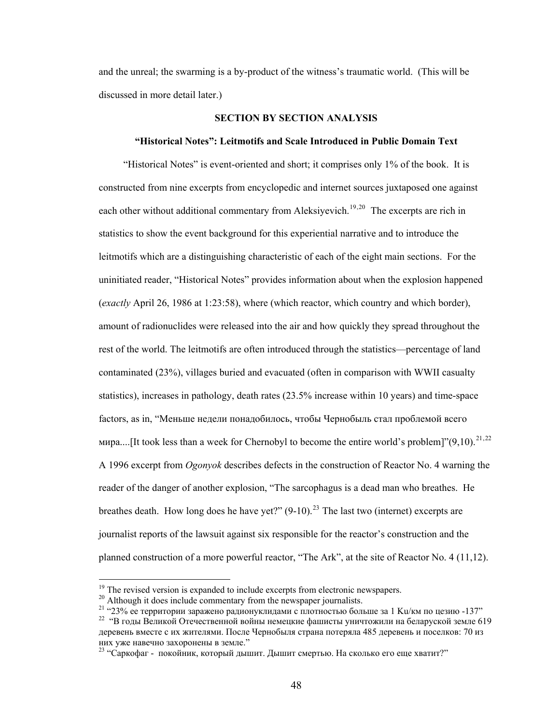and the unreal; the swarming is a by-product of the witness's traumatic world. (This will be discussed in more detail later.)

# **SECTION BY SECTION ANALYSIS**

#### **"Historical Notes": Leitmotifs and Scale Introduced in Public Domain Text**

 "Historical Notes" is event-oriented and short; it comprises only 1% of the book. It is constructed from nine excerpts from encyclopedic and internet sources juxtaposed one against each other without additional commentary from Aleksiyevich.<sup>[19](#page-53-0),[20](#page-53-1)</sup> The excerpts are rich in statistics to show the event background for this experiential narrative and to introduce the leitmotifs which are a distinguishing characteristic of each of the eight main sections. For the uninitiated reader, "Historical Notes" provides information about when the explosion happened (*exactly* April 26, 1986 at 1:23:58), where (which reactor, which country and which border), amount of radionuclides were released into the air and how quickly they spread throughout the rest of the world. The leitmotifs are often introduced through the statistics—percentage of land contaminated (23%), villages buried and evacuated (often in comparison with WWII casualty statistics), increases in pathology, death rates (23.5% increase within 10 years) and time-space factors, as in, "Меньше недели понадобилось, чтобы Чернобыль стал проблемой всего мира....[It took less than a week for Chernobyl to become the entire world's problem]" $(9,10)$ .<sup>[21](#page-53-2),[22](#page-53-3)</sup> A 1996 excerpt from *Ogonyok* describes defects in the construction of Reactor No. 4 warning the reader of the danger of another explosion, "The sarcophagus is a dead man who breathes. He breathes death. How long does he have yet?"  $(9-10)$ .<sup>[23](#page-53-4)</sup> The last two (internet) excerpts are journalist reports of the lawsuit against six responsible for the reactor's construction and the planned construction of a more powerful reactor, "The Ark", at the site of Reactor No. 4 (11,12).

<span id="page-53-0"></span><sup>&</sup>lt;sup>19</sup> The revised version is expanded to include excerpts from electronic newspapers.

<span id="page-53-1"></span><sup>&</sup>lt;sup>20</sup> Although it does include commentary from the newspaper journalists.

<span id="page-53-2"></span><sup>&</sup>lt;sup>21</sup> "23% ее территории заражено радионуклидами с плотностью больше за 1 Ku/км по цезию -137" <sup>22</sup> "В годы Великой Отечественной войны немецкие фашисты уничтожили на беларуской земле 619

<span id="page-53-3"></span>деревень вместе с их жителями. После Чернобыля страна потеряла 485 деревень и поселков: 70 из них уже навечно захоронены в земле."<br><sup>23</sup> "Саркофаг - покойник, который дышит. Дышит смертью. На сколько его еще хватит?"

<span id="page-53-4"></span>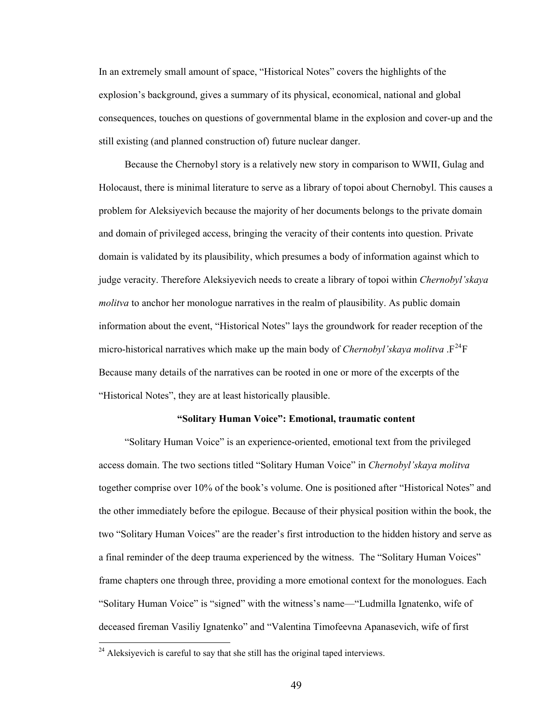In an extremely small amount of space, "Historical Notes" covers the highlights of the explosion's background, gives a summary of its physical, economical, national and global consequences, touches on questions of governmental blame in the explosion and cover-up and the still existing (and planned construction of) future nuclear danger.

Because the Chernobyl story is a relatively new story in comparison to WWII, Gulag and Holocaust, there is minimal literature to serve as a library of topoi about Chernobyl. This causes a problem for Aleksiyevich because the majority of her documents belongs to the private domain and domain of privileged access, bringing the veracity of their contents into question. Private domain is validated by its plausibility, which presumes a body of information against which to judge veracity. Therefore Aleksiyevich needs to create a library of topoi within *Chernobyl'skaya molitva* to anchor her monologue narratives in the realm of plausibility. As public domain information about the event, "Historical Notes" lays the groundwork for reader reception of the micro-historical narratives which make up the main body of *Chernobyl'skaya molitva*  $.F^{24}F$  $.F^{24}F$  $.F^{24}F$ Because many details of the narratives can be rooted in one or more of the excerpts of the "Historical Notes", they are at least historically plausible.

## **"Solitary Human Voice": Emotional, traumatic content**

"Solitary Human Voice" is an experience-oriented, emotional text from the privileged access domain. The two sections titled "Solitary Human Voice" in *Chernobyl'skaya molitva*  together comprise over 10% of the book's volume. One is positioned after "Historical Notes" and the other immediately before the epilogue. Because of their physical position within the book, the two "Solitary Human Voices" are the reader's first introduction to the hidden history and serve as a final reminder of the deep trauma experienced by the witness. The "Solitary Human Voices" frame chapters one through three, providing a more emotional context for the monologues. Each "Solitary Human Voice" is "signed" with the witness's name—"Ludmilla Ignatenko, wife of deceased fireman Vasiliy Ignatenko" and "Valentina Timofeevna Apanasevich, wife of first

<span id="page-54-0"></span> $^{24}$  Aleksiyevich is careful to say that she still has the original taped interviews.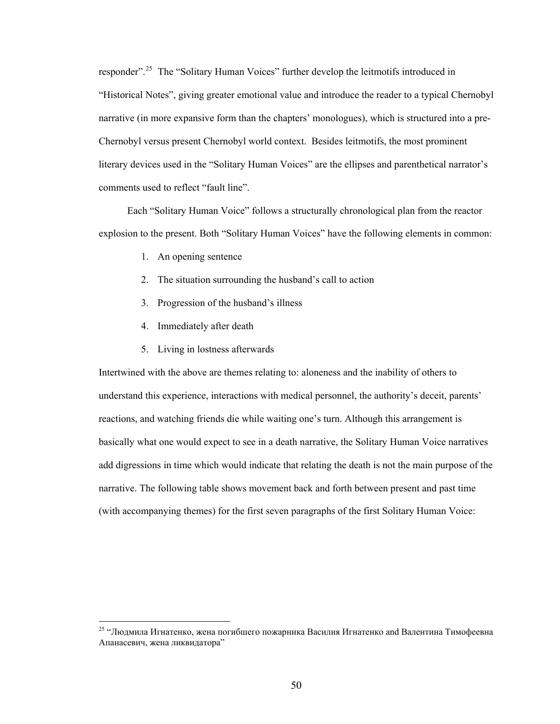responder".[25](#page-55-0) The "Solitary Human Voices" further develop the leitmotifs introduced in "Historical Notes", giving greater emotional value and introduce the reader to a typical Chernobyl narrative (in more expansive form than the chapters' monologues), which is structured into a pre-Chernobyl versus present Chernobyl world context. Besides leitmotifs, the most prominent literary devices used in the "Solitary Human Voices" are the ellipses and parenthetical narrator's comments used to reflect "fault line".

 Each "Solitary Human Voice" follows a structurally chronological plan from the reactor explosion to the present. Both "Solitary Human Voices" have the following elements in common:

- 1. An opening sentence
- 2. The situation surrounding the husband's call to action
- 3. Progression of the husband's illness
- 4. Immediately after death

 $\overline{a}$ 

5. Living in lostness afterwards

Intertwined with the above are themes relating to: aloneness and the inability of others to understand this experience, interactions with medical personnel, the authority's deceit, parents' reactions, and watching friends die while waiting one's turn. Although this arrangement is basically what one would expect to see in a death narrative, the Solitary Human Voice narratives add digressions in time which would indicate that relating the death is not the main purpose of the narrative. The following table shows movement back and forth between present and past time (with accompanying themes) for the first seven paragraphs of the first Solitary Human Voice:

<span id="page-55-0"></span><sup>&</sup>lt;sup>25</sup> "Людмила Игнатенко, жена погибшего пожарника Василия Игнатенко and Валентина Тимофеевна Апанасевич, жена ликвидатора"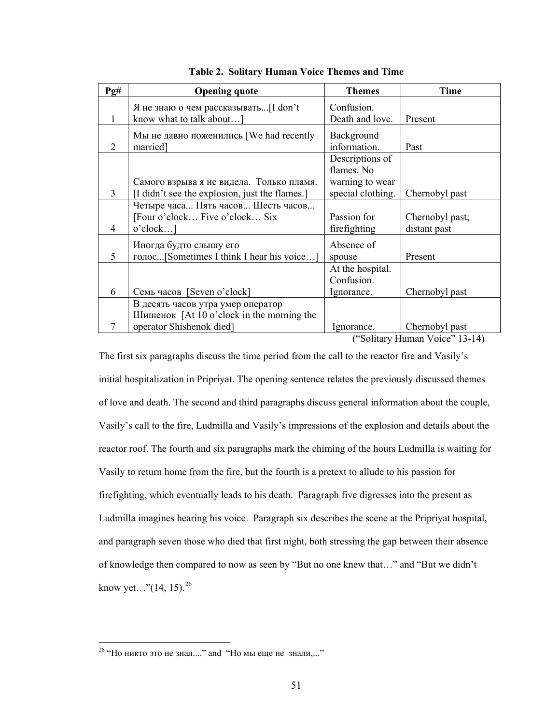| Pg# | <b>Opening quote</b>                           | <b>Themes</b>     | <b>Time</b>     |
|-----|------------------------------------------------|-------------------|-----------------|
|     | Я не знаю о чем рассказывать [I don't          | Confusion.        |                 |
|     | know what to talk about]                       | Death and love.   | Present         |
|     | Мы не давно поженились [We had recently        | Background        |                 |
| 2   | married                                        | information.      | Past            |
|     |                                                | Descriptions of   |                 |
|     |                                                | flames. No        |                 |
|     | Самого взрыва я не видела. Только пламя.       | warning to wear   |                 |
| 3   | [I didn't see the explosion, just the flames.] | special clothing. | Chernobyl past  |
|     | Четыре часа Пять часов Шесть часов             |                   |                 |
|     | [Four o'clock Five o'clock Six                 | Passion for       | Chernobyl past; |
| 4   | o'clock]                                       | firefighting      | distant past    |
|     | Иногда будто слышу его                         | Absence of        |                 |
| 5   | голос[Sometimes I think I hear his voice]      | spouse            | Present         |
|     |                                                | At the hospital.  |                 |
|     |                                                | Confusion.        |                 |
| 6   | Семь часов [Seven o'clock]                     | Ignorance.        | Chernobyl past  |
|     | В десять часов утра умер оператор              |                   |                 |
|     | Шишенок [At 10 o'clock in the morning the      |                   |                 |
|     | operator Shishenok died]                       | Ignorance.        | Chernobyl past  |

|  |  |  |  |  | Table 2. Solitary Human Voice Themes and Time |
|--|--|--|--|--|-----------------------------------------------|
|--|--|--|--|--|-----------------------------------------------|

("Solitary Human Voice" 13-14)

The first six paragraphs discuss the time period from the call to the reactor fire and Vasily's initial hospitalization in Pripriyat. The opening sentence relates the previously discussed themes of love and death. The second and third paragraphs discuss general information about the couple, Vasily's call to the fire, Ludmilla and Vasily's impressions of the explosion and details about the reactor roof. The fourth and six paragraphs mark the chiming of the hours Ludmilla is waiting for Vasily to return home from the fire, but the fourth is a pretext to allude to his passion for firefighting, which eventually leads to his death. Paragraph five digresses into the present as Ludmilla imagines hearing his voice. Paragraph six describes the scene at the Pripriyat hospital, and paragraph seven those who died that first night, both stressing the gap between their absence of knowledge then compared to now as seen by "But no one knew that…" and "But we didn't know yet..." $(14, 15)$ .<sup>[26](#page-56-0)</sup>

<span id="page-56-0"></span><sup>&</sup>lt;sup>26</sup> "Но никто это не знал...." and "Но мы еще не знали,..."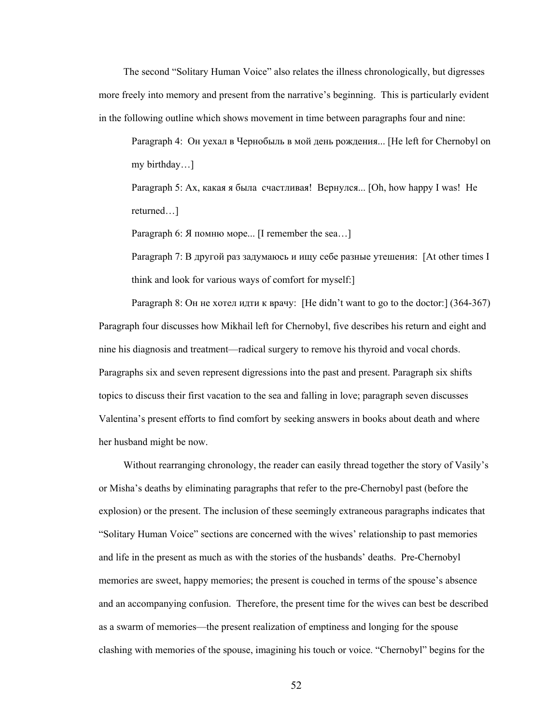The second "Solitary Human Voice" also relates the illness chronologically, but digresses more freely into memory and present from the narrative's beginning. This is particularly evident in the following outline which shows movement in time between paragraphs four and nine:

Paragraph 4: Он уехал в Чернобыль в мой день рождения... [He left for Chernobyl on my birthday…]

Paragraph 5: Ах, какая я была счастливая! Вернулся... [Oh, how happy I was! He returned…]

Paragraph 6: Я помню море... [I remember the sea…]

Paragraph 7: В другой раз задумаюсь и ищу себе разные утешения: [At other times I think and look for various ways of comfort for myself:]

Paragraph 8: Он не хотел идти к врачу: [He didn't want to go to the doctor:] (364-367) Paragraph four discusses how Mikhail left for Chernobyl, five describes his return and eight and nine his diagnosis and treatment—radical surgery to remove his thyroid and vocal chords. Paragraphs six and seven represent digressions into the past and present. Paragraph six shifts topics to discuss their first vacation to the sea and falling in love; paragraph seven discusses Valentina's present efforts to find comfort by seeking answers in books about death and where her husband might be now.

 Without rearranging chronology, the reader can easily thread together the story of Vasily's or Misha's deaths by eliminating paragraphs that refer to the pre-Chernobyl past (before the explosion) or the present. The inclusion of these seemingly extraneous paragraphs indicates that "Solitary Human Voice" sections are concerned with the wives' relationship to past memories and life in the present as much as with the stories of the husbands' deaths. Pre-Chernobyl memories are sweet, happy memories; the present is couched in terms of the spouse's absence and an accompanying confusion. Therefore, the present time for the wives can best be described as a swarm of memories—the present realization of emptiness and longing for the spouse clashing with memories of the spouse, imagining his touch or voice. "Chernobyl" begins for the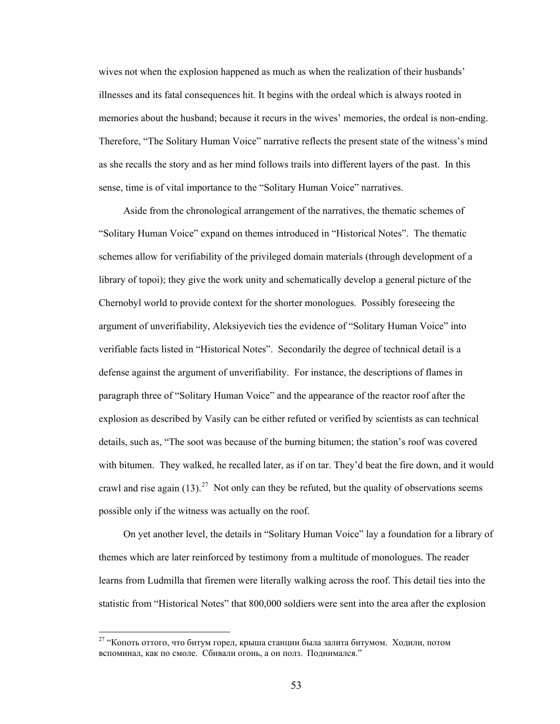wives not when the explosion happened as much as when the realization of their husbands' illnesses and its fatal consequences hit. It begins with the ordeal which is always rooted in memories about the husband; because it recurs in the wives' memories, the ordeal is non-ending. Therefore, "The Solitary Human Voice" narrative reflects the present state of the witness's mind as she recalls the story and as her mind follows trails into different layers of the past. In this sense, time is of vital importance to the "Solitary Human Voice" narratives.

Aside from the chronological arrangement of the narratives, the thematic schemes of "Solitary Human Voice" expand on themes introduced in "Historical Notes". The thematic schemes allow for verifiability of the privileged domain materials (through development of a library of topoi); they give the work unity and schematically develop a general picture of the Chernobyl world to provide context for the shorter monologues. Possibly foreseeing the argument of unverifiability, Aleksiyevich ties the evidence of "Solitary Human Voice" into verifiable facts listed in "Historical Notes". Secondarily the degree of technical detail is a defense against the argument of unverifiability. For instance, the descriptions of flames in paragraph three of "Solitary Human Voice" and the appearance of the reactor roof after the explosion as described by Vasily can be either refuted or verified by scientists as can technical details, such as, "The soot was because of the burning bitumen; the station's roof was covered with bitumen. They walked, he recalled later, as if on tar. They'd beat the fire down, and it would crawl and rise again  $(13)$ .<sup>[27](#page-58-0)</sup> Not only can they be refuted, but the quality of observations seems possible only if the witness was actually on the roof.

On yet another level, the details in "Solitary Human Voice" lay a foundation for a library of themes which are later reinforced by testimony from a multitude of monologues. The reader learns from Ludmilla that firemen were literally walking across the roof. This detail ties into the statistic from "Historical Notes" that 800,000 soldiers were sent into the area after the explosion

<span id="page-58-0"></span><sup>&</sup>lt;sup>27</sup> "Копоть оттого, что битум горел, крыша станции была залита битумом. Ходили, потом вспоминал, как по смоле. Сбивали огонь, а он полз. Поднимался."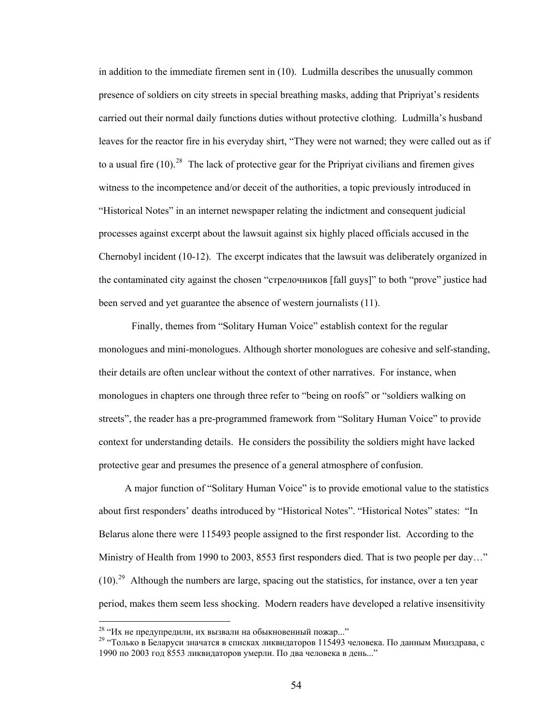in addition to the immediate firemen sent in (10). Ludmilla describes the unusually common presence of soldiers on city streets in special breathing masks, adding that Pripriyat's residents carried out their normal daily functions duties without protective clothing. Ludmilla's husband leaves for the reactor fire in his everyday shirt, "They were not warned; they were called out as if to a usual fire  $(10)^{28}$  $(10)^{28}$  $(10)^{28}$  The lack of protective gear for the Pripriyat civilians and firemen gives witness to the incompetence and/or deceit of the authorities, a topic previously introduced in "Historical Notes" in an internet newspaper relating the indictment and consequent judicial processes against excerpt about the lawsuit against six highly placed officials accused in the Chernobyl incident (10-12). The excerpt indicates that the lawsuit was deliberately organized in the contaminated city against the chosen "стрелочников [fall guys]" to both "prove" justice had been served and yet guarantee the absence of western journalists (11).

Finally, themes from "Solitary Human Voice" establish context for the regular monologues and mini-monologues. Although shorter monologues are cohesive and self-standing, their details are often unclear without the context of other narratives. For instance, when monologues in chapters one through three refer to "being on roofs" or "soldiers walking on streets", the reader has a pre-programmed framework from "Solitary Human Voice" to provide context for understanding details. He considers the possibility the soldiers might have lacked protective gear and presumes the presence of a general atmosphere of confusion.

A major function of "Solitary Human Voice" is to provide emotional value to the statistics about first responders' deaths introduced by "Historical Notes". "Historical Notes" states: "In Belarus alone there were 115493 people assigned to the first responder list. According to the Ministry of Health from 1990 to 2003, 8553 first responders died. That is two people per day..."  $(10).<sup>29</sup>$  $(10).<sup>29</sup>$  $(10).<sup>29</sup>$  Although the numbers are large, spacing out the statistics, for instance, over a ten year period, makes them seem less shocking. Modern readers have developed a relative insensitivity

<span id="page-59-1"></span>

<span id="page-59-0"></span><sup>&</sup>lt;sup>28</sup> "Их не предупредили, их вызвали на обыкновенный пожар..."<br><sup>29</sup> "Только в Беларуси значатся в списках ликвидаторов 115493 человека. По данным Минздрава, с 1990 по 2003 год 8553 ликвидаторов умерли. По два человека в день..."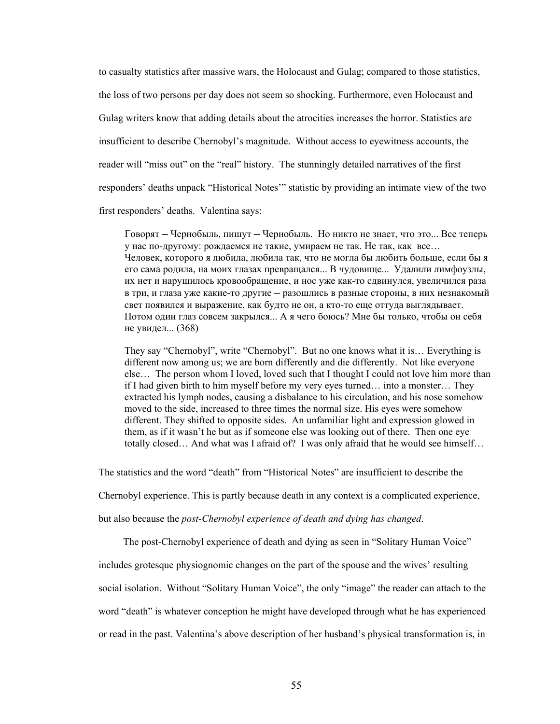to casualty statistics after massive wars, the Holocaust and Gulag; compared to those statistics, the loss of two persons per day does not seem so shocking. Furthermore, even Holocaust and Gulag writers know that adding details about the atrocities increases the horror. Statistics are insufficient to describe Chernobyl's magnitude. Without access to eyewitness accounts, the reader will "miss out" on the "real" history. The stunningly detailed narratives of the first responders' deaths unpack "Historical Notes'" statistic by providing an intimate view of the two first responders' deaths. Valentina says:

Говорят — Чернобыль, пишут — Чернобыль. Но никто не знает, что это... Все теперь у нас по-другому: рождаемся не такие, умираем не так. Не так, как все… Человек, которого я любила, любила так, что не могла бы любить больше, если бы я его сама родила, на моих глазах превращался... В чудовище... Удалили лимфоузлы, их нет и нарушилось кровообращение, и нос уже как-то сдвинулся, увеличился раза в три, и глаза уже какие-то другие — разошлись в разные cтороны, в них незнакомый свет появился и выражение, как будто не он, а кто-то еще оттуда выглядывает. Потом один глаз совсем закрылся... А я чего боюсь? Мне бы только, чтобы он себя не увидел... (368)

They say "Chernobyl", write "Chernobyl". But no one knows what it is… Everything is different now among us; we are born differently and die differently. Not like everyone else… The person whom I loved, loved such that I thought I could not love him more than if I had given birth to him myself before my very eyes turned… into a monster… They extracted his lymph nodes, causing a disbalance to his circulation, and his nose somehow moved to the side, increased to three times the normal size. His eyes were somehow different. They shifted to opposite sides. An unfamiliar light and expression glowed in them, as if it wasn't he but as if someone else was looking out of there. Then one eye totally closed… And what was I afraid of? I was only afraid that he would see himself…

The statistics and the word "death" from "Historical Notes" are insufficient to describe the

Chernobyl experience. This is partly because death in any context is a complicated experience,

but also because the *post-Chernobyl experience of death and dying has changed*.

The post-Chernobyl experience of death and dying as seen in "Solitary Human Voice"

includes grotesque physiognomic changes on the part of the spouse and the wives' resulting social isolation. Without "Solitary Human Voice", the only "image" the reader can attach to the word "death" is whatever conception he might have developed through what he has experienced or read in the past. Valentina's above description of her husband's physical transformation is, in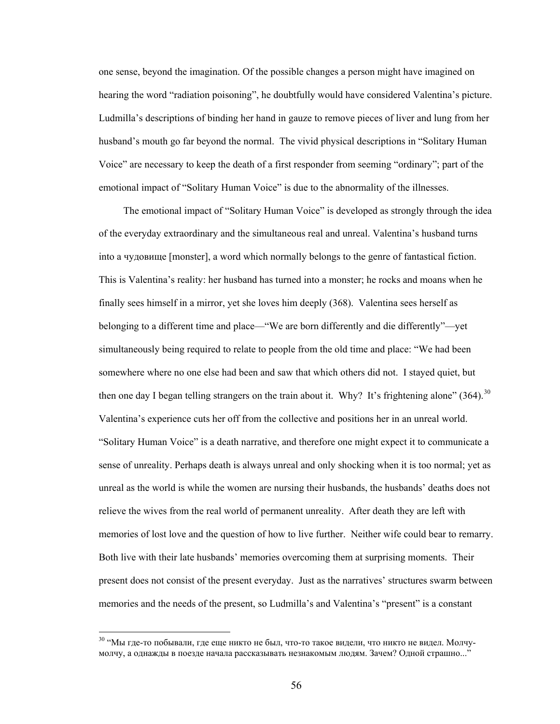one sense, beyond the imagination. Of the possible changes a person might have imagined on hearing the word "radiation poisoning", he doubtfully would have considered Valentina's picture. Ludmilla's descriptions of binding her hand in gauze to remove pieces of liver and lung from her husband's mouth go far beyond the normal. The vivid physical descriptions in "Solitary Human Voice" are necessary to keep the death of a first responder from seeming "ordinary"; part of the emotional impact of "Solitary Human Voice" is due to the abnormality of the illnesses.

 The emotional impact of "Solitary Human Voice" is developed as strongly through the idea of the everyday extraordinary and the simultaneous real and unreal. Valentina's husband turns into a чудовище [monster], a word which normally belongs to the genre of fantastical fiction. This is Valentina's reality: her husband has turned into a monster; he rocks and moans when he finally sees himself in a mirror, yet she loves him deeply (368). Valentina sees herself as belonging to a different time and place—"We are born differently and die differently"—yet simultaneously being required to relate to people from the old time and place: "We had been somewhere where no one else had been and saw that which others did not. I stayed quiet, but then one day I began telling strangers on the train about it. Why? It's frightening alone"  $(364)$ <sup>[30](#page-61-0)</sup> Valentina's experience cuts her off from the collective and positions her in an unreal world. "Solitary Human Voice" is a death narrative, and therefore one might expect it to communicate a sense of unreality. Perhaps death is always unreal and only shocking when it is too normal; yet as unreal as the world is while the women are nursing their husbands, the husbands' deaths does not relieve the wives from the real world of permanent unreality. After death they are left with memories of lost love and the question of how to live further. Neither wife could bear to remarry. Both live with their late husbands' memories overcoming them at surprising moments. Their present does not consist of the present everyday. Just as the narratives' structures swarm between memories and the needs of the present, so Ludmilla's and Valentina's "present" is a constant

<span id="page-61-0"></span><sup>&</sup>lt;sup>30</sup> "Мы где-то побывали, где еще никто не был, что-то такое видели, что никто не видел. Молчумолчу, а однажды в поезде начала рассказывать незнакомым людям. Зачем? Одной страшно..."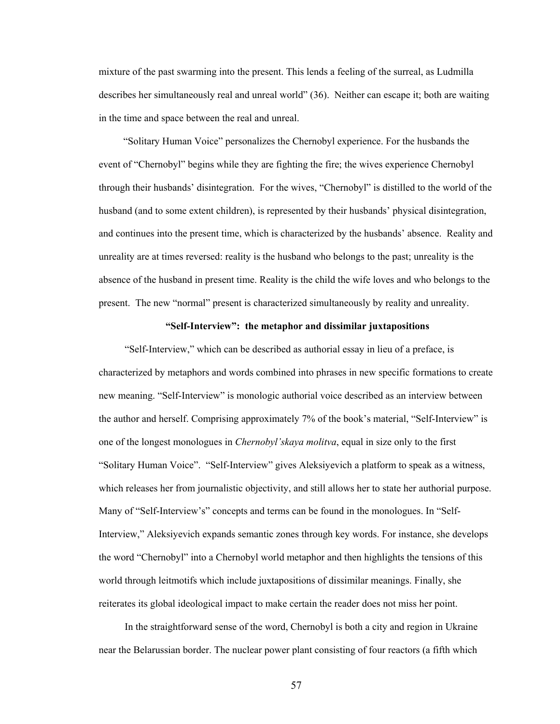mixture of the past swarming into the present. This lends a feeling of the surreal, as Ludmilla describes her simultaneously real and unreal world" (36). Neither can escape it; both are waiting in the time and space between the real and unreal.

 "Solitary Human Voice" personalizes the Chernobyl experience. For the husbands the event of "Chernobyl" begins while they are fighting the fire; the wives experience Chernobyl through their husbands' disintegration. For the wives, "Chernobyl" is distilled to the world of the husband (and to some extent children), is represented by their husbands' physical disintegration, and continues into the present time, which is characterized by the husbands' absence. Reality and unreality are at times reversed: reality is the husband who belongs to the past; unreality is the absence of the husband in present time. Reality is the child the wife loves and who belongs to the present. The new "normal" present is characterized simultaneously by reality and unreality.

# **"Self-Interview": the metaphor and dissimilar juxtapositions**

"Self-Interview," which can be described as authorial essay in lieu of a preface, is characterized by metaphors and words combined into phrases in new specific formations to create new meaning. "Self-Interview" is monologic authorial voice described as an interview between the author and herself. Comprising approximately 7% of the book's material, "Self-Interview" is one of the longest monologues in *Chernobyl'skaya molitva*, equal in size only to the first "Solitary Human Voice". "Self-Interview" gives Aleksiyevich a platform to speak as a witness, which releases her from journalistic objectivity, and still allows her to state her authorial purpose. Many of "Self-Interview's" concepts and terms can be found in the monologues. In "Self-Interview," Aleksiyevich expands semantic zones through key words. For instance, she develops the word "Chernobyl" into a Chernobyl world metaphor and then highlights the tensions of this world through leitmotifs which include juxtapositions of dissimilar meanings. Finally, she reiterates its global ideological impact to make certain the reader does not miss her point.

In the straightforward sense of the word, Chernobyl is both a city and region in Ukraine near the Belarussian border. The nuclear power plant consisting of four reactors (a fifth which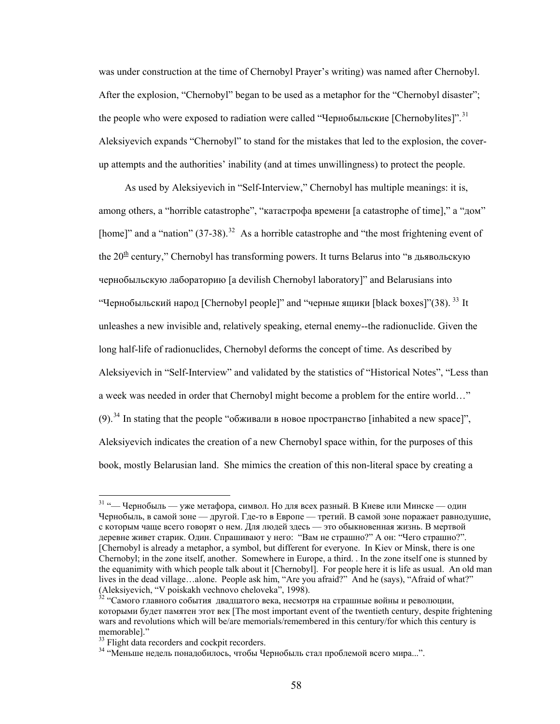was under construction at the time of Chernobyl Prayer's writing) was named after Chernobyl. After the explosion, "Chernobyl" began to be used as a metaphor for the "Chernobyl disaster"; the people who were exposed to radiation were called "Чернобыльские [Chernobylites]".<sup>[31](#page-63-0)</sup> Aleksiyevich expands "Chernobyl" to stand for the mistakes that led to the explosion, the coverup attempts and the authorities' inability (and at times unwillingness) to protect the people.

As used by Aleksiyevich in "Self-Interview," Chernobyl has multiple meanings: it is, among others, a "horrible catastrophe", "катастрофа времени [a catastrophe of time]," a "дом" [home]" and a "nation"  $(37-38)$ .<sup>[32](#page-63-1)</sup> As a horrible catastrophe and "the most frightening event of the  $20<sup>th</sup>$  century," Chernobyl has transforming powers. It turns Belarus into "в дьявольскую чернобыльскую лабораторию [a devilish Chernobyl laboratory]" and Belarusians into "Чернобыльский народ [Chernobyl people]" and "черные ящики [black boxes]"(38).  $^{33}$  $^{33}$  $^{33}$  It unleashes a new invisible and, relatively speaking, eternal enemy--the radionuclide. Given the long half-life of radionuclides, Chernobyl deforms the concept of time. As described by Aleksiyevich in "Self-Interview" and validated by the statistics of "Historical Notes", "Less than a week was needed in order that Chernobyl might become a problem for the entire world…" (9).<sup>[34](#page-63-3)</sup> In stating that the people "обживали в новое пространство [inhabited a new space]", Aleksiyevich indicates the creation of a new Chernobyl space within, for the purposes of this book, mostly Belarusian land. She mimics the creation of this non-literal space by creating a

<span id="page-63-0"></span> $31$  "— Чернобыль — уже метафора, символ. Но для всех разный. В Киеве или Минске — один Чернобыль, в самой зоне — другой. Где-то в Европе — третий. В самой зоне поражает равнодушие, с которым чаще всего говорят о нем. Для людей здесь — это обыкновенная жизнь. В мертвой деревне живет старик. Один. Спрашивают у него: "Вам не страшно?" А он: "Чего страшно?". [Chernobyl is already a metaphor, a symbol, but different for everyone. In Kiev or Minsk, there is one Chernobyl; in the zone itself, another. Somewhere in Europe, a third. . In the zone itself one is stunned by the equanimity with which people talk about it [Chernobyl]. For people here it is life as usual. An old man lives in the dead village…alone. People ask him, "Are you afraid?" And he (says), "Afraid of what?" (Aleksiyevich, "V poiskakh vechnovo cheloveka", 1998).

<span id="page-63-1"></span> $\frac{32}{32}$  "Самого главного события двадцатого века, несмотря на страшные войны и революции, которыми будет памятен этот век [The most important event of the twentieth century, despite frightening wars and revolutions which will be/are memorials/remembered in this century/for which this century is memorable]."

<sup>&</sup>lt;sup>33</sup> Flight data recorders and cockpit recorders.

<span id="page-63-3"></span><span id="page-63-2"></span><sup>34 &</sup>quot;Меньше недель понадобилось, чтобы Чернобыль стал проблемой всего мира...".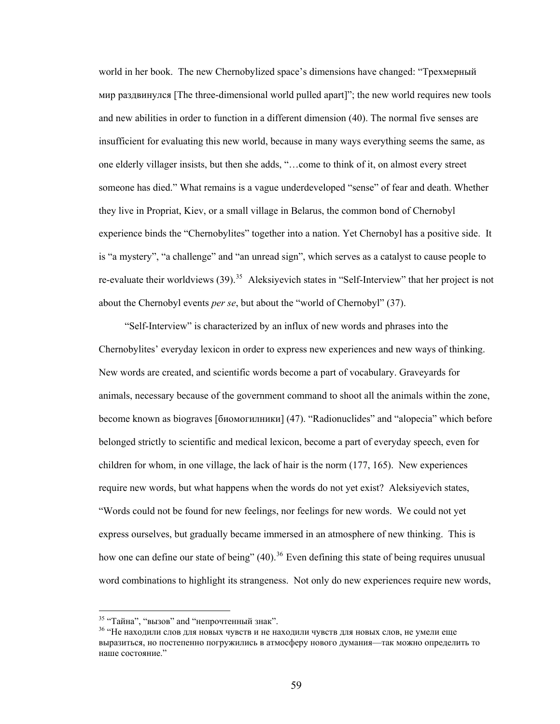world in her book. The new Chernobylized space's dimensions have changed: "Трехмерный мир раздвинулся [The three-dimensional world pulled apart]"; the new world requires new tools and new abilities in order to function in a different dimension (40). The normal five senses are insufficient for evaluating this new world, because in many ways everything seems the same, as one elderly villager insists, but then she adds, "…come to think of it, on almost every street someone has died." What remains is a vague underdeveloped "sense" of fear and death. Whether they live in Propriat, Kiev, or a small village in Belarus, the common bond of Chernobyl experience binds the "Chernobylites" together into a nation. Yet Chernobyl has a positive side. It is "a mystery", "a challenge" and "an unread sign", which serves as a catalyst to cause people to re-evaluate their worldviews (39).<sup>[35](#page-64-0)</sup> Aleksiyevich states in "Self-Interview" that her project is not about the Chernobyl events *per se*, but about the "world of Chernobyl" (37).

"Self-Interview" is characterized by an influx of new words and phrases into the Chernobylites' everyday lexicon in order to express new experiences and new ways of thinking. New words are created, and scientific words become a part of vocabulary. Graveyards for animals, necessary because of the government command to shoot all the animals within the zone, become known as biograves [биомогилники] (47). "Radionuclides" and "alopecia" which before belonged strictly to scientific and medical lexicon, become a part of everyday speech, even for children for whom, in one village, the lack of hair is the norm (177, 165). New experiences require new words, but what happens when the words do not yet exist? Aleksiyevich states, "Words could not be found for new feelings, nor feelings for new words. We could not yet express ourselves, but gradually became immersed in an atmosphere of new thinking. This is how one can define our state of being"  $(40)$ <sup>[36](#page-64-1)</sup>. Even defining this state of being requires unusual word combinations to highlight its strangeness. Not only do new experiences require new words,

<span id="page-64-1"></span><span id="page-64-0"></span><sup>&</sup>lt;sup>35</sup> "Тайна", "вызов" and "непрочтенный знак".<br><sup>36</sup> "Не находили слов для новых чувств и не находили чувств для новых слов, не умели еще выразиться, но постепенно погружились в атмосферу нового думания—так можно определить то наше состояние."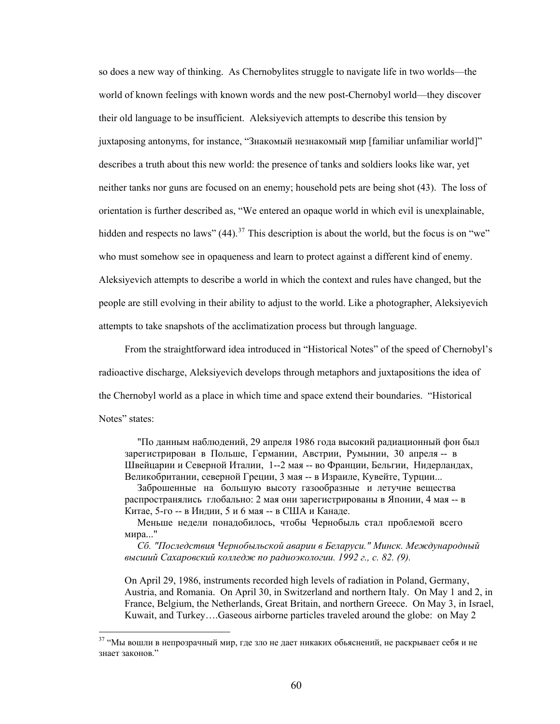so does a new way of thinking. As Chernobylites struggle to navigate life in two worlds—the world of known feelings with known words and the new post-Chernobyl world—they discover their old language to be insufficient. Aleksiyevich attempts to describe this tension by juxtaposing antonyms, for instance, "Знакомый незнакомый мир [familiar unfamiliar world]" describes a truth about this new world: the presence of tanks and soldiers looks like war, yet neither tanks nor guns are focused on an enemy; household pets are being shot (43). The loss of orientation is further described as, "We entered an opaque world in which evil is unexplainable, hidden and respects no laws"  $(44)$ <sup>[37](#page-65-0)</sup>. This description is about the world, but the focus is on "we" who must somehow see in opaqueness and learn to protect against a different kind of enemy. Aleksiyevich attempts to describe a world in which the context and rules have changed, but the people are still evolving in their ability to adjust to the world. Like a photographer, Aleksiyevich attempts to take snapshots of the acclimatization process but through language.

From the straightforward idea introduced in "Historical Notes" of the speed of Chernobyl's radioactive discharge, Aleksiyevich develops through metaphors and juxtapositions the idea of the Chernobyl world as a place in which time and space extend their boundaries. "Historical Notes" states:

 "По данным наблюдений, 29 апреля 1986 года высокий радиационный фон был зарегистрирован в Польше, Германии, Австрии, Румынии, 30 апреля -- в Швейцарии и Северной Италии, 1--2 мая -- во Франции, Бельгии, Нидерландах, Великобритании, северной Греции, 3 мая -- в Израиле, Кувейте, Турции...

 Заброшенные на большую высоту газообразные и летучие вещества распространялись глобально: 2 мая они зарегистрированы в Японии, 4 мая -- в Китае, 5-го -- в Индии, 5 и 6 мая -- в США и Канаде.

 Меньше недели понадобилось, чтобы Чернобыль стал проблемой всего мира..."

 *Сб. "Последствия Чернобыльской аварии в Беларуси." Минск. Международный высший Сахаровский колледж по радиоэкологии. 1992 г., с. 82. (9).* 

On April 29, 1986, instruments recorded high levels of radiation in Poland, Germany, Austria, and Romania. On April 30, in Switzerland and northern Italy. On May 1 and 2, in France, Belgium, the Netherlands, Great Britain, and northern Greece. On May 3, in Israel, Kuwait, and Turkey….Gaseous airborne particles traveled around the globe: on May 2

<span id="page-65-0"></span><sup>&</sup>lt;sup>37</sup> "Мы вошли в непрозрачный мир, где зло не дает никаких обьяснений, не раскрывает себя и не знает законов."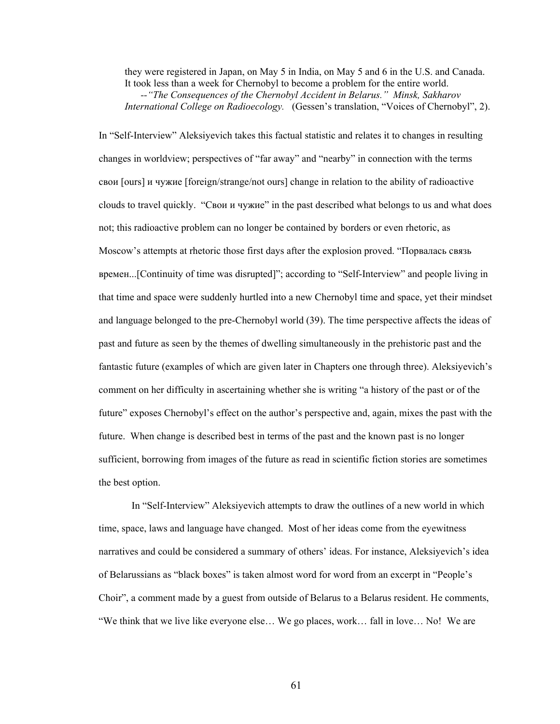they were registered in Japan, on May 5 in India, on May 5 and 6 in the U.S. and Canada. It took less than a week for Chernobyl to become a problem for the entire world. *--"The Consequences of the Chernobyl Accident in Belarus." Minsk, Sakharov International College on Radioecology.* (Gessen's translation, "Voices of Chernobyl", 2).

In "Self-Interview" Aleksiyevich takes this factual statistic and relates it to changes in resulting changes in worldview; perspectives of "far away" and "nearby" in connection with the terms свои [ours] и чужие [foreign/strange/not ours] change in relation to the ability of radioactive clouds to travel quickly. "Свои и чужие" in the past described what belongs to us and what does not; this radioactive problem can no longer be contained by borders or even rhetoric, as Moscow's attempts at rhetoric those first days after the explosion proved. "Порвалась связь времен...[Continuity of time was disrupted]"; according to "Self-Interview" and people living in that time and space were suddenly hurtled into a new Chernobyl time and space, yet their mindset and language belonged to the pre-Chernobyl world (39). The time perspective affects the ideas of past and future as seen by the themes of dwelling simultaneously in the prehistoric past and the fantastic future (examples of which are given later in Chapters one through three). Aleksiyevich's comment on her difficulty in ascertaining whether she is writing "a history of the past or of the future" exposes Chernobyl's effect on the author's perspective and, again, mixes the past with the future. When change is described best in terms of the past and the known past is no longer sufficient, borrowing from images of the future as read in scientific fiction stories are sometimes the best option.

In "Self-Interview" Aleksiyevich attempts to draw the outlines of a new world in which time, space, laws and language have changed. Most of her ideas come from the eyewitness narratives and could be considered a summary of others' ideas. For instance, Aleksiyevich's idea of Belarussians as "black boxes" is taken almost word for word from an excerpt in "People's Choir", a comment made by a guest from outside of Belarus to a Belarus resident. He comments, "We think that we live like everyone else… We go places, work… fall in love… No! We are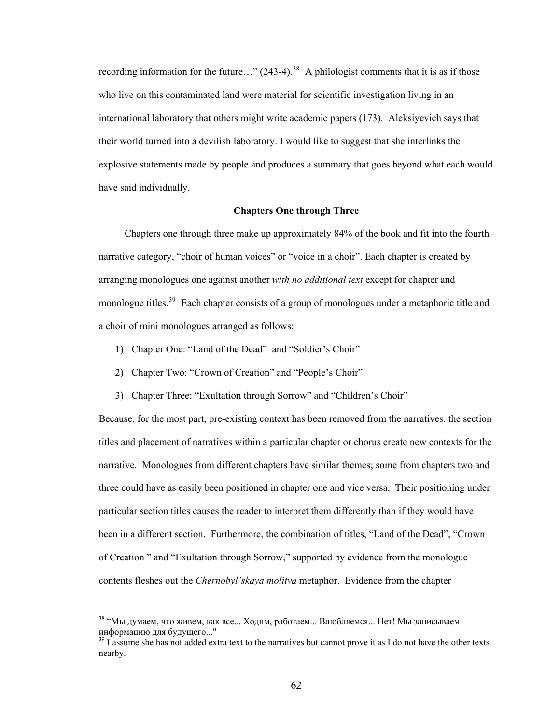recording information for the future..."  $(243-4)$ .<sup>[38](#page-67-0)</sup> A philologist comments that it is as if those who live on this contaminated land were material for scientific investigation living in an international laboratory that others might write academic papers (173). Aleksiyevich says that their world turned into a devilish laboratory. I would like to suggest that she interlinks the explosive statements made by people and produces a summary that goes beyond what each would have said individually.

# **Chapters One through Three**

Chapters one through three make up approximately 84% of the book and fit into the fourth narrative category, "choir of human voices" or "voice in a choir". Each chapter is created by arranging monologues one against another *with no additional text* except for chapter and monologue titles.<sup>[39](#page-67-1)</sup> Each chapter consists of a group of monologues under a metaphoric title and a choir of mini monologues arranged as follows:

- 1) Chapter One: "Land of the Dead" and "Soldier's Choir"
- 2) Chapter Two: "Crown of Creation" and "People's Choir"
- 3) Chapter Three: "Exultation through Sorrow" and "Children's Choir"

Because, for the most part, pre-existing context has been removed from the narratives, the section titles and placement of narratives within a particular chapter or chorus create new contexts for the narrative. Monologues from different chapters have similar themes; some from chapters two and three could have as easily been positioned in chapter one and vice versa. Their positioning under particular section titles causes the reader to interpret them differently than if they would have been in a different section. Furthermore, the combination of titles, "Land of the Dead", "Crown of Creation " and "Exultation through Sorrow," supported by evidence from the monologue contents fleshes out the *Chernobyl'skaya molitva* metaphor. Evidence from the chapter

<span id="page-67-0"></span><sup>38 &</sup>quot;Мы думаем, что живем, как все... Ходим, работаем... Влюбляемся... Нет! Мы записываем информацию для будущего..."<br><sup>39</sup> I assume she has not added extra text to the narratives but cannot prove it as I do not have the other texts

<span id="page-67-1"></span>nearby.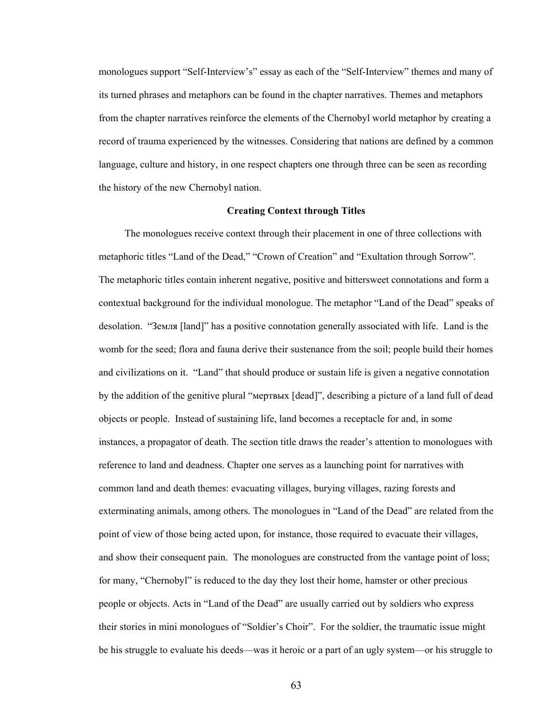monologues support "Self-Interview's" essay as each of the "Self-Interview" themes and many of its turned phrases and metaphors can be found in the chapter narratives. Themes and metaphors from the chapter narratives reinforce the elements of the Chernobyl world metaphor by creating a record of trauma experienced by the witnesses. Considering that nations are defined by a common language, culture and history, in one respect chapters one through three can be seen as recording the history of the new Chernobyl nation.

#### **Creating Context through Titles**

The monologues receive context through their placement in one of three collections with metaphoric titles "Land of the Dead," "Crown of Creation" and "Exultation through Sorrow". The metaphoric titles contain inherent negative, positive and bittersweet connotations and form a contextual background for the individual monologue. The metaphor "Land of the Dead" speaks of desolation. "Земля [land]" has a positive connotation generally associated with life. Land is the womb for the seed; flora and fauna derive their sustenance from the soil; people build their homes and civilizations on it. "Land" that should produce or sustain life is given a negative connotation by the addition of the genitive plural "мертвых [dead]", describing a picture of a land full of dead objects or people. Instead of sustaining life, land becomes a receptacle for and, in some instances, a propagator of death. The section title draws the reader's attention to monologues with reference to land and deadness. Chapter one serves as a launching point for narratives with common land and death themes: evacuating villages, burying villages, razing forests and exterminating animals, among others. The monologues in "Land of the Dead" are related from the point of view of those being acted upon, for instance, those required to evacuate their villages, and show their consequent pain. The monologues are constructed from the vantage point of loss; for many, "Chernobyl" is reduced to the day they lost their home, hamster or other precious people or objects. Acts in "Land of the Dead" are usually carried out by soldiers who express their stories in mini monologues of "Soldier's Choir". For the soldier, the traumatic issue might be his struggle to evaluate his deeds—was it heroic or a part of an ugly system—or his struggle to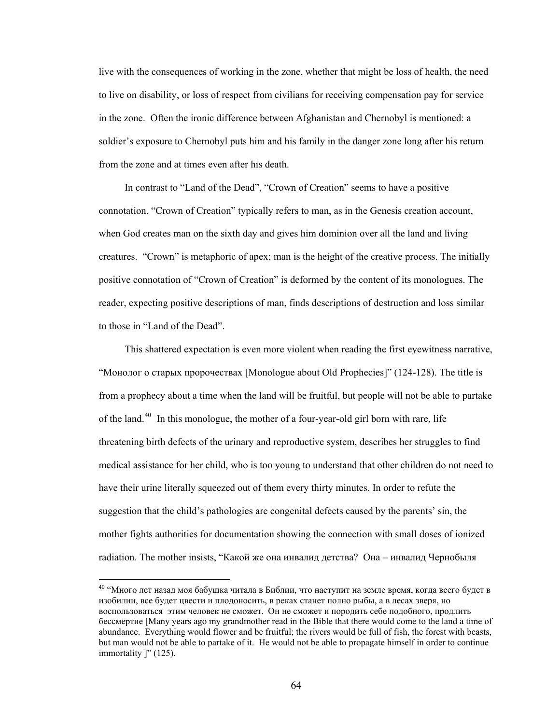live with the consequences of working in the zone, whether that might be loss of health, the need to live on disability, or loss of respect from civilians for receiving compensation pay for service in the zone. Often the ironic difference between Afghanistan and Chernobyl is mentioned: a soldier's exposure to Chernobyl puts him and his family in the danger zone long after his return from the zone and at times even after his death.

In contrast to "Land of the Dead", "Crown of Creation" seems to have a positive connotation. "Crown of Creation" typically refers to man, as in the Genesis creation account, when God creates man on the sixth day and gives him dominion over all the land and living creatures. "Crown" is metaphoric of apex; man is the height of the creative process. The initially positive connotation of "Crown of Creation" is deformed by the content of its monologues. The reader, expecting positive descriptions of man, finds descriptions of destruction and loss similar to those in "Land of the Dead".

This shattered expectation is even more violent when reading the first eyewitness narrative, "Монолог о старых пророчествах [Monologue about Old Prophecies]" (124-128). The title is from a prophecy about a time when the land will be fruitful, but people will not be able to partake of the land.<sup>[40](#page-69-0)</sup> In this monologue, the mother of a four-year-old girl born with rare, life threatening birth defects of the urinary and reproductive system, describes her struggles to fin d medical assistance for her child, who is too young to understand that other children do not need to have their urine literally squeezed out of them every thirty minutes. In order to refute the suggestion that the child's pathologies are congenital defects caused by the parents' sin, the mother fights authorities for documentation showing the connection with small doses of ionized radiation. The mother insists, "Какой же она инвалид детства? Она – инвалид Чернобыля

<span id="page-69-0"></span><sup>&</sup>lt;sup>40</sup> "Много лет назад моя бабушка читала в Библии, что наступит на земле время, когда всего будет в изобилии, все будет цвести и плодоносить, в реках станет полно рыбы, а в лесах зверя, но воспользоваться этим человек не сможет. Он не сможет и породить себе подобного, продлить бессмертие [Many years ago my grandmother read in the Bible that there would come to the land a time of abundance. Everything would flower and be fruitful; the rivers would be full of fish, the forest with beasts, but man would not be able to partake of it. He would not be able to propagate himself in order to continue immortality ]" (125).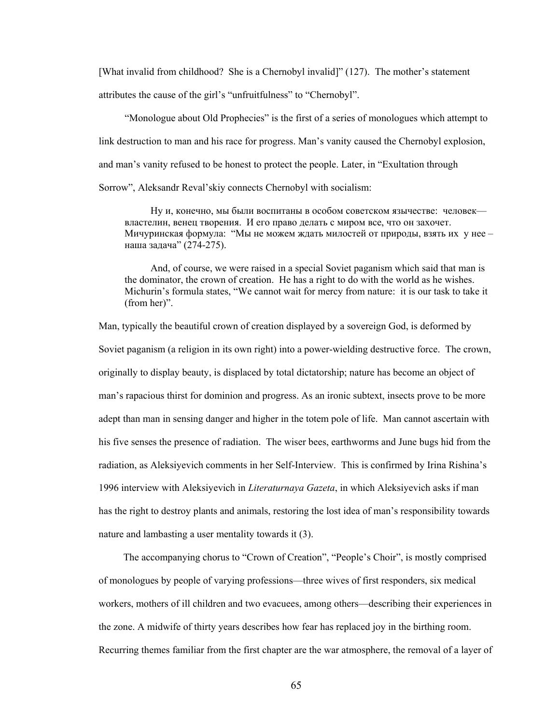[What invalid from childhood? She is a Chernobyl invalid]" (127). The mother's statement attributes the cause of the girl's "unfruitfulness" to "Chernobyl".

"Monologue about Old Prophecies" is the first of a series of monologues which attempt to link destruction to man and his race for progress. Man's vanity caused the Chernobyl explosion, and man's vanity refused to be honest to protect the people. Later, in "Exultation through Sorrow", Aleksandr Reval'skiy connects Chernobyl with socialism:

Ну и, конечно, мы были воспитаны в особом советском язычестве: человек властелин, венец творения. И его право делать с миром все, что он захочет. Мичуринская формула: "Мы не можем ждать милостей от природы, взять их у нее – наша задача" (274-275).

And, of course, we were raised in a special Soviet paganism which said that man is the dominator, the crown of creation. He has a right to do with the world as he wishes. Michurin's formula states, "We cannot wait for mercy from nature: it is our task to take it (from her)".

Man, typically the beautiful crown of creation displayed by a sovereign God, is deformed by Soviet paganism (a religion in its own right) into a power-wielding destructive force. The crown, originally to display beauty, is displaced by total dictatorship; nature has become an object of man's rapacious thirst for dominion and progress. As an ironic subtext, insects prove to be more adept than man in sensing danger and higher in the totem pole of life. Man cannot ascertain with his five senses the presence of radiation. The wiser bees, earthworms and June bugs hid from the radiation, as Aleksiyevich comments in her Self-Interview. This is confirmed by Irina Rishina's 1996 interview with Aleksiyevich in *Literaturnaya Gazeta*, in which Aleksiyevich asks if man has the right to destroy plants and animals, restoring the lost idea of man's responsibility towards nature and lambasting a user mentality towards it (3).

 The accompanying chorus to "Crown of Creation", "People's Choir", is mostly comprised of monologues by people of varying professions—three wives of first responders, six medical workers, mothers of ill children and two evacuees, among others—describing their experiences in the zone. A midwife of thirty years describes how fear has replaced joy in the birthing room. Recurring themes familiar from the first chapter are the war atmosphere, the removal of a layer of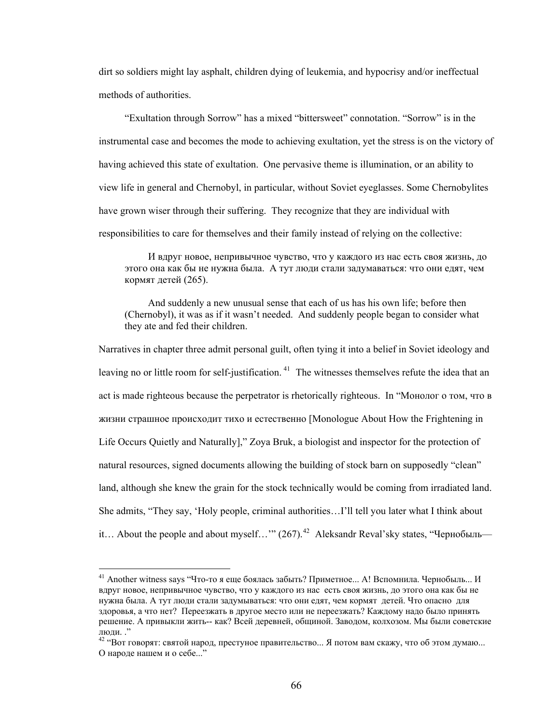dirt so soldiers might lay asphalt, children dying of leukemia, and hypocrisy and/or ineffectual methods of authorities.

"Exultation through Sorrow" has a mixed "bittersweet" connotation. "Sorrow" is in the instrumental case and becomes the mode to achieving exultation, yet the stress is on the victory of having achieved this state of exultation. One pervasive theme is illumination, or an ability to view life in general and Chernobyl, in particular, without Soviet eyeglasses. Some Chernobylites have grown wiser through their suffering. They recognize that they are individual with responsibilities to care for themselves and their family instead of relying on the collective:

И вдруг новое, непривычное чувство, что у каждого из нас есть своя жизнь, до этого она как бы не нужна была. А тут люди стали задумаваться: что они едят, чем кормят детей (265).

 And suddenly a new unusual sense that each of us has his own life; before then (Chernobyl), it was as if it wasn't needed. And suddenly people began to consider what they ate and fed their children.

Narratives in chapter three admit personal guilt, often tying it into a belief in Soviet ideology and leaving no or little room for self-justification.<sup>[41](#page-71-0)</sup> The witnesses themselves refute the idea that an act is made righteous because the perpetrator is rhetorically righteous. In "Монолог о том, что в жизни страшное происходит тихо и естественно [Monologue About How the Frightening in Life Occurs Quietly and Naturally]," Zoya Bruk, a biologist and inspector for the protection of natural resources, signed documents allowing the building of stock barn on supposedly "clean" land, although she knew the grain for the stock technically would be coming from irradiated land. She admits, "They say, 'Holy people, criminal authorities…I'll tell you later what I think about it… About the people and about myself…'"  $(267)$ .<sup>[42](#page-71-1)</sup> Aleksandr Reval'sky states, "Чернобыль—

<span id="page-71-0"></span><sup>&</sup>lt;sup>41</sup> Another witness says "Что-то я еще боялась забыть? Приметное... А! Вспомнила. Чернобыль... И вдруг новое, непривычное чувство, что у каждого из нас есть своя жизнь, до этого она как бы не нужна была. А тут люди стали задумываться: что они едят, чем кормят детей. Что опасно для здоровья, а что нет? Переезжать в другое место или не переезжать? Каждому надо было принять решение. А привыкли жить-- как? Всей деревней, общиной. Заводом, колхозом. Мы были советские

<span id="page-71-1"></span>люди. ."<br><sup>42</sup> "Вот говорят: святой народ, престуное правительство... Я потом вам скажу, что об этом думаю... О народе нашем и о себе..."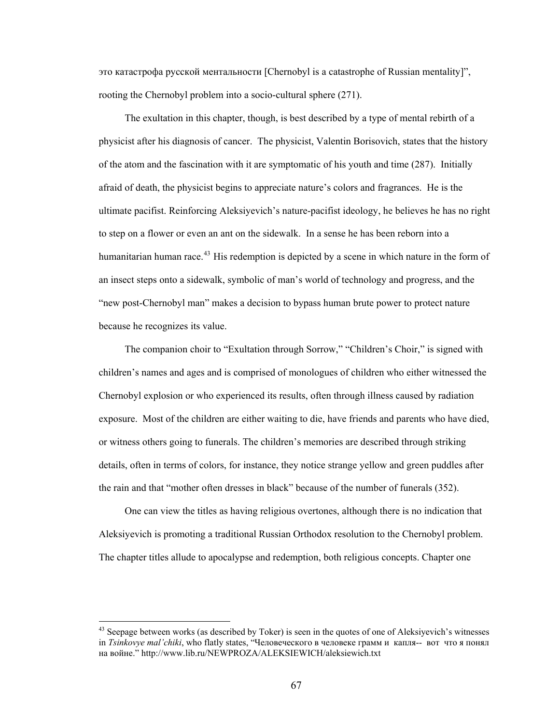это катастрофа русской ментальности [Chernobyl is a catastrophe of Russian mentality]", rooting the Chernobyl problem into a socio-cultural sphere (271).

 The exultation in this chapter, though, is best described by a type of mental rebirth of a physicist after his diagnosis of cancer. The physicist, Valentin Borisovich, states that the history of the atom and the fascination with it are symptomatic of his youth and time (287). Initially afraid of death, the physicist begins to appreciate nature's colors and fragrances. He is the ultimate pacifist. Reinforcing Aleksiyevich's nature-pacifist ideology, he believes he has no right to step on a flower or even an ant on the sidewalk. In a sense he has been reborn into a humanitarian human race.<sup>[43](#page-72-0)</sup> His redemption is depicted by a scene in which nature in the form of an insect steps onto a sidewalk, symbolic of man's world of technology and progress, and the "new post-Chernobyl man" makes a decision to bypass human brute power to protect nature because he recognizes its value.

 The companion choir to "Exultation through Sorrow," "Children's Choir," is signed with children's names and ages and is comprised of monologues of children who either witnessed the Chernobyl explosion or who experienced its results, often through illness caused by radiation exposure. Most of the children are either waiting to die, have friends and parents who have died, or witness others going to funerals. The children's memories are described through striking details, often in terms of colors, for instance, they notice strange yellow and green puddles after the rain and that "mother often dresses in black" because of the number of funerals (352).

 One can view the titles as having religious overtones, although there is no indication that Aleksiyevich is promoting a traditional Russian Orthodox resolution to the Chernobyl problem. The chapter titles allude to apocalypse and redemption, both religious concepts. Chapter one

<span id="page-72-0"></span> $43$  Seepage between works (as described by Toker) is seen in the quotes of one of Aleksiyevich's witnesses in *Tsinkovye mal'chiki*, who flatly states, "Человеческого в человеке грамм и капля-- вот что я понял на войне." http://www.lib.ru/NEWPROZA/ALEKSIEWICH/aleksiewich.txt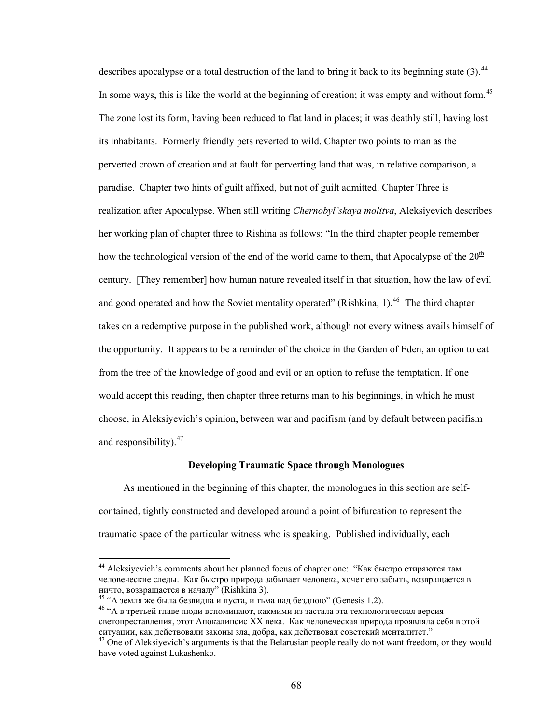describes apocalypse or a total destruction of the land to bring it back to its beginning state  $(3)$ .<sup>[44](#page-73-0)</sup> In some ways, this is like the world at the beginning of creation; it was empty and without form.<sup>[45](#page-73-1)</sup> The zone lost its form, having been reduced to flat land in places; it was deathly still, having lost its inhabitants. Formerly friendly pets reverted to wild. Chapter two points to man as the perverted crown of creation and at fault for perverting land that was, in relative comparison, a paradise. Chapter two hints of guilt affixed, but not of guilt admitted. Chapter Three is realization after Apocalypse. When still writing *Chernobyl'skaya molitva*, Aleksiyevich describes her working plan of chapter three to Rishina as follows: "In the third chapter people remember how the technological version of the end of the world came to them, that Apocalypse of the  $20<sup>th</sup>$ century. [They remember] how human nature revealed itself in that situation, how the law of evil and good operated and how the Soviet mentality operated" (Rishkina, 1).<sup>[46](#page-73-2)</sup> The third chapter takes on a redemptive purpose in the published work, although not every witness avails himself of the opportunity. It appears to be a reminder of the choice in the Garden of Eden, an option to eat from the tree of the knowledge of good and evil or an option to refuse the temptation. If one would accept this reading, then chapter three returns man to his beginnings, in which he must choose, in Aleksiyevich's opinion, between war and pacifism (and by default between pacifism and responsibility). $47$ 

#### **Developing Traumatic Space through Monologues**

 As mentioned in the beginning of this chapter, the monologues in this section are selfcontained, tightly constructed and developed around a point of bifurcation to represent the traumatic space of the particular witness who is speaking. Published individually, each

<span id="page-73-0"></span><sup>&</sup>lt;sup>44</sup> Aleksiyevich's comments about her planned focus of chapter one: "Как быстро стираются там человеческие следы. Как быстро природа забывает человека, хочет его забыть, возвращается в<br>ничто, возвращается в началу" (Rishkina 3).

<span id="page-73-2"></span><span id="page-73-1"></span><sup>&</sup>lt;sup>45</sup> "А земля же была безвидна и пуста, и тьма над бездною" (Genesis 1.2). <sup>46</sup> "А в третьей главе люди вспоминают, какмими из застала эта технологическая версия светопреставления, этот Апокалипсис ХХ века. Как человеческая природа проявляла себя в этой ситуации, как действовали законы зла, добра, как действовал советский менталитет."<br><sup>47</sup> One of Aleksiyevich's arguments is that the Belarusian people really do not want freedom, or they would

<span id="page-73-3"></span>have voted against Lukashenko.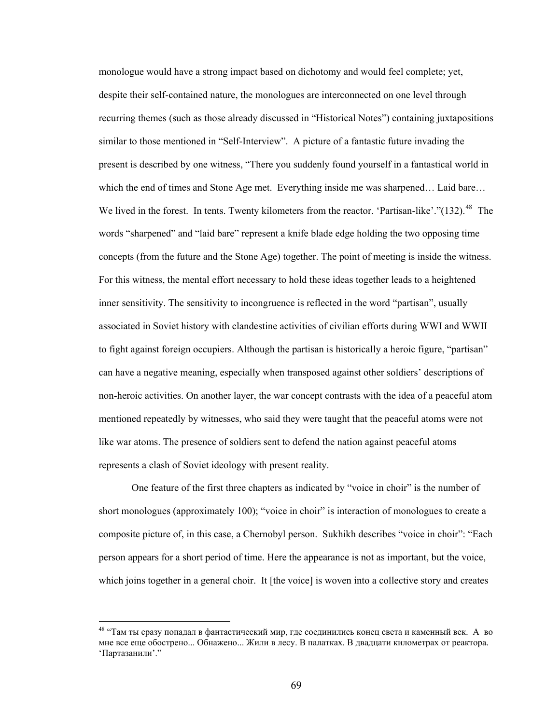monologue would have a strong impact based on dichotomy and would feel complete; yet, despite their self-contained nature, the monologues are interconnected on one level through recurring themes (such as those already discussed in "Historical Notes") containing juxtapositions similar to those mentioned in "Self-Interview". A picture of a fantastic future invading the present is described by one witness, "There you suddenly found yourself in a fantastical world in which the end of times and Stone Age met. Everything inside me was sharpened… Laid bare… We lived in the forest. In tents. Twenty kilometers from the reactor. 'Partisan-like'."(132).<sup>[48](#page-74-0)</sup> The words "sharpened" and "laid bare" represent a knife blade edge holding the two opposing time concepts (from the future and the Stone Age) together. The point of meeting is inside the witness. For this witness, the mental effort necessary to hold these ideas together leads to a heightened inner sensitivity. The sensitivity to incongruence is reflected in the word "partisan", usually associated in Soviet history with clandestine activities of civilian efforts during WWI and WWII to fight against foreign occupiers. Although the partisan is historically a heroic figure, "partisan" can have a negative meaning, especially when transposed against other soldiers' descriptions of non-heroic activities. On another layer, the war concept contrasts with the idea of a peaceful atom mentioned repeatedly by witnesses, who said they were taught that the peaceful atoms were not like war atoms. The presence of soldiers sent to defend the nation against peaceful atoms represents a clash of Soviet ideology with present reality.

One feature of the first three chapters as indicated by "voice in choir" is the number of short monologues (approximately 100); "voice in choir" is interaction of monologues to create a composite picture of, in this case, a Chernobyl person. Sukhikh describes "voice in choir": "Each person appears for a short period of time. Here the appearance is not as important, but the voice, which joins together in a general choir. It [the voice] is woven into a collective story and creates

<span id="page-74-0"></span><sup>&</sup>lt;sup>48</sup> "Там ты сразу попадал в фантастический мир, где соединились конец света и каменный век. А во мне все еще обострено... Обнажено... Жили в лесу. В палатках. В двадцати километрах от реактора. 'Партазанили'."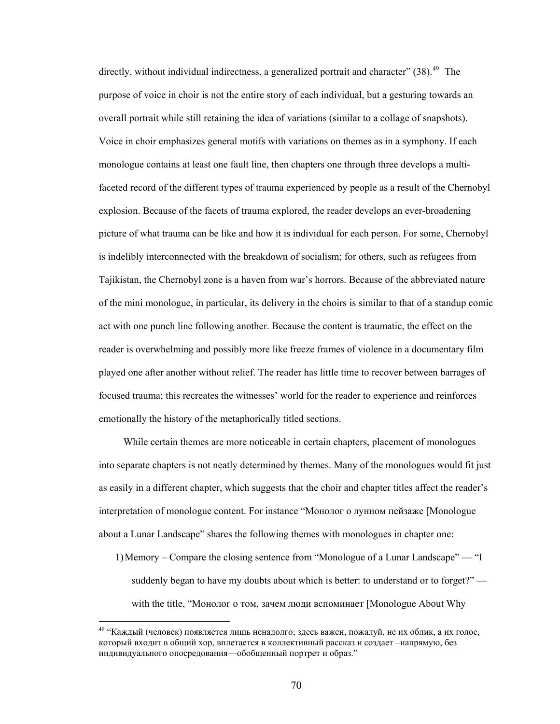directly, without individual indirectness, a generalized portrait and character" (38).<sup>[49](#page-75-0)</sup> The purpose of voice in choir is not the entire story of each individual, but a gesturing towards an overall portrait while still retaining the idea of variations (similar to a collage of snapshots). Voice in choir emphasizes general motifs with variations on themes as in a symphony. If each monologue contains at least one fault line, then chapters one through three develops a multifaceted record of the different types of trauma experienced by people as a result of the Chern obyl explosion. Because of the facets of trauma explored, the reader develops an ever-broadening picture of what trauma can be like and how it is individual for each person. For some, Chernob yl is indelibly interconnected with the breakdown of socialism; for others, such as refugees from Tajikistan, the Chernobyl zone is a haven from war's horrors. Because of the abbreviated nature of the mini monologue, in particular, its delivery in the choirs is similar to that of a standup com ic act with one punch line following another. Because the content is traumatic, the effect on the reader is overwhelming and possibly more like freeze frames of violence in a documentary film played one after another without relief. The reader has little time to recover between barrages of focused trauma; this recreates the witnesses' world for the reader to experience and reinforces emotionally the history of the metaphorically title d sections.

 While certain themes are more noticeable in certain chapters, placement of monologues into separate chapters is not neatly determined by themes. Many of the monologues would fit just as easily in a different chapter, which suggests that the choir and chapter titles affect the reader's interpretation of monologue content. For instance "Монолог о лунном пейзаже [Monologue about a Lunar Landscape" shares the following themes with monologues in chapter one:

1)Memory – Compare the closing sentence from "Monologue of a Lunar Landscape" — "I suddenly began to have my doubts about which is better: to understand or to forget?" with the title, "Монолог о том, зачем люди вспоминает [Monologue About Why

<span id="page-75-0"></span><sup>&</sup>lt;sup>49</sup> "Каждый (человек) появляется лишь ненадолго; здесь важен, пожалуй, не их облик, а их голос, который входит в общий хор, вплетается в коллективный рассказ и создает –напрямую, без индивидуального опосредования—обобщенный портрет и образ."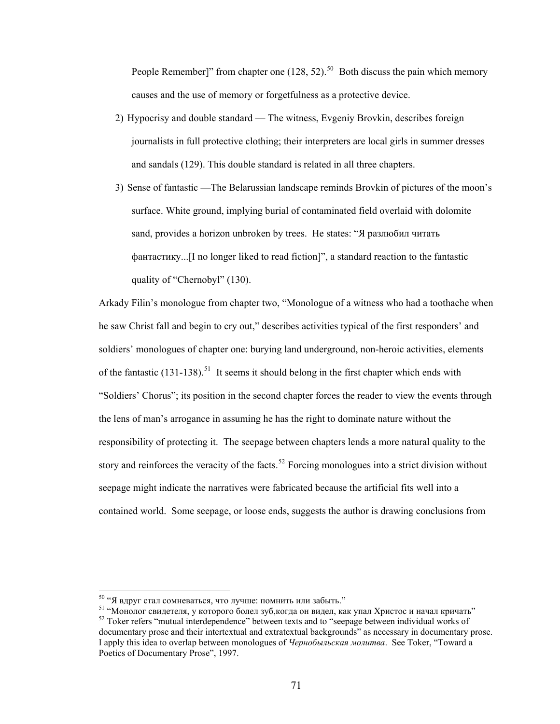People Remember]" from chapter one  $(128, 52)$ .<sup>50</sup> Both discuss the pain which memory causes and the use of memory or forgetfulness as a protective device.

- 2) Hypocrisy and double standard The witness, Evgeniy Brovkin, describes foreign journalists in full protective clothing; their interpreters are local girls in summer dresses and sandals (129). This double standard is related in all three chapters.
- 3) Sense of fantastic —The Belarussian landscape reminds Brovkin of pictures of the moon's surface. White ground, implying burial of contaminated field overlaid with dolomite sand, provides a horizon unbroken by trees. He states: "Я разлюбил читать фантастику...[I no longer liked to read fiction]", a standard reaction to the fantastic quality of "Chernobyl" (130).

Arkady Filin's monologue from chapter two, "Monologue of a witness who had a toothache when he saw Christ fall and begin to cry out," describes activities typical of the first responders' and soldiers' monologues of chapter one: burying land underground, non-heroic activities, elements of the fantastic  $(131-138)$ .<sup>[51](#page-76-0)</sup> It seems it should belong in the first chapter which ends with "Soldiers' Chorus"; its position in the second chapter forces the reader to view the events through the lens of man's arrogance in assuming he has the right to dominate nature without the responsibility of protecting it. The seepage between chapters lends a more natural quality to the story and reinforces the veracity of the facts.<sup>[52](#page-76-1)</sup> Forcing monologues into a strict division without seepage might indicate the narratives were fabricated because the artificial fits well into a contained world. Some seepage, or loose ends, suggests the author is drawing conclusions from

<span id="page-76-0"></span><sup>&</sup>lt;sup>50</sup> "Я вдруг стал сомневаться, что лучше: помнить или забыть."<br><sup>51</sup> "Монолог свидетеля, у которого болел зуб,когда он видел, как упал Христос и начал кричать"<br><sup>52</sup> Toker refers "mutual interdependence" between texts and

<span id="page-76-1"></span>documentary prose and their intertextual and extratextual backgrounds" as necessary in documentary prose. I apply this idea to overlap between monologues of *Чернобыльская молитва*. See Toker, "Toward a Poetics of Documentary Prose", 1997.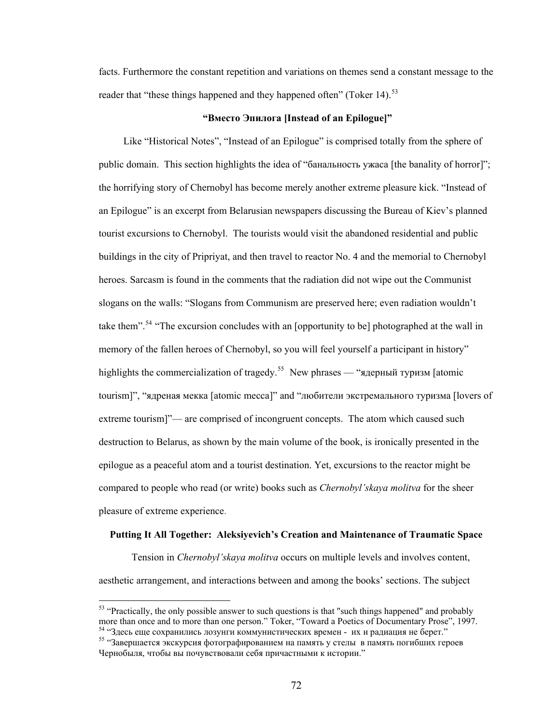facts. Furthermore the constant repetition and variations on themes send a constant message to the reader that "these things happened and they happened often" (Toker 14).<sup>[53](#page-77-0)</sup>

# **"Вместо Эпилога [Instead of an Epilogue]"**

 Like "Historical Notes", "Instead of an Epilogue" is comprised totally from the sphere of public domain. This section highlights the idea of "банальность ужаса [the banality of horror]"; the horrifying story of Chernobyl has become merely another extreme pleasure kick. "Instead of an Epilogue" is an excerpt from Belarusian newspapers discussing the Bureau of Kiev's planned tourist excursions to Chernobyl. The tourists would visit the abandoned residential and public buildings in the city of Pripriyat, and then travel to reactor No. 4 and the memorial to Chernobyl heroes. Sarcasm is found in the comments that the radiation did not wipe out the Communist slogans on the walls: "Slogans from Communism are preserved here; even radiation wouldn't take them".<sup>[54](#page-77-1)</sup> "The excursion concludes with an [opportunity to be] photographed at the wall in memory of the fallen heroes of Chernobyl, so you will feel yourself a participant in history" highlights the commercialization of tragedy.<sup>[55](#page-77-2)</sup> New phrases — "ядерный туризм [atomic tourism]", "ядреная мекка [atomic mecca]" and "любители экстремального туризма [lovers of extreme tourism]"— are comprised of incongruent concepts. The atom which caused such destruction to Belarus, as shown by the main volume of the book, is ironically presented in the epilogue as a peaceful atom and a tourist destination. Yet, excursions to the reactor might be compared to people who read (or write) books such as *Chernobyl'skaya molitva* for the sheer pleasure of extreme experience.

#### **Putting It All Together: Aleksiyevich's Creation and Maintenance of Traumatic Space**

Tension in *Chernobyl'skaya molitva* occurs on multiple levels and involves content, aesthetic arrangement, and interactions between and among the books' sections. The subject

<span id="page-77-0"></span> $53$  "Practically, the only possible answer to such questions is that "such things happened" and probably more than once and to more than one person." Toker, "Toward a Poetics of Documentary Prose", 1997.

<span id="page-77-2"></span><span id="page-77-1"></span><sup>&</sup>lt;sup>54</sup> "Здесь еще сохранились лозунги коммунистических времен - их и радиация не берет."<br><sup>55</sup> "Завершается экскурсия фотографированием на память у стелы в память погибших героев Чернобыля, чтобы вы почувствовали себя причастными к истории."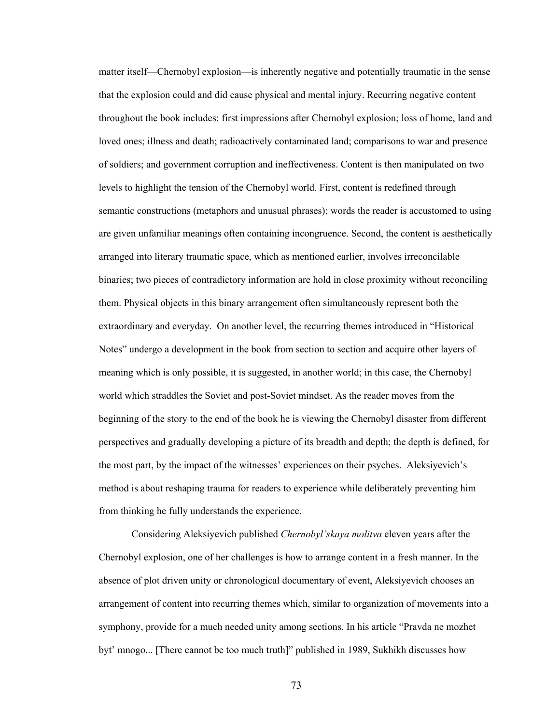matter itself—Chernobyl explosion—is inherently negative and potentially traumatic in the sense that the explosion could and did cause physical and mental injury. Recurring negative content throughout the book includes: first impressions after Chernobyl explosion; loss of home, land and loved ones; illness and death; radioactively contaminated land; comparisons to war and presence of soldiers; and government corruption and ineffectiveness. Content is then manipulated on two levels to highlight the tension of the Chernobyl world. First, content is redefined through semantic constructions (metaphors and unusual phrases); words the reader is accustomed to using are given unfamiliar meanings often containing incongruence. Second, the content is aesthetically arranged into literary traumatic space, which as mentioned earlier, involves irreconcilable binaries; two pieces of contradictory information are hold in close proximity without reconciling them. Physical objects in this binary arrangement often simultaneously represent both the extraordinary and everyday. On another level, the recurring themes introduced in "Historical Notes" undergo a development in the book from section to section and acquire other layers of meaning which is only possible, it is suggested, in another world; in this case, the Chernobyl world which straddles the Soviet and post-Soviet mindset. As the reader moves from the beginning of the story to the end of the book he is viewing the Chernobyl disaster from different perspectives and gradually developing a picture of its breadth and depth; the depth is defined, for the most part, by the impact of the witnesses' experiences on their psyches. Aleksiyevich's method is about reshaping trauma for readers to experience while deliberately preventing him from thinking he fully understands the experience.

Considering Aleksiyevich published *Chernobyl'skaya molitva* eleven years after the Chernobyl explosion, one of her challenges is how to arrange content in a fresh manner. In the absence of plot driven unity or chronological documentary of event, Aleksiyevich chooses an arrangement of content into recurring themes which, similar to organization of movements into a symphony, provide for a much needed unity among sections. In his article "Pravda ne mozhet byt' mnogo... [There cannot be too much truth]" published in 1989, Sukhikh discusses how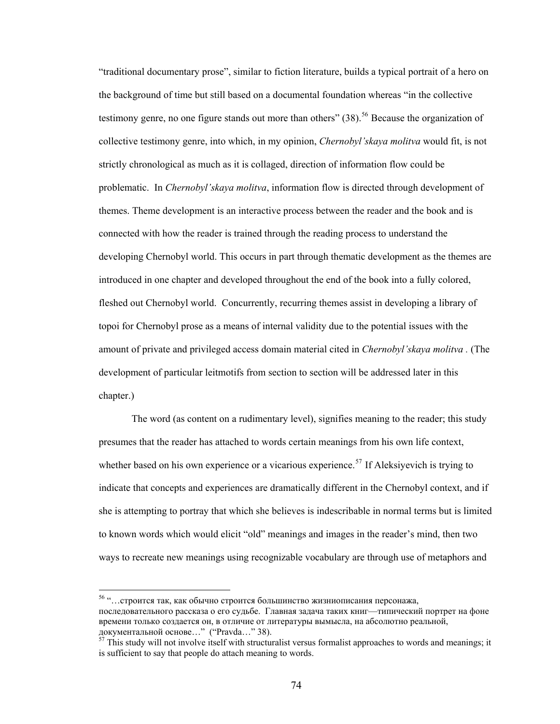"traditional documentary prose", similar to fiction literature, builds a typical portrait of a hero on the background of time but still based on a documental foundation whereas "in the collective testimony genre, no one figure stands out more than others"  $(38)$ <sup>[56](#page-79-0)</sup> Because the organization of collective testimony genre, into which, in my opinion, *Chernobyl'skaya molitva* would fit, is not strictly chronological as much as it is collaged, direction of information flow could be problematic. In *Chernobyl'skaya molitva*, information flow is directed through development of themes. Theme development is an interactive process between the reader and the book and is connected with how the reader is trained through the reading process to understand the developing Chernobyl world. This occurs in part through thematic development as the themes are introduced in one chapter and developed throughout the end of the book into a fully colored, fleshed out Chernobyl world. Concurrently, recurring themes assist in developing a library of topoi for Chernobyl prose as a means of internal validity due to the potential issues with the amount of private and privileged access domain material cited in *Chernobyl'skaya molitva .* (The development of particular leitmotifs from section to section will be addressed later in this chapter.)

The word (as content on a rudimentary level), signifies meaning to the reader; this study presumes that the reader has attached to words certain meanings from his own life context, whether based on his own experience or a vicarious experience.<sup>[57](#page-79-1)</sup> If Aleksiyevich is trying to indicate that concepts and experiences are dramatically different in the Chernobyl context, and if she is attempting to portray that which she believes is indescribable in normal terms but is limited to known words which would elicit "old" meanings and images in the reader's mind, then two ways to recreate new meanings using recognizable vocabulary are through use of metaphors and

<span id="page-79-0"></span><sup>56 &</sup>quot;…строится так, как обычно строится большинство жизниописания персонажа, последовательного рассказа о его судьбе. Главная задача таких книг—типический портрет на фоне времени только создается он, в отличие от литературы вымысла, на абсолютно реальной,

<span id="page-79-1"></span> $\frac{57}{7}$  This study will not involve itself with structuralist versus formalist approaches to words and meanings; it is sufficient to say that people do attach meaning to words.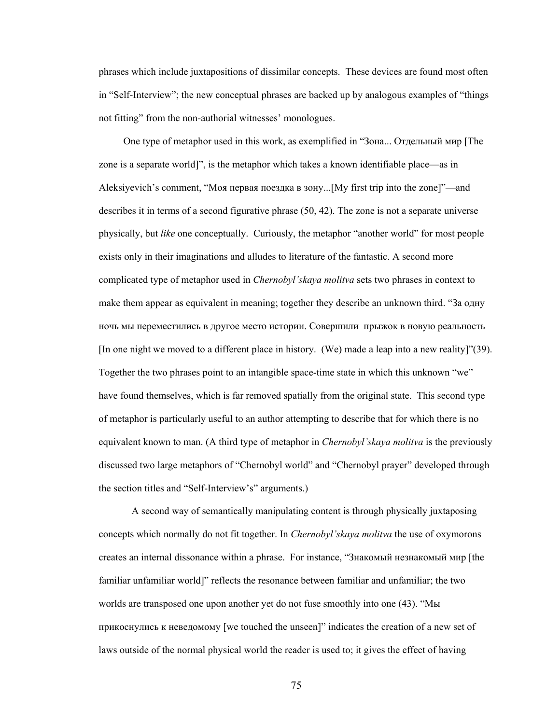phrases which include juxtapositions of dissimilar concepts. These devices are found most often in "Self-Interview"; the new conceptual phrases are backed up by analogous examples of "things not fitting" from the non-authorial witnesses' monologues.

One type of metaphor used in this work, as exemplified in "Зона... Отдельный мир [The zone is a separate world]", is the metaphor which takes a known identifiable place—as in Aleksiyevich's comment, "Моя первая поездка в зону...[My first trip into the zone]"—and describes it in terms of a second figurative phrase (50, 42). The zone is not a separate universe physically, but *like* one conceptually. Curiously, the metaphor "another world" for most people exists only in their imaginations and alludes to literature of the fantastic. A second more complicated type of metaphor used in *Chernobyl'skaya molitva* sets two phrases in context to make them appear as equivalent in meaning; together they describe an unknown third. "За одну ночь мы переместились в другое место истории. Совершили прыжок в новую реальность [In one night we moved to a different place in history. (We) made a leap into a new reality]"(39). Together the two phrases point to an intangible space-time state in which this unknown "we" have found themselves, which is far removed spatially from the original state. This second type of metaphor is particularly useful to an author attempting to describe that for which there is no equivalent known to man. (A third type of metaphor in *Chernobyl'skaya molitva* is the previously discussed two large metaphors of "Chernobyl world" and "Chernobyl prayer" developed through the section titles and "Self-Interview's" arguments.)

A second way of semantically manipulating content is through physically juxtaposing concepts which normally do not fit together. In *Chernobyl'skaya molitva* the use of oxymorons creates an internal dissonance within a phrase. For instance, "Знакомый незнакомый мир [the familiar unfamiliar world]" reflects the resonance between familiar and unfamiliar; the two worlds are transposed one upon another yet do not fuse smoothly into one (43). "Мы прикоснулись к неведомому [we touched the unseen]" indicates the creation of a new set of laws outside of the normal physical world the reader is used to; it gives the effect of having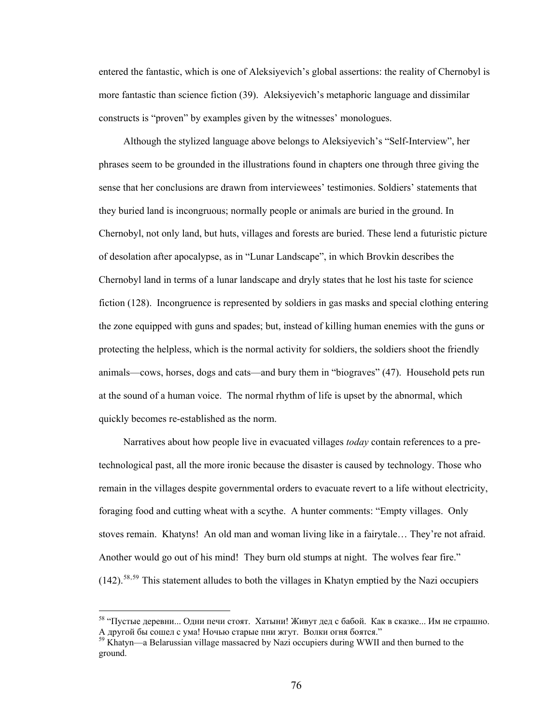entered the fantastic, which is one of Aleksiyevich's global assertions: the reality of Chernobyl is more fantastic than science fiction (39). Aleksiyevich's metaphoric language and dissimilar constructs is "proven" by examples given by the witnesses' monologues.

 Although the stylized language above belongs to Aleksiyevich's "Self-Interview", her phrases seem to be grounded in the illustrations found in chapters one through three giving the sense that her conclusions are drawn from interviewees' testimonies. Soldiers' statements that they buried land is incongruous; normally people or animals are buried in the ground. In Chernobyl, not only land, but huts, villages and forests are buried. These lend a futuristic picture of desolation after apocalypse, as in "Lunar Landscape", in which Brovkin describes the Chernobyl land in terms of a lunar landscape and dryly states that he lost his taste for science fiction (128). Incongruence is represented by soldiers in gas masks and special clothing entering the zone equipped with guns and spades; but, instead of killing human enemies with the guns or protecting the helpless, which is the normal activity for soldiers, the soldiers shoot the friendly animals—cows, horses, dogs and cats—and bury them in "biograves" (47). Household pets run at the sound of a human voice. The normal rhythm of life is upset by the abnormal, which quickly becomes re-established as the norm.

 Narratives about how people live in evacuated villages *today* contain references to a pretechnological past, all the more ironic because the disaster is caused by technology. Those who remain in the villages despite governmental orders to evacuate revert to a life without electricity, foraging food and cutting wheat with a scythe. A hunter comments: "Empty villages. Only stoves remain. Khatyns! An old man and woman living like in a fairytale… They're not afraid. Another would go out of his mind! They burn old stumps at night. The wolves fear fire."  $(142)$ <sup>[58](#page-81-0),[59](#page-81-1)</sup> This statement alludes to both the villages in Khatyn emptied by the Nazi occupiers

<span id="page-81-0"></span><sup>&</sup>lt;sup>58</sup> "Пустые деревни... Одни печи стоят. Хатыни! Живут дед с бабой. Как в сказке... Им не страшно.<br>А другой бы сошел с ума! Ночью старые пни жгут. Волки огня боятся."

<span id="page-81-1"></span><sup>&</sup>lt;sup>59</sup> Khatyn—a Belarussian village massacred by Nazi occupiers during WWII and then burned to the ground.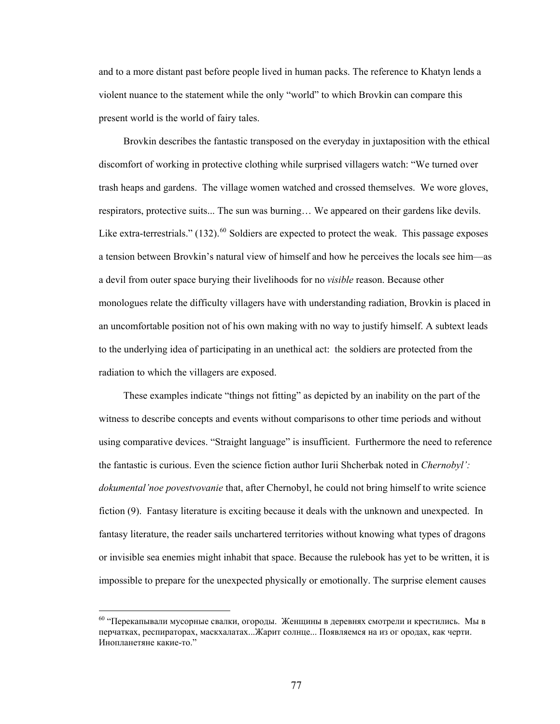and to a more distant past before people lived in human packs. The reference to Khatyn lend s a violent nuance to the statement while the only "world" to which Brovkin can compare this present world is the world of fairy tales.

 Brovkin describes the fantastic transposed on the everyday in juxtaposition with the ethical discomfort of working in protective clothing while surprised villagers watch: "We turned over trash heaps and gardens. The village women watched and crossed themselves. We wore gloves, respirators, protective suits... The sun was burning… We appeared on their gardens like devils. Like extra-terrestrials."  $(132)$ .<sup>[60](#page-82-0)</sup> Soldiers are expected to protect the weak. This passage exposes a tension between Brovkin's natural view of himself and how he perceives the locals see him—as a devil from outer space burying their livelihoods for no *visible* reason. Because other monologues relate the difficulty villagers have with understanding radiation, Brovkin is placed in an uncomfortable position not of his own making with no way to justify himself. A subtext leads to the underlying idea of participating in an unethical act: the soldiers are protected from the radiation to which the villagers are exposed.

 These examples indicate "things not fitting" as depicted by an inability on the part of the witness to describe concepts and events without comparisons to other time periods and without using comparative devices. "Straight language" is insufficient. Furthermore the need to reference the fantastic is curious. Even the science fiction author Iurii Shcherbak noted in *Chernobyl': dokumental'noe povestvovanie* that, after Chernobyl, he could not bring himself to write science fiction (9). Fantasy literature is exciting because it deals with the unknown and unexpected. In fantasy literature, the reader sails unchartered territories without knowing what types of dragons or invisible sea enemies might inhabit that space. Because the rulebook has yet to be written, it is impossible to prepare for the unexpected physically or emotionally. The surprise element causes

<span id="page-82-0"></span><sup>&</sup>lt;sup>60</sup> "Перекапывали мусорные свалки, огороды. Женщины в деревнях смотрели и крестились. Мы в перчатках, респираторах, маскхалатах...Жарит солнце... Появляемся на из ог ородах, как черти. Инопланетяне какие-то."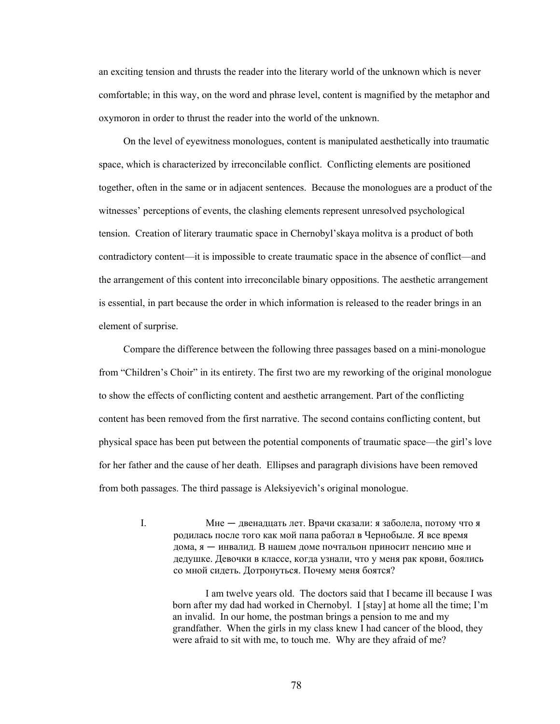an exciting tension and thrusts the reader into the literary world of the unknown which is never comfortable; in this way, on the word and phrase level, content is magnified by the metaphor and oxymoron in order to thrust the reader into the world of the unknown.

 On the level of eyewitness monologues, content is manipulated aesthetically into traumatic space, which is characterized by irreconcilable conflict. Conflicting elements are positioned together, often in the same or in adjacent sentences. Because the monologues are a product of the witnesses' perceptions of events, the clashing elements represent unresolved psychological tension. Creation of literary traumatic space in Chernobyl'skaya molitva is a product of both contradictory content—it is impossible to create traumatic space in the absence of conflict—and the arrangement of this content into irreconcilable binary oppositions. The aesthetic arrangement is essential, in part because the order in which information is released to the reader brings in an element of surprise.

 Compare the difference between the following three passages based on a mini-monologue from "Children's Choir" in its entirety. The first two are my reworking of the original monologue to show the effects of conflicting content and aesthetic arrangement. Part of the conflicting content has been removed from the first narrative. The second contains conflicting content, but physical space has been put between the potential components of traumatic space—the girl's love for her father and the cause of her death. Ellipses and paragraph divisions have been removed from both passages. The third passage is Aleksiyevich's original monologue.

> I. Мне — двенадцать лет. Врачи сказали: я заболела, потому что я родилась после того как мой папа работал в Чернобыле. Я все время дома, я — инвалид. В нашем доме почтальон приносит пенсию мне и дедушке. Девочки в классе, когда узнали, что у меня рак крови, боялись со мной сидеть. Дотронуться. Почему меня боятся?

 I am twelve years old. The doctors said that I became ill because I was born after my dad had worked in Chernobyl. I [stay] at home all the time; I'm an invalid. In our home, the postman brings a pension to me and my grandfather. When the girls in my class knew I had cancer of the blood, they were afraid to sit with me, to touch me. Why are they afraid of me?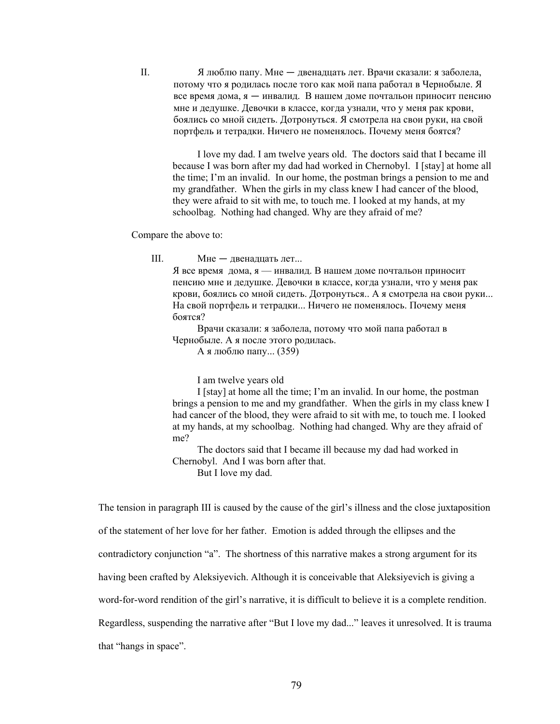II. Я люблю папу. Мне — двенадцать лет. Врачи сказали: я заболела, потому что я родилась после того как мой папа работал в Чернобыле. Я все время дома, я — инвалид. В нашем доме почтальон приносит пенсию мне и дедушке. Девочки в классе, когда узнали, что у меня рак крови, боялись со мной сидеть. Дотронуться. Я смотрела на свои руки, на свой портфель и тетрадки. Ничего не поменялось. Почему меня боятся?

I love my dad. I am twelve years old. The doctors said that I became ill because I was born after my dad had worked in Chernobyl. I [stay] at home all the time; I'm an invalid. In our home, the postman brings a pension to me and my grandfather. When the girls in my class knew I had cancer of the blood, they were afraid to sit with me, to touch me. I looked at my hands, at my schoolbag. Nothing had changed. Why are they afraid of me?

Compare the above to:

III. Мне — двенадцать лет...

 Я все время дома, я — инвалид. В нашем доме почтальон приносит пенсию мне и дедушке. Девочки в классе, когда узнали, что у меня рак крови, боялись со мной сидеть. Дотронуться.. А я смотрела на свои руки... На свой портфель и тетрадки... Ничего не поменялось. Почему меня боятся?

 Врачи сказали: я заболела, потому что мой папа работал в Чернобыле. А я после этого родилась.

А я люблю папу... (359)

I am twelve years old

 I [stay] at home all the time; I'm an invalid. In our home, the postman brings a pension to me and my grandfather. When the girls in my class knew I had cancer of the blood, they were afraid to sit with me, to touch me. I looked at my hands, at my schoolbag. Nothing had changed. Why are they afraid of me?

 The doctors said that I became ill because my dad had worked in Chernobyl. And I was born after that. But I love my dad.

The tension in paragraph III is caused by the cause of the girl's illness and the close juxtaposition of the statement of her love for her father. Emotion is added through the ellipses and the contradictory conjunction "a". The shortness of this narrative makes a strong argument for its having been crafted by Aleksiyevich. Although it is conceivable that Aleksiyevich is giving a word-for-word rendition of the girl's narrative, it is difficult to believe it is a complete rendition. Regardless, suspending the narrative after "But I love my dad..." leaves it unresolved. It is trauma that "hangs in space".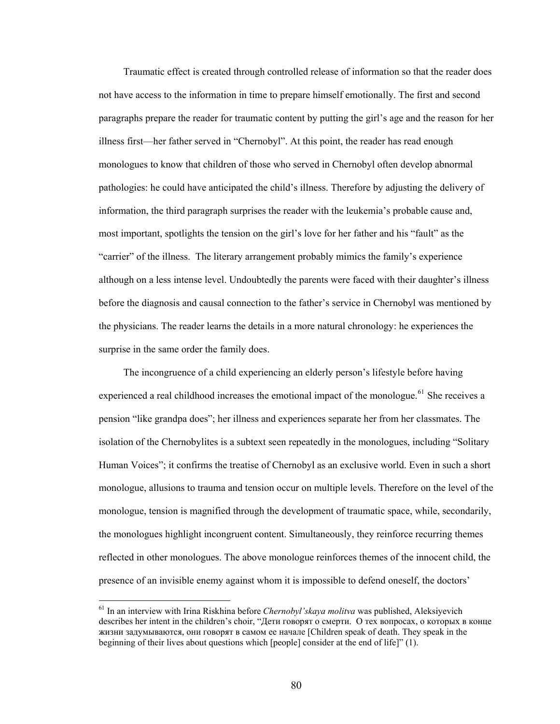Traumatic effect is created through controlled release of information so that the reader does not have access to the information in time to prepare himself emotionally. The first and second paragraphs prepare the reader for traumatic content by putting the girl's age and the reason for her illness first—her father served in "Chernobyl". At this point, the reader has read enough monologues to know that children of those who served in Chernobyl often develop abnormal pathologies: he could have anticipated the child's illness. Therefore by adjusting the delivery of information, the third paragraph surprises the reader with the leukemia's probable cause and, most important, spotlights the tension on the girl's love for her father and his "fault" as the "carrier" of the illness. The literary arrangement probably mimics the family's experience although on a less intense level. Undoubtedly the parents were faced with their daughter's illness before the diagnosis and causal connection to the father's service in Chernobyl was mentioned by the physicians. The reader learns the details in a more natural chronology: he experiences the surprise in the same order the family does.

 The incongruence of a child experiencing an elderly person's lifestyle before having experienced a real childhood increases the emotional impact of the monologue.<sup>[61](#page-85-0)</sup> She receives a pension "like grandpa does"; her illness and experiences separate her from her classmates. The isolation of the Chernobylites is a subtext seen repeatedly in the monologues, including "Solitary Human Voices"; it confirms the treatise of Chernobyl as an exclusive world. Even in such a short monologue, allusions to trauma and tension occur on multiple levels. Therefore on the level of the monologue, tension is magnified through the development of traumatic space, while, secondarily, the monologues highlight incongruent content. Simultaneously, they reinforce recurring themes reflected in other monologues. The above monologue reinforces themes of the innocent child, the presence of an invisible enemy against whom it is impossible to defend oneself, the doctors'

<span id="page-85-0"></span><sup>61</sup> In an interview with Irina Riskhina before *Chernobyl'skaya molitva* was published, Aleksiyevich describes her intent in the children's choir, "Дети говорят о смерти. О тех вопросах, о которых в конце жизни задумываются, они говорят в самом ее начале [Children speak of death. They speak in the beginning of their lives about questions which [people] consider at the end of life]" (1).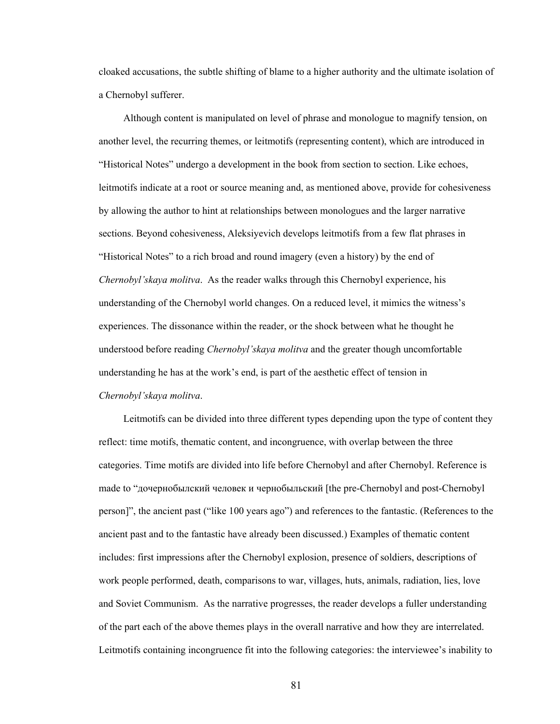cloaked accusations, the subtle shifting of blame to a higher authority and the ultimate isolation of a Chernobyl sufferer.

 Although content is manipulated on level of phrase and monologue to magnify tension, on another level, the recurring themes, or leitmotifs (representing content), which are introduced in "Historical Notes" undergo a development in the book from section to section. Like echoes, leitmotifs indicate at a root or source meaning and, as mentioned above, provide for cohesiveness by allowing the author to hint at relationships between monologues and the larger narrative sections. Beyond cohesiveness, Aleksiyevich develops leitmotifs from a few flat phrases in "Historical Notes" to a rich broad and round imagery (even a history) by the end of *Chernobyl'skaya molitva*. As the reader walks through this Chernobyl experience, his understanding of the Chernobyl world changes. On a reduced level, it mimics the witness's experiences. The dissonance within the reader, or the shock between what he thought he understood before reading *Chernobyl'skaya molitva* and the greater though uncomfortable understanding he has at the work's end, is part of the aesthetic effect of tension in *Chernobyl'skaya molitva*.

 Leitmotifs can be divided into three different types depending upon the type of content they reflect: time motifs, thematic content, and incongruence, with overlap between the three categories. Time motifs are divided into life before Chernobyl and after Chernobyl. Reference is made to "дочернобылский человек и чернобыльский [the pre-Chernobyl and post-Chernobyl person]", the ancient past ("like 100 years ago") and references to the fantastic. (References to the ancient past and to the fantastic have already been discussed.) Examples of thematic content includes: first impressions after the Chernobyl explosion, presence of soldiers, descriptions of work people performed, death, comparisons to war, villages, huts, animals, radiation, lies, love and Soviet Communism. As the narrative progresses, the reader develops a fuller understanding of the part each of the above themes plays in the overall narrative and how they are interrelated. Leitmotifs containing incongruence fit into the following categories: the interviewee's inability to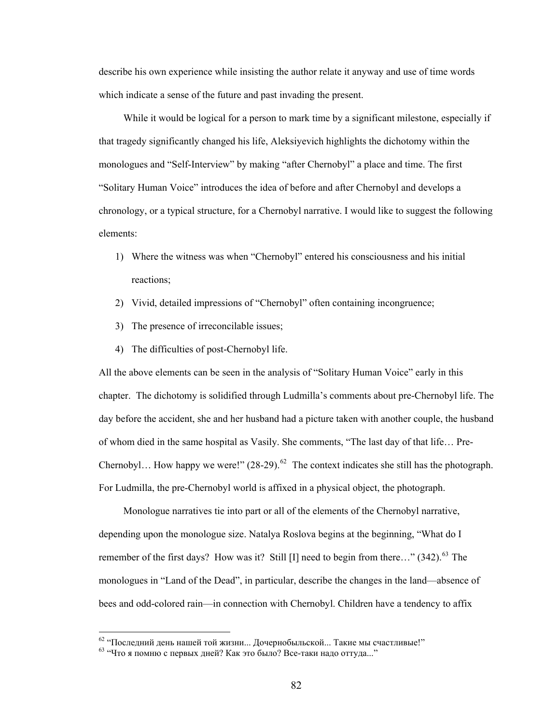describe his own experience while insisting the author relate it anyway and use of time words which indicate a sense of the future and past invading the present.

While it would be logical for a person to mark time by a significant milestone, especially if that tragedy significantly changed his life, Aleksiyevich highlights the dichotomy within the monologues and "Self-Interview" by making "after Chernobyl" a place and time. The first "Solitary Human Voice" introduces the idea of before and after Chernobyl and develops a chronology, or a typical structure, for a Chernobyl narrative. I would like to suggest the following elements:

- 1) Where the witness was when "Chernobyl" entered his consciousness and his initial reactions;
- 2) Vivid, detailed impressions of "Chernobyl" often containing incongruence;
- 3) The presence of irreconcilable issues;
- 4) The difficulties of post-Chernobyl life.

All the above elements can be seen in the analysis of "Solitary Human Voice" early in this chapter. The dichotomy is solidified through Ludmilla's comments about pre-Chernobyl life. The day before the accident, she and her husband had a picture taken with another couple, the husband of whom died in the same hospital as Vasily. She comments, "The last day of that life… Pre-Chernobyl... How happy we were!"  $(28-29)$ .<sup>[62](#page-87-0)</sup> The context indicates she still has the photograph. For Ludmilla, the pre-Chernobyl world is affixed in a physical object, the photograph.

 Monologue narratives tie into part or all of the elements of the Chernobyl narrative, depending upon the monologue size. Natalya Roslova begins at the beginning, "What do I remember of the first days? How was it? Still [I] need to begin from there..."  $(342)$ <sup>[63](#page-87-1)</sup>. The monologues in "Land of the Dead", in particular, describe the changes in the land—absence of bees and odd-colored rain—in connection with Chernobyl. Children have a tendency to affix

<span id="page-87-1"></span><span id="page-87-0"></span><sup>&</sup>lt;sup>62</sup> "Последний день нашей той жизни... Дочернобыльской... Такие мы счастливые!" <sup>63</sup> "Что я помню с первых дней? Как это было? Все-таки надо оттуда..."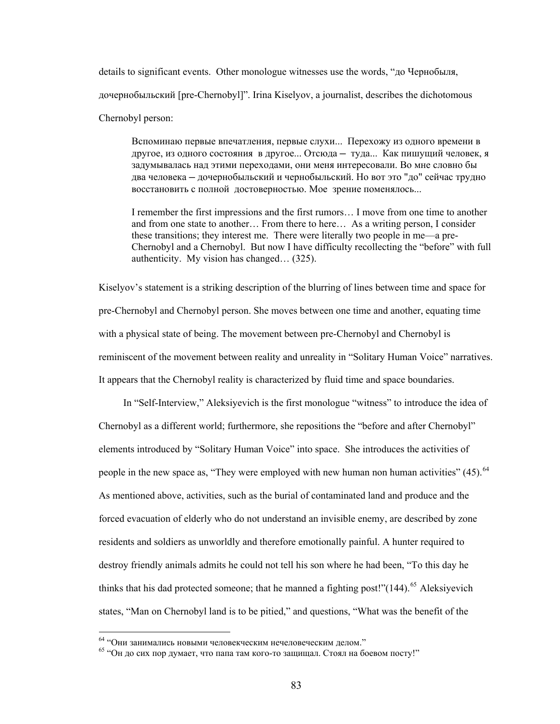details to significant events. Other monologue witnesses use the words, "до Чернобыля, дочернобыльский [pre-Chernobyl]". Irina Kiselyov, a journalist, describes the dichotomous Chernobyl person:

Вспоминаю первые впечатления, первые слухи... Перехожу из одного времени в другое, из одного состояния в другое... Отсюда — туда... Как пишущий человек, я задумывалась над этими переходами, они меня интересовали. Во мне словно бы два человека — дочернобыльский и чернобыльский. Но вот это "до" сейчас трудно восстановить c полной достоверностью. Мое зрение поменялось...

I remember the first impressions and the first rumors… I move from one time to another and from one state to another… From there to here… As a writing person, I consider these transitions; they interest me. There were literally two people in me—a pre-Chernobyl and a Chernobyl. But now I have difficulty recollecting the "before" with full authenticity. My vision has changed… (325).

Kiselyov's statement is a striking description of the blurring of lines between time and space for pre-Chernobyl and Chernobyl person. She moves between one time and another, equating time with a physical state of being. The movement between pre-Chernobyl and Chernobyl is reminiscent of the movement between reality and unreality in "Solitary Human Voice" narratives. It appears that the Chernobyl reality is characterized by fluid time and space boundaries.

 In "Self-Interview," Aleksiyevich is the first monologue "witness" to introduce the idea of Chernobyl as a different world; furthermore, she repositions the "before and after Chernobyl" elements introduced by "Solitary Human Voice" into space. She introduces the activities of people in the new space as, "They were employed with new human non human activities"  $(45)$ .<sup>[64](#page-88-0)</sup> As mentioned above, activities, such as the burial of contaminated land and produce and the forced evacuation of elderly who do not understand an invisible enemy, are described by zone residents and soldiers as unworldly and therefore emotionally painful. A hunter required to destroy friendly animals admits he could not tell his son where he had been, "To this day he thinks that his dad protected someone; that he manned a fighting post!" $(144)$ <sup>[65](#page-88-1)</sup> Aleksiyevich states, "Man on Chernobyl land is to be pitied," and questions, "What was the benefit of the

<span id="page-88-1"></span>

<span id="page-88-0"></span><sup>&</sup>lt;sup>64</sup> "Они занимались новыми человекческим нечеловеческим делом."<br><sup>65</sup> "Он до сих пор думает, что папа там кого-то защищал. Стоял на боевом посту!"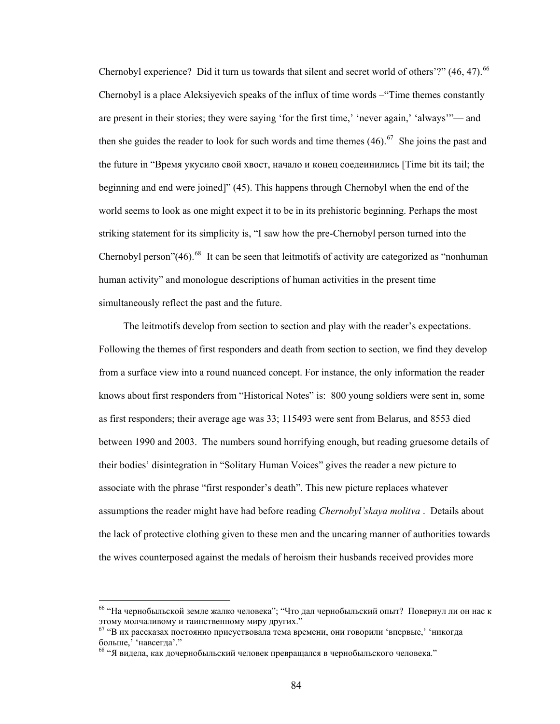Chernobyl experience? Did it turn us towards that silent and secret world of others'?"  $(46, 47)$ .<sup>[66](#page-89-0)</sup> Chernobyl is a place Aleksiyevich speaks of the influx of time words –"Time themes constantly are present in their stories; they were saying 'for the first time,' 'never again,' 'always'"— and then she guides the reader to look for such words and time themes  $(46)$ .<sup>[67](#page-89-1)</sup> She joins the past and the future in "Время укусило свой хвост, начало и конец соедеинились [Time bit its tail; the beginning and end were joined]" (45). This happens through Chernobyl when the end of the world seems to look as one might expect it to be in its prehistoric beginning. Perhaps the most striking statement for its simplicity is, "I saw how the pre-Chernobyl person turned into the Chernobyl person" $(46)$ <sup>[68](#page-89-2)</sup> It can be seen that leitmotifs of activity are categorized as "nonhuman" human activity" and monologue descriptions of human activities in the present time simultaneously reflect the past and the future.

 The leitmotifs develop from section to section and play with the reader's expectations. Following the themes of first responders and death from section to section, we find they develop from a surface view into a round nuanced concept. For instance, the only information the reader knows about first responders from "Historical Notes" is: 800 young soldiers were sent in, some as first responders; their average age was 33; 115493 were sent from Belarus, and 8553 died between 1990 and 2003. The numbers sound horrifying enough, but reading gruesome details of their bodies' disintegration in "Solitary Human Voices" gives the reader a new picture to associate with the phrase "first responder's death". This new picture replaces whatever assumptions the reader might have had before reading *Chernobyl'skaya molitva* . Details about the lack of protective clothing given to these men and the uncaring manner of authorities towards the wives counterposed against the medals of heroism their husbands received provides more

<span id="page-89-0"></span><sup>&</sup>lt;sup>66</sup> "На чернобыльской земле жалко человека"; "Что дал чернобыльский опыт? Повернул ли он нас к этому молчаливому и таинственному миру других."<br><sup>67</sup> "В их рассказах постоянно присуствовала тема времени, они говорили 'впервые,' 'никогда

<span id="page-89-1"></span>больше,' 'навсегда'."<br><sup>68</sup> "Я видела, как дочернобыльский человек превращался в чернобыльского человека."

<span id="page-89-2"></span>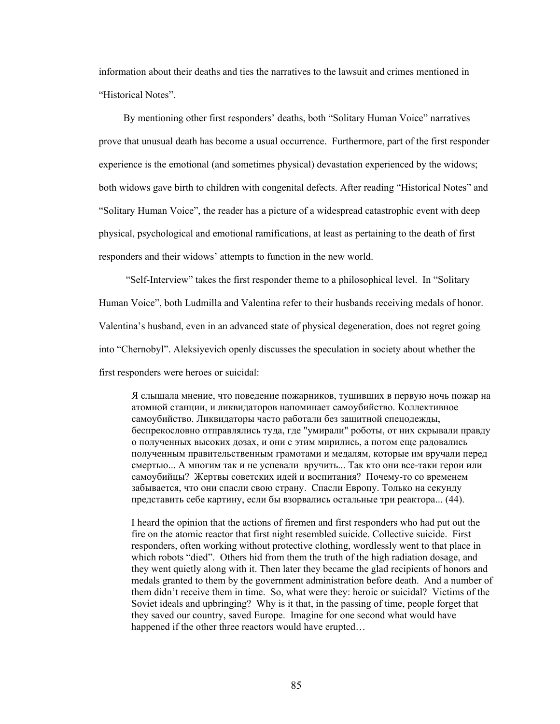information about their deaths and ties the narratives to the lawsuit and crimes mentioned in "Historical Notes".

 By mentioning other first responders' deaths, both "Solitary Human Voice" narratives prove that unusual death has become a usual occurrence. Furthermore, part of the first responder experience is the emotional (and sometimes physical) devastation experienced by the widows; both widows gave birth to children with congenital defects. After reading "Historical Notes" and "Solitary Human Voice", the reader has a picture of a widespread catastrophic event with deep physical, psychological and emotional ramifications, at least as pertaining to the death of first responders and their widows' attempts to function in the new world.

 "Self-Interview" takes the first responder theme to a philosophical level. In "Solitary Human Voice", both Ludmilla and Valentina refer to their husbands receiving medals of honor. Valentina's husband, even in an advanced state of physical degeneration, does not regret going into "Chernobyl". Aleksiyevich openly discusses the speculation in society about whether the first responders were heroes or suicidal:

Я слышала мнение, что поведение пожарников, тушивших в первую ночь пожар на атомной станции, и ликвидаторов напоминает самоубийство. Коллективное самоубийство. Ликвидаторы часто работали без защитной спецодежды, беспрекословно отправлялись туда, где "умирали" роботы, от них скрывали правду о полученных высоких дозах, и они с этим мирились, а потом еще радовались полученным правительственным грамотами и медалям, которые им вручали перед смертью... А многим так и не успевали вручить... Так кто они все-таки герои или самоубийцы? Жертвы советских идей и воспитания? Почему-то со временем забывается, что они спасли свою страну. Спасли Европу. Только на секунду представить себе картину, если бы взорвались остальные три реактора... (44).

I heard the opinion that the actions of firemen and first responders who had put out the fire on the atomic reactor that first night resembled suicide. Collective suicide. First responders, often working without protective clothing, wordlessly went to that place in which robots "died". Others hid from them the truth of the high radiation dosage, and they went quietly along with it. Then later they became the glad recipients of honors and medals granted to them by the government administration before death. And a number of them didn't receive them in time. So, what were they: heroic or suicidal? Victims of the Soviet ideals and upbringing? Why is it that, in the passing of time, people forget that they saved our country, saved Europe. Imagine for one second what would have happened if the other three reactors would have erupted...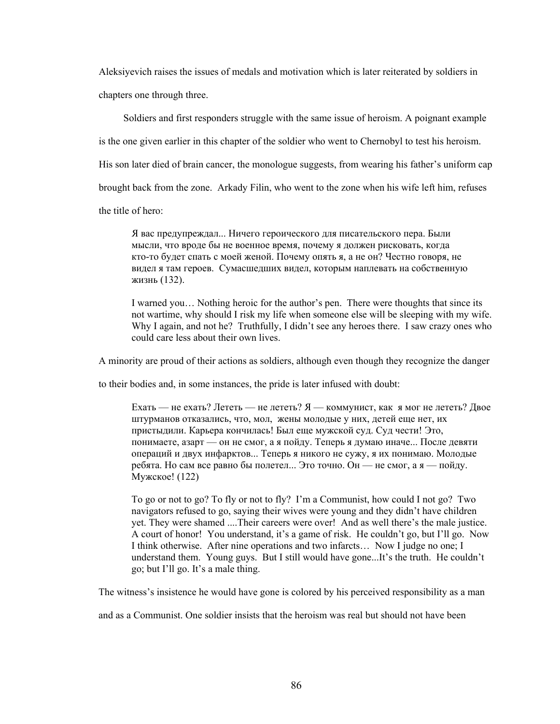Aleksiyevich raises the issues of medals and motivation which is later reiterated by soldiers in chapters one through three.

 Soldiers and first responders struggle with the same issue of heroism. A poignant example is the one given earlier in this chapter of the soldier who went to Chernobyl to test his heroism. His son later died of brain cancer, the monologue suggests, from wearing his father's uniform cap brought back from the zone. Arkady Filin, who went to the zone when his wife left him, refuses the title of hero:

 Я вас предупреждал... Ничего героического для писательского пера. Были мысли, что вроде бы не военное время, почему я должен рисковать, когда кто-то будет спать с моей женой. Почему опять я, а не он? Честно говоря, не видел я там героев. Сумасшедших видел, которым наплевать на собственную жизнь (132).

I warned you… Nothing heroic for the author's pen. There were thoughts that since its not wartime, why should I risk my life when someone else will be sleeping with my wife. Why I again, and not he? Truthfully, I didn't see any heroes there. I saw crazy ones who could care less about their own lives.

A minority are proud of their actions as soldiers, although even though they recognize the danger

to their bodies and, in some instances, the pride is later infused with doubt:

Ехать — не ехать? Лететь — не лететь? Я — коммунист, как я мог не лететь? Двое штурманов отказались, что, мол, жены молодые у них, детей еще нет, их пристыдили. Карьера кончилась! Был еще мужской суд. Суд чести! Это, понимаете, азарт — он не смог, а я пойду. Теперь я думаю иначе... После девяти операций и двух инфарктов... Теперь я никого не сужу, я их понимаю. Молодые ребята. Но сам все равно бы полетел... Это точно. Он — не смог, а я — пойду. Мужское! (122)

To go or not to go? To fly or not to fly? I'm a Communist, how could I not go? Two navigators refused to go, saying their wives were young and they didn't have children yet. They were shamed ....Their careers were over! And as well there's the male justice. A court of honor! You understand, it's a game of risk. He couldn't go, but I'll go. Now I think otherwise. After nine operations and two infarcts… Now I judge no one; I understand them. Young guys. But I still would have gone...It's the truth. He couldn't go; but I'll go. It's a male thing.

The witness's insistence he would have gone is colored by his perceived responsibility as a man

and as a Communist. One soldier insists that the heroism was real but should not have been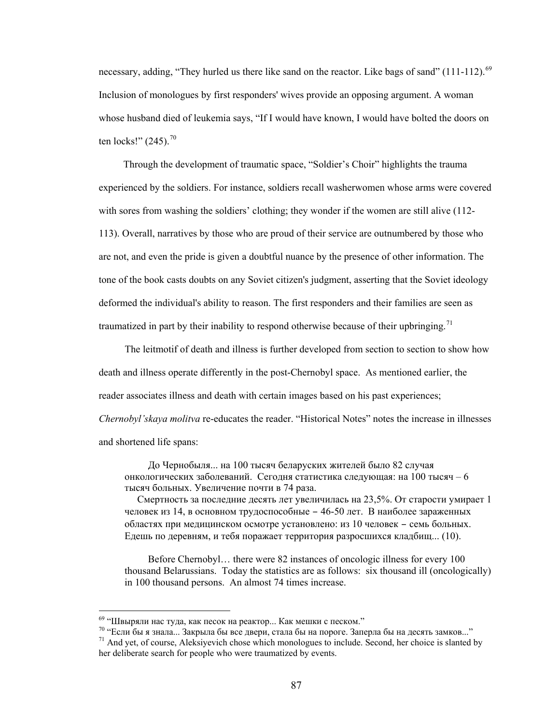necessary, adding, "They hurled us there like sand on the reactor. Like bags of sand" (111-112).<sup>[69](#page-92-0)</sup> Inclusion of monologues by first responders' wives provide an opposing argument. A woman whose husband died of leukemia says, "If I would have known, I would have bolted the doors on ten locks!"  $(245)$ .<sup>[70](#page-92-1)</sup>

 Through the development of traumatic space, "Soldier's Choir" highlights the trauma experienced by the soldiers. For instance, soldiers recall washerwomen whose arms were covered with sores from washing the soldiers' clothing; they wonder if the women are still alive (112-113). Overall, narratives by those who are proud of their service are outnumbered by those who are not, and even the pride is given a doubtful nuance by the presence of other information. The tone of the book casts doubts on any Soviet citizen's judgment, asserting that the Soviet ideology deformed the individual's ability to reason. The first responders and their families are seen as traumatized in part by their inability to respond otherwise because of their upbringing.<sup>[71](#page-92-2)</sup>

The leitmotif of death and illness is further developed from section to section to show how death and illness operate differently in the post-Chernobyl space. As mentioned earlier, the reader associates illness and death with certain images based on his past experiences; *Chernobyl'skaya molitva* re-educates the reader. "Historical Notes" notes the increase in illnesses and shortened life spans:

До Чернобыля... на 100 тысяч беларуских жителей было 82 случая онкологических заболеваний. Сегодня статистика следующая: на 100 тысяч – 6 тысяч больных. Увеличение почти в 74 раза.

 Смертность за последние десять лет увеличилась на 23,5%. От старости умирает 1 человек из 14, в основном трудоспособные – 46-50 лет. В наиболее зараженных областях при медицинском осмотре установлено: из 10 человек – семь больных. Едешь по деревням, и тебя поражает территория разросшихся кладбищ... (10).

 Before Chernobyl… there were 82 instances of oncologic illness for every 100 thousand Belarussians. Today the statistics are as follows: six thousand ill (oncologically) in 100 thousand persons. An almost 74 times increase.

<span id="page-92-1"></span><span id="page-92-0"></span>

<sup>&</sup>lt;sup>69</sup> "Швыряли нас туда, как песок на реактор... Как мешки с песком."<br><sup>70</sup> "Если бы я знала... Закрыла бы все двери, стала бы на пороге. Заперла бы на десять замков..."<br><sup>71</sup> And yet, of course, Aleksiyevich chose which mo

<span id="page-92-2"></span>her deliberate search for people who were traumatized by events.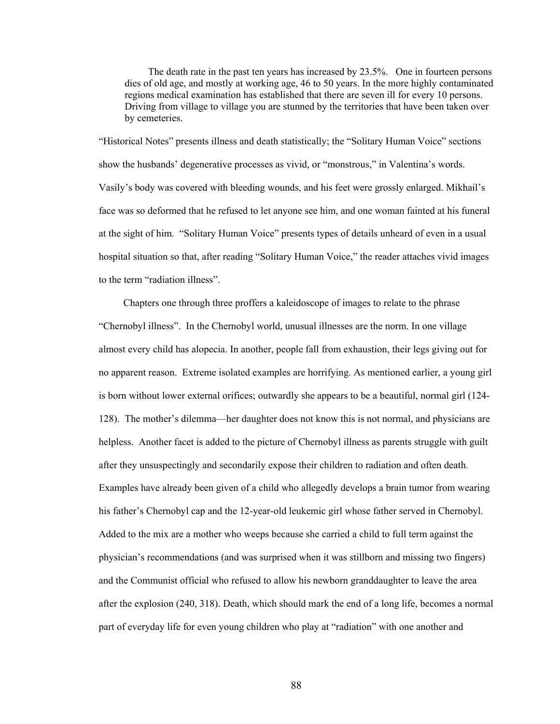The death rate in the past ten years has increased by 23.5%. One in fourteen persons dies of old age, and mostly at working age, 46 to 50 years. In the more highly contaminated regions medical examination has established that there are seven ill for every 10 persons. Driving from village to village you are stunned by the territories that have been taken over by cemeteries.

"Historical Notes" presents illness and death statistically; the "Solitary Human Voice" sections show the husbands' degenerative processes as vivid, or "monstrous," in Valentina's words. Vasily's body was covered with bleeding wounds, and his feet were grossly enlarged. Mikhail's face was so deformed that he refused to let anyone see him, and one woman fainted at his funeral at the sight of him. "Solitary Human Voice" presents types of details unheard of even in a usual hospital situation so that, after reading "Solitary Human Voice," the reader attaches vivid images to the term "radiation illness".

 Chapters one through three proffers a kaleidoscope of images to relate to the phrase "Chernobyl illness". In the Chernobyl world, unusual illnesses are the norm. In one village almost every child has alopecia. In another, people fall from exhaustion, their legs giving out for no apparent reason. Extreme isolated examples are horrifying. As mentioned earlier, a young girl is born without lower external orifices; outwardly she appears to be a beautiful, normal girl (124- 128). The mother's dilemma—her daughter does not know this is not normal, and physicians are helpless. Another facet is added to the picture of Chernobyl illness as parents struggle with guilt after they unsuspectingly and secondarily expose their children to radiation and often death. Examples have already been given of a child who allegedly develops a brain tumor from wearing his father's Chernobyl cap and the 12-year-old leukemic girl whose father served in Chernobyl. Added to the mix are a mother who weeps because she carried a child to full term against the physician's recommendations (and was surprised when it was stillborn and missing two fingers) and the Communist official who refused to allow his newborn granddaughter to leave the area after the explosion (240, 318). Death, which should mark the end of a long life, becomes a normal part of everyday life for even young children who play at "radiation" with one another and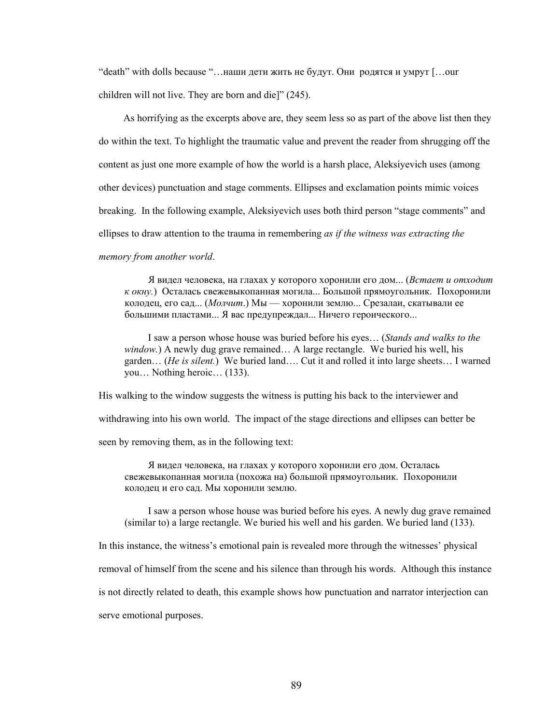"death" with dolls because "…наши дети жить не будут. Они родятся и умрут […our children will not live. They are born and die]" (245).

 As horrifying as the excerpts above are, they seem less so as part of the above list then they do within the text. To highlight the traumatic value and prevent the reader from shrugging off the content as just one more example of how the world is a harsh place, Aleksiyevich uses (among other devices) punctuation and stage comments. Ellipses and exclamation points mimic voices breaking. In the following example, Aleksiyevich uses both third person "stage comments" and ellipses to draw attention to the trauma in remembering *as if the witness was extracting the memory from another world*.

Я видел человека, на глахах у которого хоронили его дом... (*Встает и отходит к окну.*) Осталась свежевыкопанная могила... Большой прямоугольник. Похоронили колодец, его сад... (*Молчит*.) Мы — хоронили землю... Срезалаи, скатывали ее большими пластами... Я вас предупреждал... Ничего героического...

 I saw a person whose house was buried before his eyes… (*Stands and walks to the window.*) A newly dug grave remained… A large rectangle. We buried his well, his garden… (*He is silent.*) We buried land…. Cut it and rolled it into large sheets… I warned you… Nothing heroic… (133).

His walking to the window suggests the witness is putting his back to the interviewer and

withdrawing into his own world. The impact of the stage directions and ellipses can better be

seen by removing them, as in the following text:

Я видел человека, на глахах у которого хоронили его дом. Осталась свежевыкопанная могила (похожа на) большой прямоугольник. Похоронили колодец и его сад. Мы хоронили землю.

 I saw a person whose house was buried before his eyes. A newly dug grave remained (similar to) a large rectangle. We buried his well and his garden. We buried land (133).

In this instance, the witness's emotional pain is revealed more through the witnesses' physical

removal of himself from the scene and his silence than through his words. Although this instance

is not directly related to death, this example shows how punctuation and narrator interjection can

serve emotional purposes.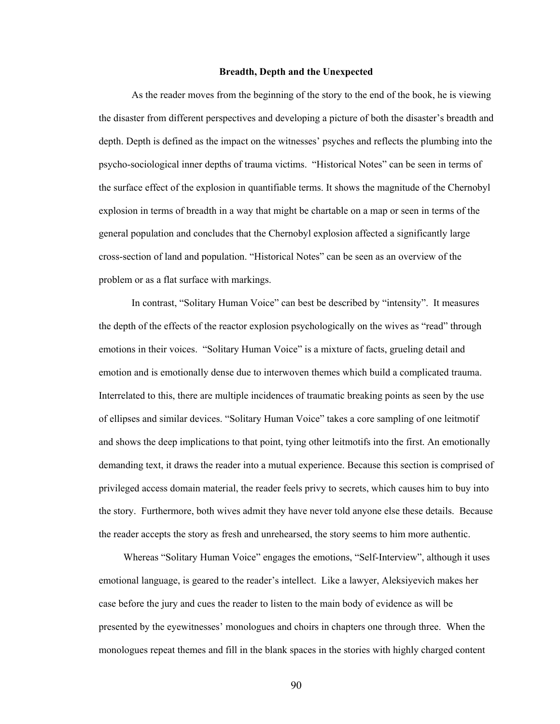#### **Breadth, Depth and the Unexpected**

As the reader moves from the beginning of the story to the end of the book, he is viewing the disaster from different perspectives and developing a picture of both the disaster's breadth and depth. Depth is defined as the impact on the witnesses' psyches and reflects the plumbing into the psycho-sociological inner depths of trauma victims. "Historical Notes" can be seen in terms of the surface effect of the explosion in quantifiable terms. It shows the magnitude of the Chernobyl explosion in terms of breadth in a way that might be chartable on a map or seen in terms of the general population and concludes that the Chernobyl explosion affected a significantly large cross-section of land and population. "Historical Notes" can be seen as an overview of the problem or as a flat surface with markings.

In contrast, "Solitary Human Voice" can best be described by "intensity". It measures the depth of the effects of the reactor explosion psychologically on the wives as "read" through emotions in their voices. "Solitary Human Voice" is a mixture of facts, grueling detail and emotion and is emotionally dense due to interwoven themes which build a complicated trauma. Interrelated to this, there are multiple incidences of traumatic breaking points as seen by the use of ellipses and similar devices. "Solitary Human Voice" takes a core sampling of one leitmotif and shows the deep implications to that point, tying other leitmotifs into the first. An emotionally demanding text, it draws the reader into a mutual experience. Because this section is comprised of privileged access domain material, the reader feels privy to secrets, which causes him to buy into the story. Furthermore, both wives admit they have never told anyone else these details. Because the reader accepts the story as fresh and unrehearsed, the story seems to him more authentic.

 Whereas "Solitary Human Voice" engages the emotions, "Self-Interview", although it uses emotional language, is geared to the reader's intellect. Like a lawyer, Aleksiyevich makes her case before the jury and cues the reader to listen to the main body of evidence as will be presented by the eyewitnesses' monologues and choirs in chapters one through three. When the monologues repeat themes and fill in the blank spaces in the stories with highly charged content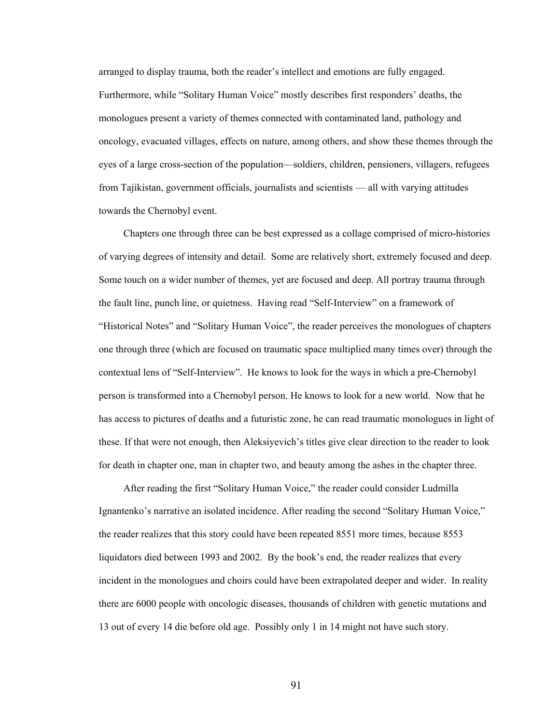arranged to display trauma, both the reader's intellect and emotions are fully engaged. Furthermore, while "Solitary Human Voice" mostly describes first responders' deaths, the monologues present a variety of themes connected with contaminated land, pathology and oncology, evacuated villages, effects on nature, among others, and show these themes through the eyes of a large cross-section of the population—soldiers, children, pensioners, villagers, refugees from Tajikistan, government officials, journalists and scientists — all with varying attitudes towards the Chernobyl event.

 Chapters one through three can be best expressed as a collage comprised of micro-histories of varying degrees of intensity and detail. Some are relatively short, extremely focused and deep. Some touch on a wider number of themes, yet are focused and deep. All portray trauma through the fault line, punch line, or quietness. Having read "Self-Interview" on a framework of "Historical Notes" and "Solitary Human Voice", the reader perceives the monologues of chapters one through three (which are focused on traumatic space multiplied many times over) through the contextual lens of "Self-Interview". He knows to look for the ways in which a pre-Chernobyl person is transformed into a Chernobyl person. He knows to look for a new world. Now that he has access to pictures of deaths and a futuristic zone, he can read traumatic monologues in light of these. If that were not enough, then Aleksiyevich's titles give clear direction to the reader to look for death in chapter one, man in chapter two, and beauty among the ashes in the chapter three.

 After reading the first "Solitary Human Voice," the reader could consider Ludmilla Ignantenko's narrative an isolated incidence. After reading the second "Solitary Human Voice," the reader realizes that this story could have been repeated 8551 more times, because 8553 liquidators died between 1993 and 2002. By the book's end, the reader realizes that every incident in the monologues and choirs could have been extrapolated deeper and wider. In reality there are 6000 people with oncologic diseases, thousands of children with genetic mutations and 13 out of every 14 die before old age. Possibly only 1 in 14 might not have such story.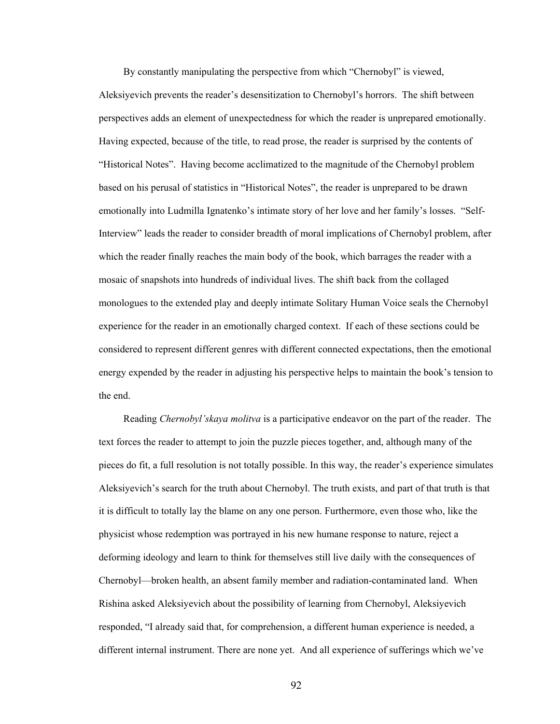By constantly manipulating the perspective from which "Chernobyl" is viewed, Aleksiyevich prevents the reader's desensitization to Chernobyl's horrors. The shift between perspectives adds an element of unexpectedness for which the reader is unprepared emotionally. Having expected, because of the title, to read prose, the reader is surprised by the contents of "Historical Notes". Having become acclimatized to the magnitude of the Chernobyl problem based on his perusal of statistics in "Historical Notes", the reader is unprepared to be drawn emotionally into Ludmilla Ignatenko's intimate story of her love and her family's losses. "Self-Interview" leads the reader to consider breadth of moral implications of Chernobyl problem, after which the reader finally reaches the main body of the book, which barrages the reader with a mosaic of snapshots into hundreds of individual lives. The shift back from the collaged monologues to the extended play and deeply intimate Solitary Human Voice seals the Chernobyl experience for the reader in an emotionally charged context. If each of these sections could be considered to represent different genres with different connected expectations, then the emotional energy expended by the reader in adjusting his perspective helps to maintain the book's tension to the end.

 Reading *Chernobyl'skaya molitva* is a participative endeavor on the part of the reader. The text forces the reader to attempt to join the puzzle pieces together, and, although many of the pieces do fit, a full resolution is not totally possible. In this way, the reader's experience simulates Aleksiyevich's search for the truth about Chernobyl. The truth exists, and part of that truth is that it is difficult to totally lay the blame on any one person. Furthermore, even those who, like the physicist whose redemption was portrayed in his new humane response to nature, reject a deforming ideology and learn to think for themselves still live daily with the consequences of Chernobyl—broken health, an absent family member and radiation-contaminated land. When Rishina asked Aleksiyevich about the possibility of learning from Chernobyl, Aleksiyevich responded, "I already said that, for comprehension, a different human experience is needed, a different internal instrument. There are none yet. And all experience of sufferings which we've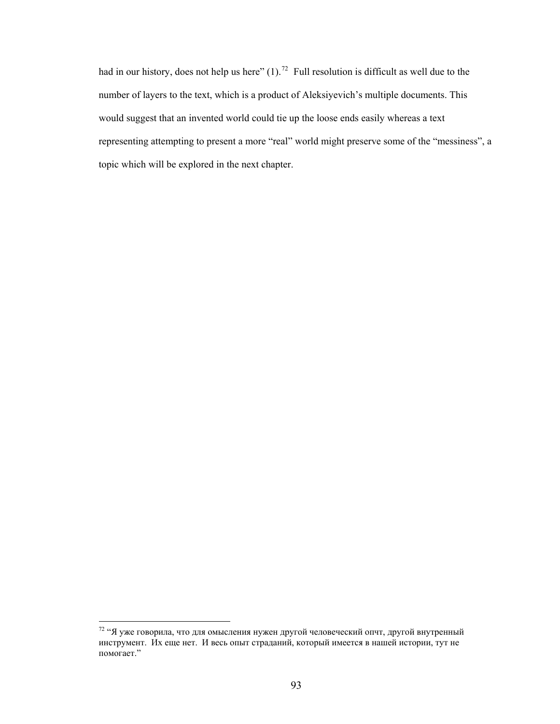had in our history, does not help us here"  $(1)$ .<sup>[72](#page-98-0)</sup> Full resolution is difficult as well due to the number of layers to the text, which is a product of Aleksiyevich's multiple documents. This would suggest that an invented world could tie up the loose ends easily whereas a text representing attempting to present a more "real" world might preserve some of the "messiness", a topic which will be explored in the next chapter.

<span id="page-98-0"></span><sup>&</sup>lt;sup>72</sup> "Я уже говорила, что для омысления нужен другой человеческий опчт, другой внутренный инструмент. Их еще нет. И весь опыт страданий, который имеется в нашей истории, тут не помогает."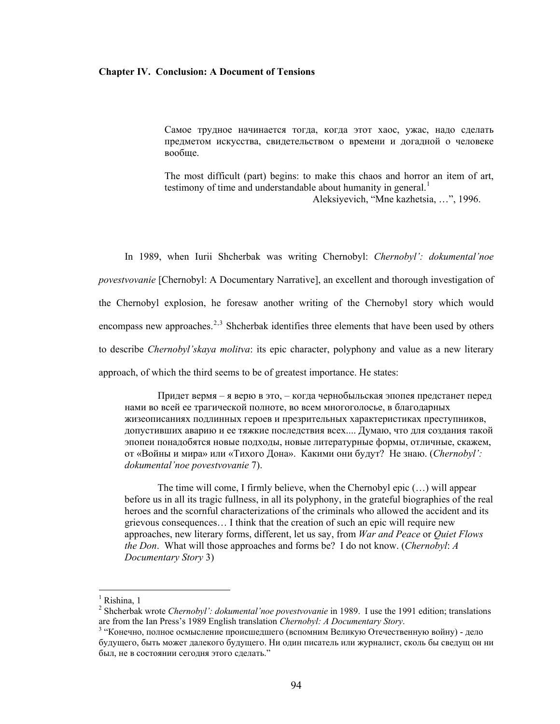#### **Chapter IV. Conclusion: A Document of Tensions**

Самое трудное начинается тогда, когда этот хаос, ужас, надо сделать предметом искусства, свидетельством о времени и догадной о человеке вообще.

The most difficult (part) begins: to make this chaos and horror an item of art, testimony of time and understandable about humanity in general.<sup>[1](#page-99-0)</sup>

Aleksiyevich, "Mne kazhetsia, …", 1996.

 In 1989, when Iurii Shcherbak was writing Chernobyl: *Chernobyl': dokumental'noe povestvovanie* [Chernobyl: A Documentary Narrative], an excellent and thorough investigation of the Chernobyl explosion, he foresaw another writing of the Chernobyl story which would encompass new approaches.<sup>[2](#page-99-1),[3](#page-99-2)</sup> Shcherbak identifies three elements that have been used by others to describe *Chernobyl'skaya molitva*: its epic character, polyphony and value as a new literary approach, of which the third seems to be of greatest importance. He states:

Придет вермя – я верю в это, – когда чернобыльская эпопея предстанет перед нами во всей ее трагической полноте, во всем многоголосье, в благодарных жизеописаниях подлинных героев и презрительных характеристиках преступников, допустивших аварию и ее тяжкие последствия всех.... Думаю, что для создания такой эпопеи понадобятся новые подходы, новые литературные формы, отличные, скажем, от «Войны и мира» или «Тихого Дона». Какими они будут? Не знаю. (*Chernobyl': dokumental'noe povestvovanie* 7).

The time will come, I firmly believe, when the Chernobyl epic (…) will appear before us in all its tragic fullness, in all its polyphony, in the grateful biographies of the real heroes and the scornful characterizations of the criminals who allowed the accident and its grievous consequences… I think that the creation of such an epic will require new approaches, new literary forms, different, let us say, from *War and Peace* or *Quiet Flows the Don*. What will those approaches and forms be? I do not know. (*Chernobyl*: *A Documentary Story* 3)

<span id="page-99-0"></span><sup>&</sup>lt;sup>1</sup> Rishina, 1

<span id="page-99-1"></span><sup>&</sup>lt;sup>2</sup> Shcherbak wrote *Chernobyl': dokumental'noe povestvovanie* in 1989. I use the 1991 edition; translations are from the Ian Press's 1989 English translation *Chernobyl: A Documentary Story*. 3

<span id="page-99-2"></span><sup>&</sup>lt;sup>3</sup> "Конечно, полное осмысление происшедшего (вспомним Великую Отечественную войну) - дело будущего, быть может далекого будущего. Ни один писатель или журналист, сколь бы сведущ он ни был, не в состоянии сегодня этого сделать."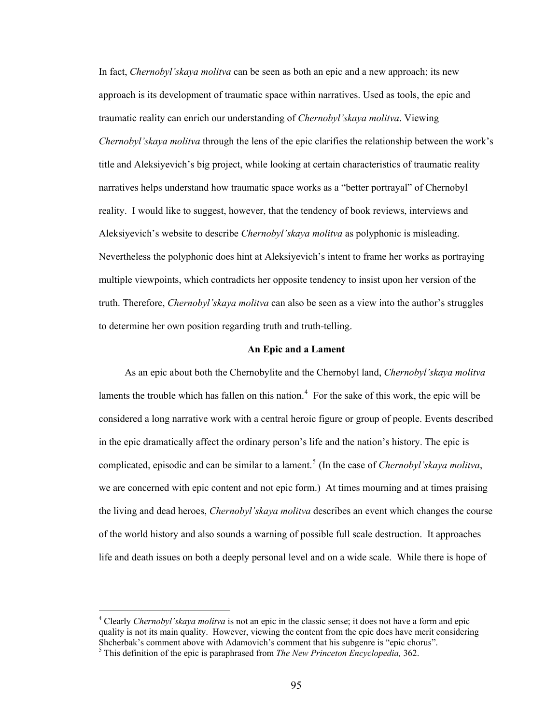In fact, *Chernobyl'skaya molitva* can be seen as both an epic and a new approach; its new approach is its development of traumatic space within narratives. Used as tools, the epic and traumatic reality can enrich our understanding of *Chernobyl'skaya molitva*. Viewing *Chernobyl'skaya molitva* through the lens of the epic clarifies the relationship between the work's title and Aleksiyevich's big project, while looking at certain characteristics of traumatic reality narratives helps understand how traumatic space works as a "better portrayal" of Chernobyl reality. I would like to suggest, however, that the tendency of book reviews, interviews and Aleksiyevich's website to describe *Chernobyl'skaya molitva* as polyphonic is misleading. Nevertheless the polyphonic does hint at Aleksiyevich's intent to frame her works as portraying multiple viewpoints, which contradicts her opposite tendency to insist upon her version of the truth. Therefore, *Chernobyl'skaya molitva* can also be seen as a view into the author's struggles to determine her own position regarding truth and truth-telling.

# **An Epic and a Lament**

 As an epic about both the Chernobylite and the Chernobyl land, *Chernobyl'skaya molitva* laments the trouble which has fallen on this nation.<sup>[4](#page-100-0)</sup> For the sake of this work, the epic will be considered a long narrative work with a central heroic figure or group of people. Events described in the epic dramatically affect the ordinary person's life and the nation's history. The epic is complicated, episodic and can be similar to a lament.<sup>[5](#page-100-1)</sup> (In the case of *Chernobyl'skaya molitva*, we are concerned with epic content and not epic form.) At times mourning and at times praising the living and dead heroes, *Chernobyl'skaya molitva* describes an event which changes the course of the world history and also sounds a warning of possible full scale destruction. It approaches life and death issues on both a deeply personal level and on a wide scale. While there is hope of

<span id="page-100-0"></span><sup>&</sup>lt;sup>4</sup> Clearly *Chernobyl'skaya molitva* is not an epic in the classic sense; it does not have a form and epic quality is not its main quality. However, viewing the content from the epic does have merit considering Shcherbak's comment above with Adamovich's comment that his subgenre is "epic chorus".

<span id="page-100-1"></span>This definition of the epic is paraphrased from *The New Princeton Encyclopedia,* 362.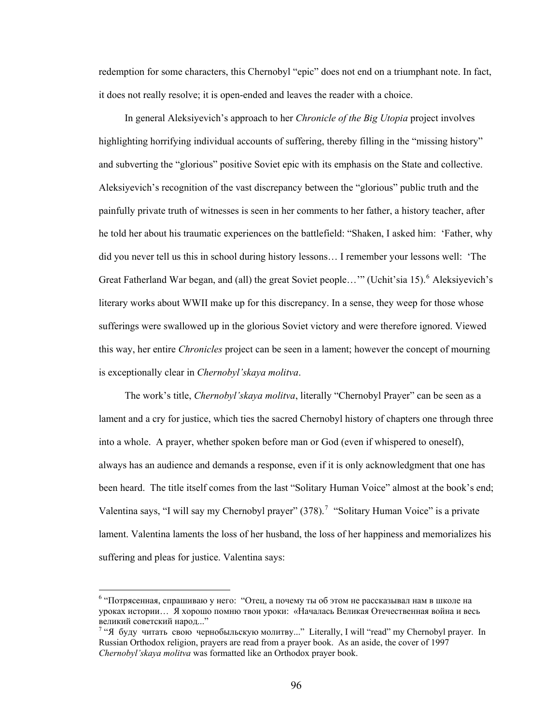redemption for some characters, this Chernobyl "epic" does not end on a triumphant note. In fact, it does not really resolve; it is open-ended and leaves the reader with a choice.

 In general Aleksiyevich's approach to her *Chronicle of the Big Utopia* project involves highlighting horrifying individual accounts of suffering, thereby filling in the "missing history" and subverting the "glorious" positive Soviet epic with its emphasis on the State and collective. Aleksiyevich's recognition of the vast discrepancy between the "glorious" public truth and the painfully private truth of witnesses is seen in her comments to her father, a history teacher, after he told her about his traumatic experiences on the battlefield: "Shaken, I asked him: 'Father, why did you never tell us this in school during history lessons… I remember your lessons well: 'The Great Fatherland War began, and (all) the great Soviet people..." (Uchit'sia 15). <sup>[6](#page-101-0)</sup> Aleksiyevich's literary works about WWII make up for this discrepancy. In a sense, they weep for those whose sufferings were swallowed up in the glorious Soviet victory and were therefore ignored. Viewed this way, her entire *Chronicles* project can be seen in a lament; however the concept of mourning is exceptionally clear in *Chernobyl'skaya molitva*.

 The work's title, *Chernobyl'skaya molitva*, literally "Chernobyl Prayer" can be seen as a lament and a cry for justice, which ties the sacred Chernobyl history of chapters one through three into a whole. A prayer, whether spoken before man or God (even if whispered to oneself), always has an audience and demands a response, even if it is only acknowledgment that one has been heard. The title itself comes from the last "Solitary Human Voice" almost at the book's end; Valentina says, "I will say my Chernobyl prayer"  $(378)$  $(378)$  $(378)$ .<sup>7</sup> "Solitary Human Voice" is a private lament. Valentina laments the loss of her husband, the loss of her happiness and memorializes his suffering and pleas for justice. Valentina says:

<span id="page-101-0"></span><sup>&</sup>lt;sup>6</sup> "Потрясенная, спрашиваю у него: "Отец, а почему ты об этом не рассказывал нам в школе на уроках истории… Я хорошо помню твои уроки: «Началась Великая Отечественная война и весь великий советский народ..." 7

<span id="page-101-1"></span><sup>&</sup>lt;sup>7</sup> "Я буду читать свою чернобыльскую молитву..." Literally, I will "read" my Chernobyl prayer. In Russian Orthodox religion, prayers are read from a prayer book. As an aside, the cover of 1997 *Chernobyl'skaya molitva* was formatted like an Orthodox prayer book.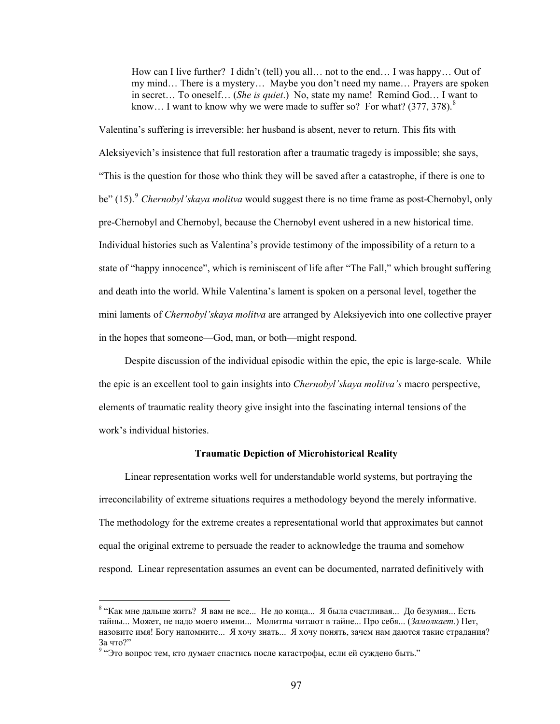How can I live further? I didn't (tell) you all… not to the end… I was happy… Out of my mind… There is a mystery… Maybe you don't need my name… Prayers are spoken in secret… To oneself… (*She is quiet*.) No, state my name! Remind God… I want to know... I want to know why we were made to suffer so? For what?  $(377, 378)$  $(377, 378)$  $(377, 378)$ .<sup>8</sup>

Valentina's suffering is irreversible: her husband is absent, never to return. This fits with Aleksiyevich's insistence that full restoration after a traumatic tragedy is impossible; she says, "This is the question for those who think they will be saved after a catastrophe, if there is one to be" (15).<sup>[9](#page-102-1)</sup> *Chernobyl'skaya molitva* would suggest there is no time frame as post-Chernobyl, only pre-Chernobyl and Chernobyl, because the Chernobyl event ushered in a new historical time. Individual histories such as Valentina's provide testimony of the impossibility of a return to a state of "happy innocence", which is reminiscent of life after "The Fall," which brought suffering and death into the world. While Valentina's lament is spoken on a personal level, together the mini laments of *Chernobyl'skaya molitva* are arranged by Aleksiyevich into one collective prayer in the hopes that someone—God, man, or both—might respond.

 Despite discussion of the individual episodic within the epic, the epic is large-scale. While the epic is an excellent tool to gain insights into *Chernobyl'skaya molitva's* macro perspective, elements of traumatic reality theory give insight into the fascinating internal tensions of the work's individual histories.

# **Traumatic Depiction of Microhistorical Reality**

 Linear representation works well for understandable world systems, but portraying the irreconcilability of extreme situations requires a methodology beyond the merely informative. The methodology for the extreme creates a representational world that approximates but cannot equal the original extreme to persuade the reader to acknowledge the trauma and somehow respond. Linear representation assumes an event can be documented, narrated definitively with

<span id="page-102-0"></span><sup>&</sup>lt;sup>8</sup> "Как мне дальше жить? Я вам не все... Не до конца... Я была счастливая... До безумия... Есть тайны... Может, не надо моего имени... Молитвы читают в тайне... Про себя... (*Замолкает*.) Нет, назовите имя! Богу напомните... Я хочу знать... Я хочу понять, зачем нам даются такие страдания? За что?"

<span id="page-102-1"></span><sup>&</sup>lt;sup>9</sup> "Это вопрос тем, кто думает спастись после катастрофы, если ей суждено быть."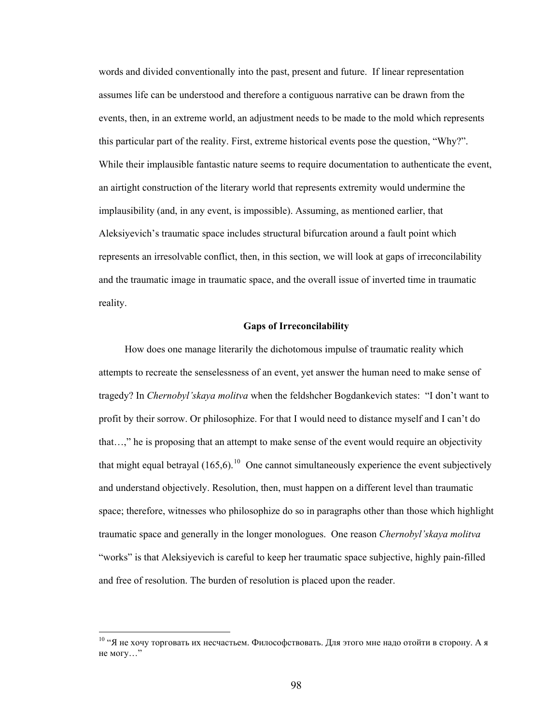words and divided conventionally into the past, present and future. If linear representation assumes life can be understood and therefore a contiguous narrative can be drawn from the events, then, in an extreme world, an adjustment needs to be made to the mold which represents this particular part of the reality. First, extreme historical events pose the question, "Why?". While their implausible fantastic nature seems to require documentation to authenticate the event, an airtight construction of the literary world that represents extremity would undermine the implausibility (and, in any event, is impossible). Assuming, as mentioned earlier, that Aleksiyevich's traumatic space includes structural bifurcation around a fault point which represents an irresolvable conflict, then, in this section, we will look at gaps of irreconcilability and the traumatic image in traumatic space, and the overall issue of inverted time in traumatic reality.

# **Gaps of Irreconcilability**

 How does one manage literarily the dichotomous impulse of traumatic reality which attempts to recreate the senselessness of an event, yet answer the human need to make sense of tragedy? In *Chernobyl'skaya molitva* when the feldshcher Bogdankevich states: "I don't want to profit by their sorrow. Or philosophize. For that I would need to distance myself and I can't do that…," he is proposing that an attempt to make sense of the event would require an objectivity that might equal betrayal  $(165,6)$ <sup>[10](#page-103-0)</sup> One cannot simultaneously experience the event subjectively and understand objectively. Resolution, then, must happen on a different level than traumatic space; therefore, witnesses who philosophize do so in paragraphs other than those which highlight traumatic space and generally in the longer monologues. One reason *Chernobyl'skaya molitva*  "works" is that Aleksiyevich is careful to keep her traumatic space subjective, highly pain-filled and free of resolution. The burden of resolution is placed upon the reader.

<span id="page-103-0"></span><sup>10 &</sup>quot;Я не хочу торговать их несчастьем. Философствовать. Для этого мне надо отойти в сторону. А я не могу…"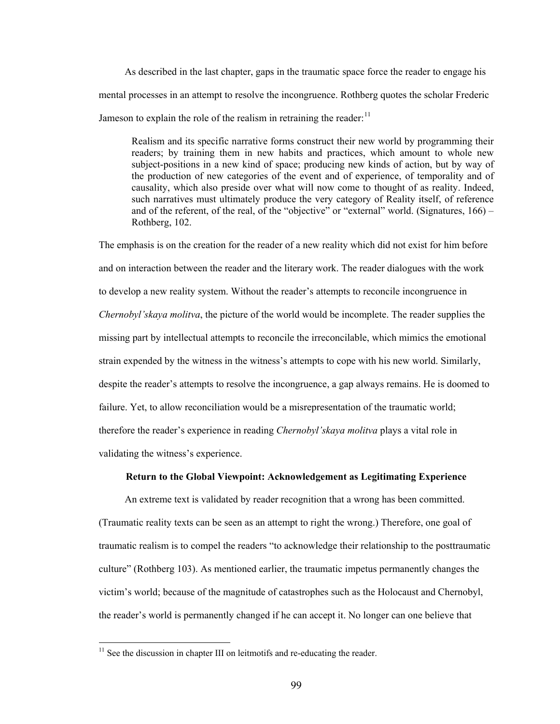As described in the last chapter, gaps in the traumatic space force the reader to engage his mental processes in an attempt to resolve the incongruence. Rothberg quotes the scholar Frederic Jameson to explain the role of the realism in retraining the reader: $11$ 

Realism and its specific narrative forms construct their new world by programming their readers; by training them in new habits and practices, which amount to whole new subject-positions in a new kind of space; producing new kinds of action, but by way of the production of new categories of the event and of experience, of temporality and of causality, which also preside over what will now come to thought of as reality. Indeed, such narratives must ultimately produce the very category of Reality itself, of reference and of the referent, of the real, of the "objective" or "external" world. (Signatures,  $166$ ) – Rothberg, 102.

The emphasis is on the creation for the reader of a new reality which did not exist for him before and on interaction between the reader and the literary work. The reader dialogues with the work to develop a new reality system. Without the reader's attempts to reconcile incongruence in *Chernobyl'skaya molitva*, the picture of the world would be incomplete. The reader supplies the missing part by intellectual attempts to reconcile the irreconcilable, which mimics the emotional strain expended by the witness in the witness's attempts to cope with his new world. Similarly, despite the reader's attempts to resolve the incongruence, a gap always remains. He is doomed to failure. Yet, to allow reconciliation would be a misrepresentation of the traumatic world; therefore the reader's experience in reading *Chernobyl'skaya molitva* plays a vital role in validating the witness's experience.

# **Return to the Global Viewpoint: Acknowledgement as Legitimating Experience**

 An extreme text is validated by reader recognition that a wrong has been committed. (Traumatic reality texts can be seen as an attempt to right the wrong.) Therefore, one goal of traumatic realism is to compel the readers "to acknowledge their relationship to the posttraumatic culture" (Rothberg 103). As mentioned earlier, the traumatic impetus permanently changes the victim's world; because of the magnitude of catastrophes such as the Holocaust and Chernobyl, the reader's world is permanently changed if he can accept it. No longer can one believe that

<span id="page-104-0"></span> $11$  See the discussion in chapter III on leitmotifs and re-educating the reader.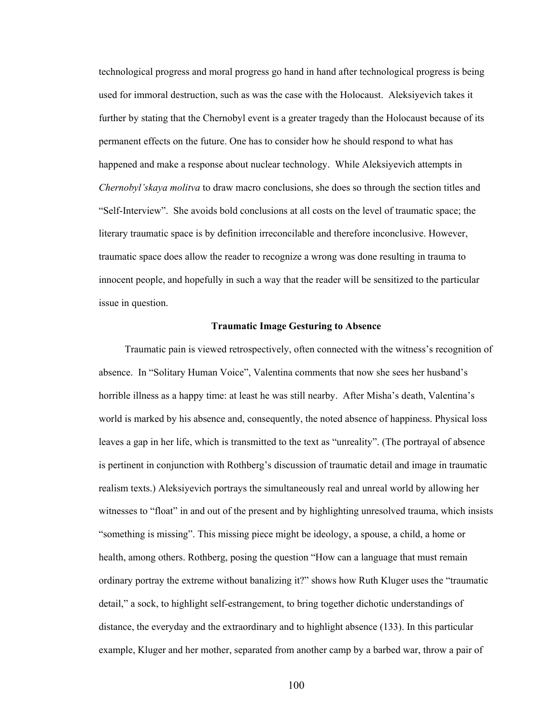technological progress and moral progress go hand in hand after technological progress is being used for immoral destruction, such as was the case with the Holocaust. Aleksiyevich takes it further by stating that the Chernobyl event is a greater tragedy than the Holocaust because of its permanent effects on the future. One has to consider how he should respond to what has happened and make a response about nuclear technology. While Aleksiyevich attempts in *Chernobyl'skaya molitva* to draw macro conclusions, she does so through the section titles and "Self-Interview". She avoids bold conclusions at all costs on the level of traumatic space; the literary traumatic space is by definition irreconcilable and therefore inconclusive. However, traumatic space does allow the reader to recognize a wrong was done resulting in trauma to innocent people, and hopefully in such a way that the reader will be sensitized to the particular issue in question.

# **Traumatic Image Gesturing to Absence**

 Traumatic pain is viewed retrospectively, often connected with the witness's recognition of absence. In "Solitary Human Voice", Valentina comments that now she sees her husband's horrible illness as a happy time: at least he was still nearby. After Misha's death, Valentina's world is marked by his absence and, consequently, the noted absence of happiness. Physical loss leaves a gap in her life, which is transmitted to the text as "unreality". (The portrayal of absence is pertinent in conjunction with Rothberg's discussion of traumatic detail and image in traumatic realism texts.) Aleksiyevich portrays the simultaneously real and unreal world by allowing her witnesses to "float" in and out of the present and by highlighting unresolved trauma, which insists "something is missing". This missing piece might be ideology, a spouse, a child, a home or health, among others. Rothberg, posing the question "How can a language that must remain ordinary portray the extreme without banalizing it?" shows how Ruth Kluger uses the "traumatic detail," a sock, to highlight self-estrangement, to bring together dichotic understandings of distance, the everyday and the extraordinary and to highlight absence (133). In this particular example, Kluger and her mother, separated from another camp by a barbed war, throw a pair of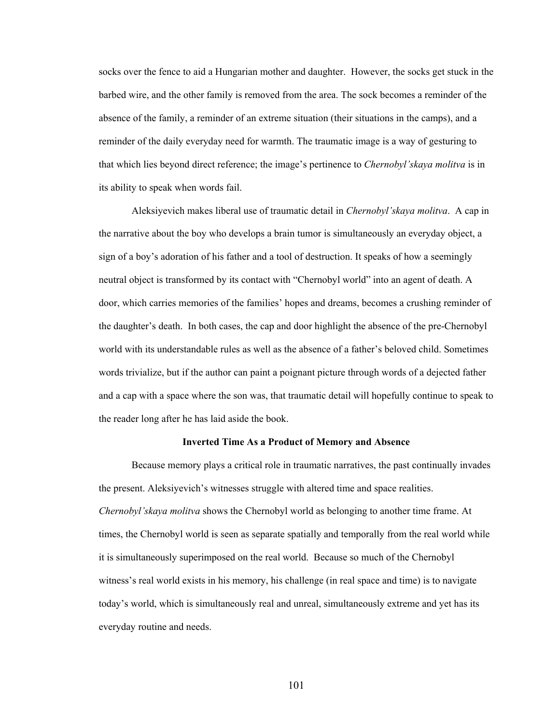socks over the fence to aid a Hungarian mother and daughter. However, the socks get stuck in the barbed wire, and the other family is removed from the area. The sock becomes a reminder of the absence of the family, a reminder of an extreme situation (their situations in the camps), and a reminder of the daily everyday need for warmth. The traumatic image is a way of gesturing to that which lies beyond direct reference; the image's pertinence to *Chernobyl'skaya molitva* is in its ability to speak when words fail.

Aleksiyevich makes liberal use of traumatic detail in *Chernobyl'skaya molitva*. A cap in the narrative about the boy who develops a brain tumor is simultaneously an everyday object, a sign of a boy's adoration of his father and a tool of destruction. It speaks of how a seemingly neutral object is transformed by its contact with "Chernobyl world" into an agent of death. A door, which carries memories of the families' hopes and dreams, becomes a crushing reminder of the daughter's death. In both cases, the cap and door highlight the absence of the pre-Chernobyl world with its understandable rules as well as the absence of a father's beloved child. Sometimes words trivialize, but if the author can paint a poignant picture through words of a dejected father and a cap with a space where the son was, that traumatic detail will hopefully continue to speak to the reader long after he has laid aside the book.

#### **Inverted Time As a Product of Memory and Absence**

Because memory plays a critical role in traumatic narratives, the past continually invades the present. Aleksiyevich's witnesses struggle with altered time and space realities. *Chernobyl'skaya molitva* shows the Chernobyl world as belonging to another time frame. At times, the Chernobyl world is seen as separate spatially and temporally from the real world while it is simultaneously superimposed on the real world. Because so much of the Chernobyl witness's real world exists in his memory, his challenge (in real space and time) is to navigate today's world, which is simultaneously real and unreal, simultaneously extreme and yet has its everyday routine and needs.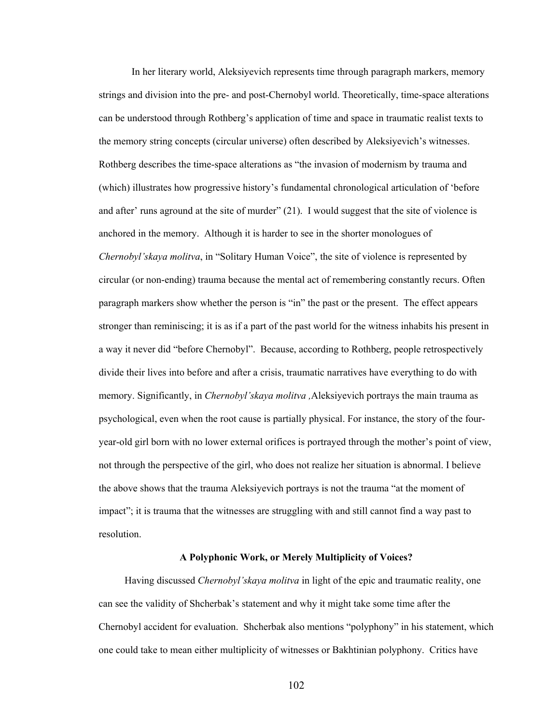In her literary world, Aleksiyevich represents time through paragraph markers, memory strings and division into the pre- and post-Chernobyl world. Theoretically, time-space alterations can be understood through Rothberg's application of time and space in traumatic realist texts to the memory string concepts (circular universe) often described by Aleksiyevich's witnesses. Rothberg describes the time-space alterations as "the invasion of modernism by trauma and (which) illustrates how progressive history's fundamental chronological articulation of 'before and after' runs aground at the site of murder" (21). I would suggest that the site of violence is anchored in the memory. Although it is harder to see in the shorter monologues of *Chernobyl'skaya molitva*, in "Solitary Human Voice", the site of violence is represented by circular (or non-ending) trauma because the mental act of remembering constantly recurs. Often paragraph markers show whether the person is "in" the past or the present. The effect appears stronger than reminiscing; it is as if a part of the past world for the witness inhabits his present in a way it never did "before Chernobyl". Because, according to Rothberg, people retrospectively divide their lives into before and after a crisis, traumatic narratives have everything to do with memory. Significantly, in *Chernobyl'skaya molitva ,*Aleksiyevich portrays the main trauma as psychological, even when the root cause is partially physical. For instance, the story of the fouryear-old girl born with no lower external orifices is portrayed through the mother's point of view, not through the perspective of the girl, who does not realize her situation is abnormal. I believe the above shows that the trauma Aleksiyevich portrays is not the trauma "at the moment of impact"; it is trauma that the witnesses are struggling with and still cannot find a way past to resolution.

# **A Polyphonic Work, or Merely Multiplicity of Voices?**

 Having discussed *Chernobyl'skaya molitva* in light of the epic and traumatic reality, one can see the validity of Shcherbak's statement and why it might take some time after the Chernobyl accident for evaluation. Shcherbak also mentions "polyphony" in his statement, which one could take to mean either multiplicity of witnesses or Bakhtinian polyphony. Critics have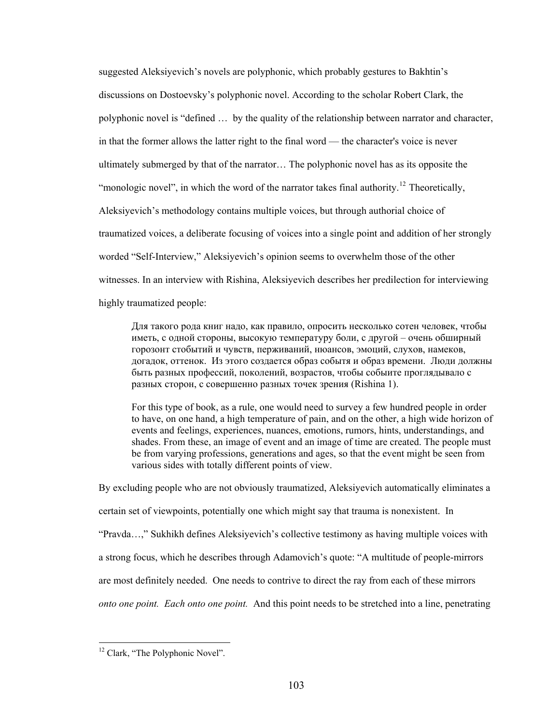suggested Aleksiyevich's novels are polyphonic, which probably gestures to Bakhtin's discussions on Dostoevsky's polyphonic novel. According to the scholar Robert Clark, the polyphonic novel is "defined … by the quality of the relationship between narrator and character, in that the former allows the latter right to the final word — the character's voice is never ultimately submerged by that of the narrator… The polyphonic novel has as its opposite the "monologic novel", in which the word of the narrator takes final authority.<sup>[12](#page-108-0)</sup> Theoretically, Aleksiyevich's methodology contains multiple voices, but through authorial choice of traumatized voices, a deliberate focusing of voices into a single point and addition of her strongly worded "Self-Interview," Aleksiyevich's opinion seems to overwhelm those of the other witnesses. In an interview with Rishina, Aleksiyevich describes her predilection for interviewing highly traumatized people:

Для такого рода книг надо, как правило, опросить несколько сотен человек, чтобы иметь, с одной стороны, высокую температуру боли, с другой – очень обширный горозонт стобытий и чувств, перживаний, нюансов, эмоций, слухов, намеков, догадок, оттенок. Из этого создается образ событя и образ времени. Люди должны быть разных профессий, поколений, возрастов, чтобы собыите проглядывало с разных сторон, с совершенно разных точек зрения (Rishina 1).

For this type of book, as a rule, one would need to survey a few hundred people in order to have, on one hand, a high temperature of pain, and on the other, a high wide horizon of events and feelings, experiences, nuances, emotions, rumors, hints, understandings, and shades. From these, an image of event and an image of time are created. The people must be from varying professions, generations and ages, so that the event might be seen from various sides with totally different points of view.

By excluding people who are not obviously traumatized, Aleksiyevich automatically eliminates a certain set of viewpoints, potentially one which might say that trauma is nonexistent. In "Pravda…," Sukhikh defines Aleksiyevich's collective testimony as having multiple voices with a strong focus, which he describes through Adamovich's quote: "A multitude of people-mirrors are most definitely needed. One needs to contrive to direct the ray from each of these mirrors *onto one point. Each onto one point.* And this point needs to be stretched into a line, penetrating

 $\overline{a}$ 

<span id="page-108-0"></span><sup>&</sup>lt;sup>12</sup> Clark, "The Polyphonic Novel".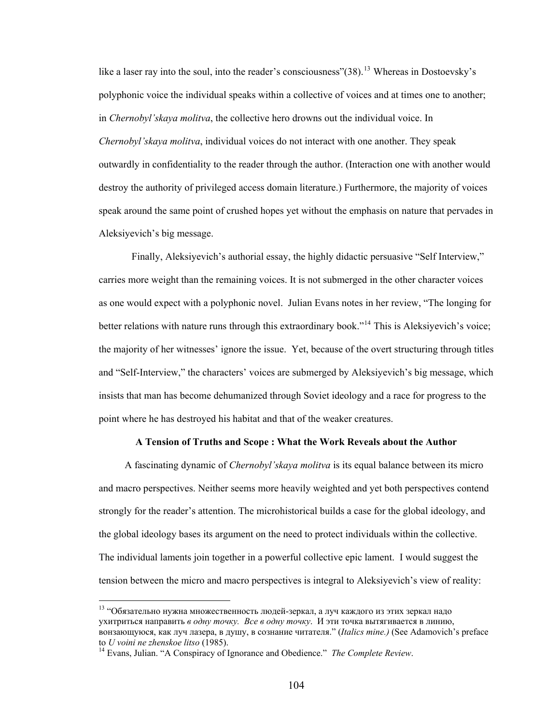like a laser ray into the soul, into the reader's consciousness" $(38)$ <sup>[13](#page-109-0)</sup> Whereas in Dostoevsky's polyphonic voice the individual speaks within a collective of voices and at times one to another; in *Chernobyl'skaya molitva*, the collective hero drowns out the individual voice. In *Chernobyl'skaya molitva*, individual voices do not interact with one another. They speak outwardly in confidentiality to the reader through the author. (Interaction one with another would destroy the authority of privileged access domain literature.) Furthermore, the majority of voices speak around the same point of crushed hopes yet without the emphasis on nature that pervades in Aleksiyevich's big message.

Finally, Aleksiyevich's authorial essay, the highly didactic persuasive "Self Interview," carries more weight than the remaining voices. It is not submerged in the other character voices as one would expect with a polyphonic novel. Julian Evans notes in her review, "The longing for better relations with nature runs through this extraordinary book."<sup>[14](#page-109-1)</sup> This is Aleksiyevich's voice; the majority of her witnesses' ignore the issue. Yet, because of the overt structuring through titles and "Self-Interview," the characters' voices are submerged by Aleksiyevich's big message, which insists that man has become dehumanized through Soviet ideology and a race for progress to the point where he has destroyed his habitat and that of the weaker creatures.

## **A Tension of Truths and Scope : What the Work Reveals about the Author**

 A fascinating dynamic of *Chernobyl'skaya molitva* is its equal balance between its micro and macro perspectives. Neither seems more heavily weighted and yet both perspectives contend strongly for the reader's attention. The microhistorical builds a case for the global ideology, and the global ideology bases its argument on the need to protect individuals within the collective. The individual laments join together in a powerful collective epic lament. I would suggest the tension between the micro and macro perspectives is integral to Aleksiyevich's view of reality:

 $\overline{a}$ 

<span id="page-109-0"></span><sup>13 &</sup>quot;Обязательно нужна множественность людей-зеркал, а луч каждого из этих зеркал надо ухитриться направить *в одну точку. Все в одну точку*. И эти точка вытягивается в линию, вонзающуюся, как луч лазера, в душу, в сознание читателя." (*Italics mine.)* (See Adamovich's preface to *U voini ne zhenskoe litso* (1985). 14 Evans, Julian. "A Conspiracy of Ignorance and Obedience." *The Complete Review*.

<span id="page-109-1"></span>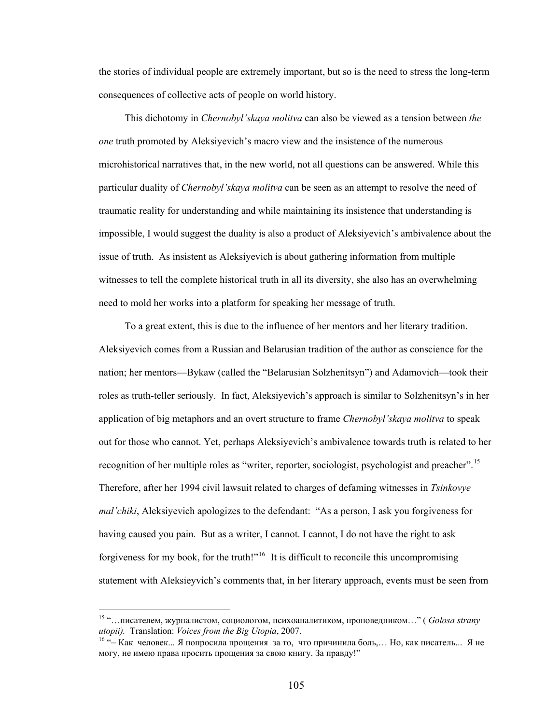the stories of individual people are extremely important, but so is the need to stress the long-term consequences of collective acts of people on world history.

 This dichotomy in *Chernobyl'skaya molitva* can also be viewed as a tension between *the one* truth promoted by Aleksiyevich's macro view and the insistence of the numerous microhistorical narratives that, in the new world, not all questions can be answered. While this particular duality of *Chernobyl'skaya molitva* can be seen as an attempt to resolve the need of traumatic reality for understanding and while maintaining its insistence that understanding is impossible, I would suggest the duality is also a product of Aleksiyevich's ambivalence about the issue of truth. As insistent as Aleksiyevich is about gathering information from multiple witnesses to tell the complete historical truth in all its diversity, she also has an overwhelming need to mold her works into a platform for speaking her message of truth.

 To a great extent, this is due to the influence of her mentors and her literary tradition. Aleksiyevich comes from a Russian and Belarusian tradition of the author as conscience for the nation; her mentors—Bykaw (called the "Belarusian Solzhenitsyn") and Adamovich—took their roles as truth-teller seriously. In fact, Aleksiyevich's approach is similar to Solzhenitsyn's in her application of big metaphors and an overt structure to frame *Chernobyl'skaya molitva* to speak out for those who cannot. Yet, perhaps Aleksiyevich's ambivalence towards truth is related to her recognition of her multiple roles as "writer, reporter, sociologist, psychologist and preacher".<sup>[15](#page-110-0)</sup> Therefore, after her 1994 civil lawsuit related to charges of defaming witnesses in *Tsinkovye mal'chiki*, Aleksiyevich apologizes to the defendant: "As a person, I ask you forgiveness for having caused you pain. But as a writer, I cannot. I cannot, I do not have the right to ask forgiveness for my book, for the truth!"<sup>[16](#page-110-1)</sup> It is difficult to reconcile this uncompromising statement with Aleksieyvich's comments that, in her literary approach, events must be seen from

 $\overline{a}$ 

<span id="page-110-0"></span><sup>15 &</sup>quot;…писателем, журналистом, социологом, психоаналитиком, проповедником…" ( *Golosa strany utopii).* Translation: *Voices from the Big Utopia*, 2007.<br><sup>16</sup> "– Как человек... Я попросила прощения за то, что причинила боль,... Но, как писатель... Я не

<span id="page-110-1"></span>могу, не имею права просить прощения за свою книгу. За правду!"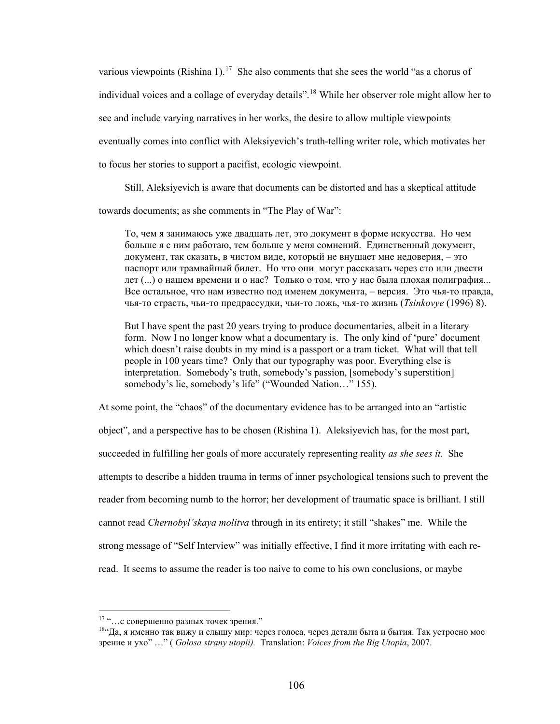various viewpoints (Rishina 1).<sup>[17](#page-111-0)</sup> She also comments that she sees the world "as a chorus of individual voices and a collage of everyday details".<sup>[18](#page-111-1)</sup> While her observer role might allow her to see and include varying narratives in her works, the desire to allow multiple viewpoints eventually comes into conflict with Aleksiyevich's truth-telling writer role, which motivates her to focus her stories to support a pacifist, ecologic viewpoint.

Still, Aleksiyevich is aware that documents can be distorted and has a skeptical attitude

towards documents; as she comments in "The Play of War":

То, чем я занимаюсь уже двадцать лет, это документ в форме искусства. Но чем больше я с ним работаю, тем больше у меня сомнений. Единственный документ, документ, так сказать, в чистом виде, который не внушает мне недоверия, – это паспорт или трамвайный билет. Но что они могут рассказать через сто или двести лет (...) о нашем времени и о нас? Только о том, что у нас была плохая полиграфия... Все остальное, что нам известно под именем документа, – версия. Это чья-то правда, чья-то страсть, чьи-то предрассудки, чьи-то ложь, чья-то жизнь (*Tsinkovye* (1996) 8).

But I have spent the past 20 years trying to produce documentaries, albeit in a literary form. Now I no longer know what a documentary is. The only kind of 'pure' document which doesn't raise doubts in my mind is a passport or a tram ticket. What will that tell people in 100 years time? Only that our typography was poor. Everything else is interpretation. Somebody's truth, somebody's passion, [somebody's superstition] somebody's lie, somebody's life" ("Wounded Nation…" 155).

At some point, the "chaos" of the documentary evidence has to be arranged into an "artistic object", and a perspective has to be chosen (Rishina 1). Aleksiyevich has, for the most part, succeeded in fulfilling her goals of more accurately representing reality *as she sees it.* She attempts to describe a hidden trauma in terms of inner psychological tensions such to prevent the reader from becoming numb to the horror; her development of traumatic space is brilliant. I still cannot read *Chernobyl'skaya molitva* through in its entirety; it still "shakes" me. While the strong message of "Self Interview" was initially effective, I find it more irritating with each reread. It seems to assume the reader is too naive to come to his own conclusions, or maybe

 $17 \ldots$  совершенно разных точек зрения."

<span id="page-111-1"></span><span id="page-111-0"></span> $1844$ да, я именно так вижу и слышу мир: через голоса, через детали быта и бытия. Так устроено мое зрение и ухо" …" ( *Golosa strany utopii).* Translation: *Voices from the Big Utopia*, 2007.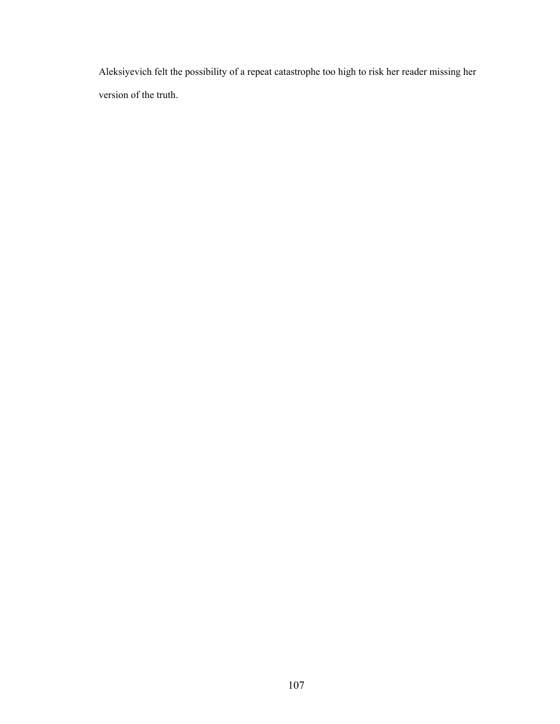Aleksiyevich felt the possibility of a repeat catastrophe too high to risk her reader missing her version of the truth.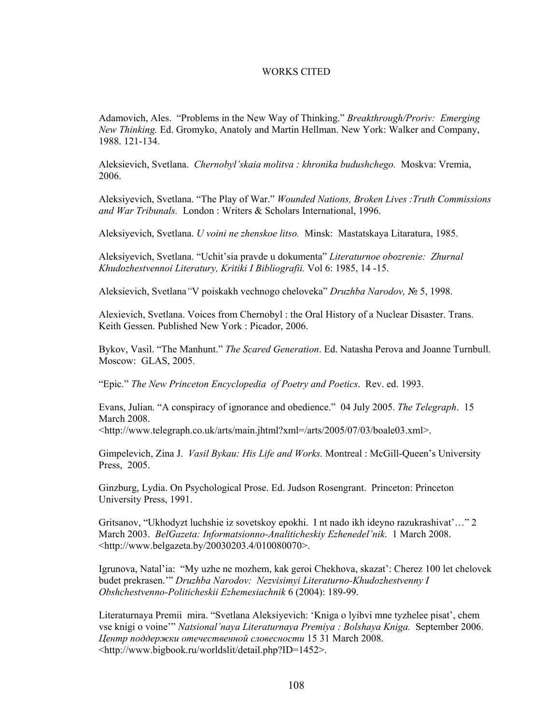## WORKS CITED

Adamovich, Ales. "Problems in the New Way of Thinking." *Breakthrough/Proriv: Emerging New Thinking.* Ed. Gromyko, Anatoly and Martin Hellman. New York: Walker and Company, 1988. 121-134.

Aleksievich, Svetlana. *Chernobyl'skaia molitva : khronika budushchego.* Moskva: Vremia, 2006.

Aleksiyevich, Svetlana. "The Play of War." *Wounded Nations, Broken Lives :Truth Commissions and War Tribunals.* London : Writers & Scholars International, 1996.

Aleksiyevich, Svetlana. *U voini ne zhenskoe litso.* Minsk: Mastatskaya Litaratura, 1985.

Aleksiyevich, Svetlana. "Uchit'sia pravde u dokumenta" *Literaturnoe obozrenie: Zhurnal Khudozhestvennoi Literatury, Kritiki I Bibliografii.* Vol 6: 1985, 14 -15.

Aleksievich, Svetlana*"*V poiskakh vechnogo cheloveka" *Druzhba Narodov,* № 5, 1998.

Alexievich, Svetlana. Voices from Chernobyl : the Oral History of a Nuclear Disaster. Trans. Keith Gessen. Published New York : Picador, 2006.

Bykov, Vasil. "The Manhunt." *The Scared Generation*. Ed. Natasha Perova and Joanne Turnbull. Moscow: GLAS, 2005.

"Epic." *The New Princeton Encyclopedia of Poetry and Poetics*. Rev. ed. 1993.

Evans, Julian. "A conspiracy of ignorance and obedience." 04 July 2005. *The Telegraph*. 15 March 2008.

<http://www.telegraph.co.uk/arts/main.jhtml?xml=/arts/2005/07/03/boale03.xml>.

Gimpelevich, Zina J. *Vasil Bykau: His Life and Works.* Montreal : McGill-Queen's University Press, 2005.

Ginzburg, Lydia. On Psychological Prose. Ed. Judson Rosengrant. Princeton: Princeton University Press, 1991.

Gritsanov, "Ukhodyzt luchshie iz sovetskoy epokhi. I nt nado ikh ideyno razukrashivat'…" 2 March 2003. *BelGazeta: Informatsionno-Analiticheskiy Ezhenedel'nik*. 1 March 2008. <http://www.belgazeta.by/20030203.4/010080070>.

Igrunova, Natal'ia: "My uzhe ne mozhem, kak geroi Chekhova, skazat': Cherez 100 let chelovek budet prekrasen.'" *Druzhba Narodov: Nezvisimyi Literaturno-Khudozhestvenny I Obshchestvenno-Politicheskii Ezhemesiachnik* 6 (2004): 189-99.

Literaturnaya Premii mira. "Svetlana Aleksiyevich: 'Kniga o lyibvi mne tyzhelee pisat', chem vse knigi o voine'" *Natsional'naya Literaturnaya Premiya : Bolshaya Kniga.* September 2006. *Центр поддержки отечественной словесности* 15 31 March 2008. <http://www.bigbook.ru/worldslit/detail.php?ID=1452>.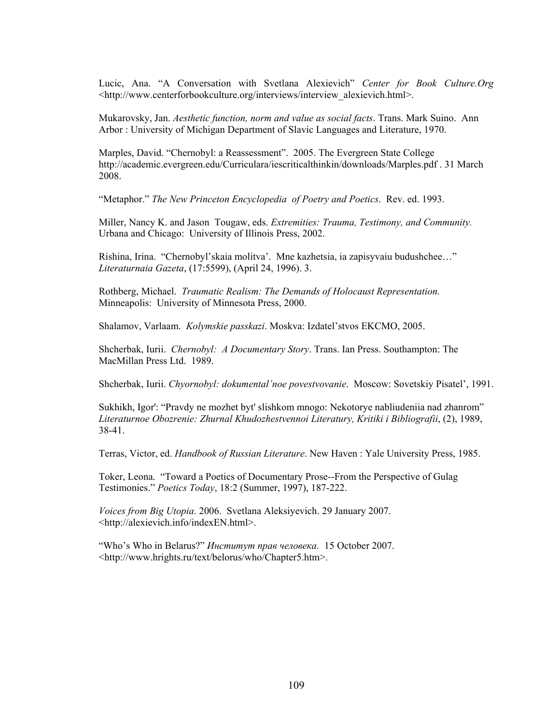Lucic, Ana. "A Conversation with Svetlana Alexievich" *Center for Book Culture.Org* <http://www.centerforbookculture.org/interviews/interview\_alexievich.html>.

Mukarovsky, Jan. *Aesthetic function, norm and value as social facts*. Trans. Mark Suino. Ann Arbor : University of Michigan Department of Slavic Languages and Literature, 1970.

Marples, David. "Chernobyl: a Reassessment". 2005. The Evergreen State College http://academic.evergreen.edu/Curriculara/iescriticalthinkin/downloads/Marples.pdf . 31 March 2008.

"Metaphor." *The New Princeton Encyclopedia of Poetry and Poetics*. Rev. ed. 1993.

Miller, Nancy K. and Jason Tougaw, eds. *Extremities: Trauma, Testimony, and Community.* Urbana and Chicago: University of Illinois Press, 2002.

Rishina, Irina. "Chernobyl'skaia molitva'. Mne kazhetsia, ia zapisyvaiu budushchee…" *Literaturnaia Gazeta*, (17:5599), (April 24, 1996). 3.

Rothberg, Michael. *Traumatic Realism: The Demands of Holocaust Representation.*  Minneapolis: University of Minnesota Press, 2000.

Shalamov, Varlaam. *Kolymskie passkazi*. Moskva: Izdatel'stvos EKCMO, 2005.

Shcherbak, Iurii. *Chernobyl: A Documentary Story*. Trans. Ian Press. Southampton: The MacMillan Press Ltd. 1989.

Shcherbak, Iurii. *Chyornobyl: dokumental'noe povestvovanie*. Moscow: Sovetskiy Pisatel', 1991.

Sukhikh, Igor': "Pravdy ne mozhet byt' slishkom mnogo: Nekotorye nabliudeniia nad zhanrom" *Literaturnoe Obozrenie: Zhurnal Khudozhestvennoi Literatury, Kritiki i Bibliografii*, (2), 1989, 38-41.

Terras, Victor, ed. *Handbook of Russian Literature*. New Haven : Yale University Press, 1985.

Toker, Leona. "Toward a Poetics of Documentary Prose--From the Perspective of Gulag Testimonies." *Poetics Today*, 18:2 (Summer, 1997), 187-222.

*Voices from Big Utopia*. 2006. Svetlana Aleksiyevich. 29 January 2007. <http://alexievich.info/indexEN.html>.

"Who's Who in Belarus?" *Институт прав человекa.* 15 October 2007. <http://www.hrights.ru/text/belorus/who/Chapter5.htm>.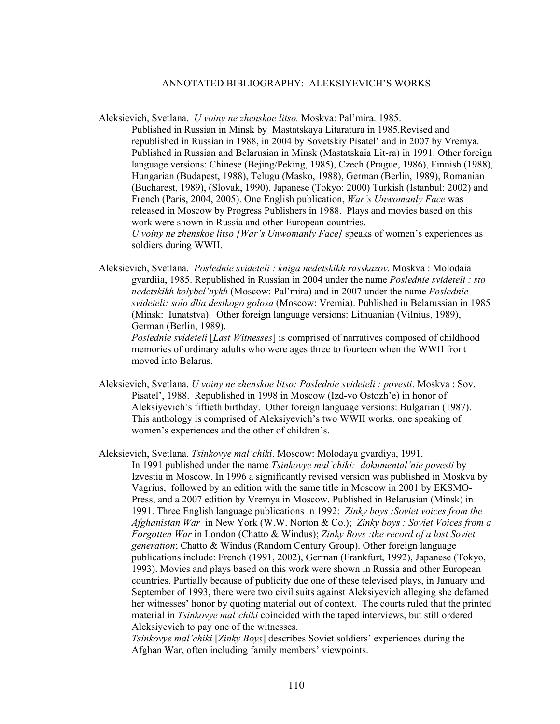## ANNOTATED BIBLIOGRAPHY: ALEKSIYEVICH'S WORKS

- Aleksievich, Svetlana. *U voiny ne zhenskoe litso.* Moskva: Pal'mira. 1985. Published in Russian in Minsk by Mastatskaya Litaratura in 1985.Revised and republished in Russian in 1988, in 2004 by Sovetskiy Pisatel' and in 2007 by Vremya. Published in Russian and Belarusian in Minsk (Mastatskaia Lit-ra) in 1991. Other foreign language versions: Chinese (Bejing/Peking, 1985), Czech (Prague, 1986), Finnish (1988), Hungarian (Budapest, 1988), Telugu (Masko, 1988), German (Berlin, 1989), Romanian (Bucharest, 1989), (Slovak, 1990), Japanese (Tokyo: 2000) Turkish (Istanbul: 2002) and French (Paris, 2004, 2005). One English publication, *War's Unwomanly Face* was released in Moscow by Progress Publishers in 1988. Plays and movies based on this work were shown in Russia and other European countries. *U voiny ne zhenskoe litso [War's Unwomanly Face]* speaks of women's experiences as soldiers during WWII.
- Aleksievich, Svetlana. *Poslednie svideteli : kniga nedetskikh rasskazov.* Moskva : Molodaia gvardiia, 1985. Republished in Russian in 2004 under the name *Poslednie svideteli : sto nedetskikh kolybel'nykh* (Moscow: Pal'mira) and in 2007 under the name *Poslednie svideteli: solo dlia destkogo golosa* (Moscow: Vremia). Published in Belarussian in 1985 (Minsk: Iunatstva). Other foreign language versions: Lithuanian (Vilnius, 1989), German (Berlin, 1989).

*Poslednie svideteli* [*Last Witnesses*] is comprised of narratives composed of childhood memories of ordinary adults who were ages three to fourteen when the WWII front moved into Belarus.

Aleksievich, Svetlana. *U voiny ne zhenskoe litso: Poslednie svideteli : povesti*. Moskva : Sov. Pisatel', 1988. Republished in 1998 in Moscow (Izd-vo Ostozh'e) in honor of Aleksiyevich's fiftieth birthday. Other foreign language versions: Bulgarian (1987). This anthology is comprised of Aleksiyevich's two WWII works, one speaking of women's experiences and the other of children's.

Aleksievich, Svetlana. *Tsinkovye mal'chiki*. Moscow: Molodaya gvardiya, 1991.

In 1991 published under the name *Tsinkovye mal'chiki: dokumental'nie povesti* by Izvestia in Moscow. In 1996 a significantly revised version was published in Moskva by Vagrius, followed by an edition with the same title in Moscow in 2001 by EKSMO-Press, and a 2007 edition by Vremya in Moscow. Published in Belarusian (Minsk) in 1991. Three English language publications in 1992: *Zinky boys :Soviet voices from the Afghanistan War* in New York (W.W. Norton & Co.); *Zinky boys : Soviet Voices from a Forgotten War* in London (Chatto & Windus); *Zinky Boys :the record of a lost Soviet generation*; Chatto & Windus (Random Century Group). Other foreign language publications include: French (1991, 2002), German (Frankfurt, 1992), Japanese (Tokyo, 1993). Movies and plays based on this work were shown in Russia and other European countries. Partially because of publicity due one of these televised plays, in January and September of 1993, there were two civil suits against Aleksiyevich alleging she defamed her witnesses' honor by quoting material out of context. The courts ruled that the printed material in *Tsinkovye mal'chiki* coincided with the taped interviews, but still ordered Aleksiyevich to pay one of the witnesses.

*Tsinkovye mal'chiki* [*Zinky Boys*] describes Soviet soldiers' experiences during the Afghan War, often including family members' viewpoints.